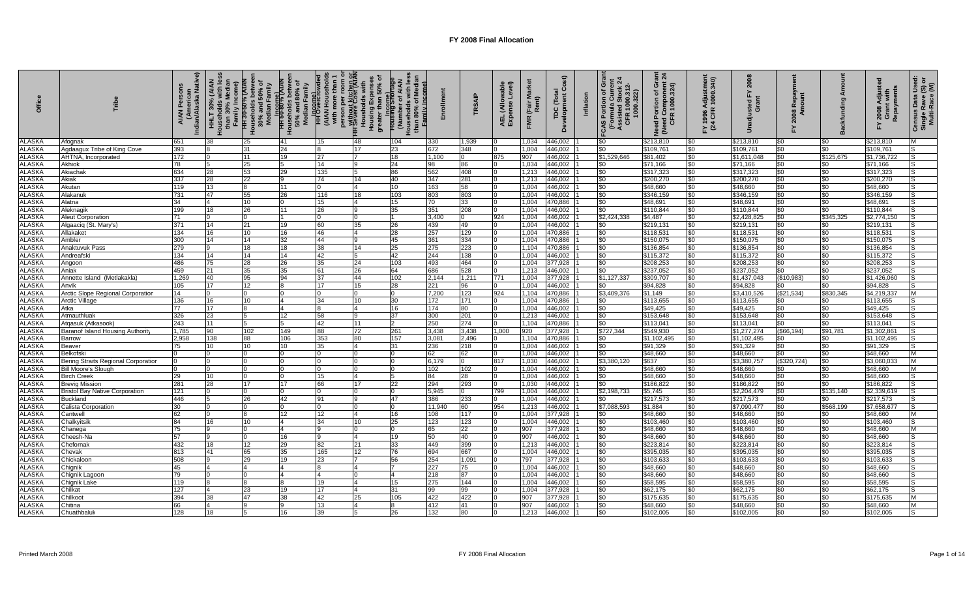| ă                              |                                                     | رسینیویر<br>Indian/Alaska Native)<br><b>AIAN</b> | 30% (AIAN<br>iily Incon<br>than 30%<br>$\frac{1}{2}$ | ৳<br>HH 30-50% (AIAN<br>Louseholds betwee<br>30% and 50% of<br>Median Family | ouseholds betwee<br>50% and 80% of<br>Median Family<br>HH 50-80% (AIAI<br>HH 50-80% (AIAI | <b>HH</b> Overcro<br>(AIAN Hous<br>with more t | person per room or<br><del>HH Without Kitchen</del> RK<br>Housholds with<br>Housing Expenses<br>greater than 50% of | mily Income<br>Housing Shor<br>(Numb |               | TRSAIF      | wable<br>Level)<br>AEL (Allo <sup>1</sup><br>Expense | Rent)<br>(Fair<br><b>FMR</b> | රි<br>Development<br>TDC (Tota | Inflation | င်္<br>ή<br>Portion of G<br>rmula Currei<br>.322<br>(Formula<br>Assisted S<br>CFR 100<br>CAS | Grant<br>snt 24<br>Need Portion of Gra<br>(Need Component 2)<br>CFR 1000.324) | Y 1996 Adjustmen<br>(24 CFR 1000.340) | 2008<br>습<br>ಕ ರ         | ଝ<br>80           |                       | Repayments<br>Adjus<br>$2008$ $\mu$ | Census Data Usec<br>Single Rave (S) o<br>Multi-Race (M) |
|--------------------------------|-----------------------------------------------------|--------------------------------------------------|------------------------------------------------------|------------------------------------------------------------------------------|-------------------------------------------------------------------------------------------|------------------------------------------------|---------------------------------------------------------------------------------------------------------------------|--------------------------------------|---------------|-------------|------------------------------------------------------|------------------------------|--------------------------------|-----------|----------------------------------------------------------------------------------------------|-------------------------------------------------------------------------------|---------------------------------------|--------------------------|-------------------|-----------------------|-------------------------------------|---------------------------------------------------------|
| <b>ALASKA</b>                  | Afognak                                             | 651                                              | 38                                                   | 25                                                                           | 41                                                                                        | 15                                             | 48                                                                                                                  | 104                                  | 330           | 1,939       |                                                      | 1,034                        | 446,002                        |           | \$0                                                                                          | \$213,810                                                                     | \$0                                   | \$213,810                | \$0               | \$0                   | \$213,810                           | M                                                       |
| <b>ALASKA</b>                  | Agdaagux Tribe of King Cove                         | 393                                              |                                                      | 31                                                                           | 24                                                                                        |                                                | 17                                                                                                                  | 23                                   | 672           | 348         |                                                      | 1.004                        | 446,002                        |           | \$0                                                                                          | \$109,761                                                                     | \$0                                   | \$109,761                | \$0               | \$0                   | \$109,761                           |                                                         |
| <b>ALASKA</b>                  | AHTNA, Incorporated                                 | 172                                              |                                                      | 11                                                                           | 19                                                                                        | 27                                             |                                                                                                                     | 18                                   | 1,100         | 10          | 875                                                  | 907                          | 446,002                        |           | \$1,529,646                                                                                  | \$81,402                                                                      | \$0                                   | \$1,611,048              | \$0               | \$125,675             | \$1,736,722                         |                                                         |
| <b>ALASKA</b>                  | Akhiok                                              | 78                                               |                                                      | 25                                                                           |                                                                                           | 14                                             |                                                                                                                     | 24                                   | 98            | 86          |                                                      | 1.034                        | 446,002                        |           | \$0                                                                                          | \$71,166                                                                      | \$0                                   | \$71,166                 | \$0               | \$0                   | \$71,166                            |                                                         |
| <b>ALASKA</b><br><b>ALASKA</b> | Akiachak<br>Akiak                                   | 634<br>337                                       | 28<br>28                                             | 53<br>22                                                                     | 29<br>9                                                                                   | 135<br>74                                      | 14                                                                                                                  | 86<br>40                             | 562<br>347    | 408<br>281  |                                                      | 1,213<br>1,213               | 446,002<br>446,002             |           | \$0<br>\$0                                                                                   | \$317,323<br>\$200,270                                                        | \$0<br>\$0                            | \$317,323<br>\$200,270   | \$0<br>\$0        | \$0<br>$\frac{1}{20}$ | \$317,323<br>\$200,270              | 'S<br>lS                                                |
| <b>ALASKA</b>                  | Akutan                                              | 119                                              | 13                                                   | 8                                                                            | 11                                                                                        | $\Omega$                                       |                                                                                                                     | 10                                   | 163           | 58          |                                                      | 1,004                        | 446,002                        |           | \$0                                                                                          | \$48,660                                                                      | \$0                                   | \$48,660                 | \$0               | \$0                   | \$48.660                            | IS                                                      |
| ALASKA                         | Nakanuk                                             | 731                                              | 47                                                   | 55                                                                           | 26                                                                                        | 116                                            | 18                                                                                                                  | 103                                  | 803           | 803         |                                                      | 1,004                        | 446,002                        |           | \$0                                                                                          | \$346,159                                                                     | \$0                                   | \$346,159                | \$0               | \$0                   | \$346,159                           | lS                                                      |
| <b>ALASKA</b>                  | Alatna                                              | 34                                               | 4                                                    | 10                                                                           | 0                                                                                         | 15                                             |                                                                                                                     | 15                                   | 70            | 33          |                                                      | 1.004                        | 470,886                        |           | \$0                                                                                          | \$48,691                                                                      | \$0                                   | \$48,691                 | \$0               | \$0                   | \$48.691                            | 'S                                                      |
| <b>ALASKA</b>                  | Aleknagik                                           | 199                                              | 18                                                   | 26                                                                           | 11                                                                                        | 26                                             |                                                                                                                     | 35                                   | 351           | 208         |                                                      | 1,004                        | 446,002                        |           | $\frac{1}{20}$                                                                               | \$110,844                                                                     | \$0                                   | \$110,844                | \$0               | \$0                   | \$110,844                           |                                                         |
| <b>ALASKA</b>                  | <b>Aleut Corporation</b>                            | 71                                               | 0                                                    | $\Omega$                                                                     | 11.                                                                                       | <sup>o</sup>                                   |                                                                                                                     |                                      | 3.400         | $\Omega$    | 924                                                  | 1,004                        | 446,002                        |           | \$2,424,338                                                                                  | \$4,487                                                                       | \$0                                   | \$2,428,825              | \$0               | \$345,325             | \$2,774,150                         | 'S                                                      |
| <b>ALASKA</b>                  | Algaaciq (St. Mary's)                               | 371                                              | 14                                                   | 21                                                                           | 19                                                                                        | 60                                             | 35                                                                                                                  | 26                                   | 439           | 49          |                                                      | 1,004                        | 446,002                        |           | \$0                                                                                          | \$219,131                                                                     | \$0                                   | \$219,131                | \$0               | \$0                   | \$219,131                           | IS                                                      |
| <b>ALASKA</b>                  | Allakaket                                           | 134                                              | 16                                                   | 10                                                                           | 16                                                                                        | 46                                             |                                                                                                                     | 28                                   | 257           | 129         |                                                      | 1,004                        | 470,886                        |           | \$0                                                                                          | \$118,53                                                                      | \$0                                   | \$118,53'                | \$0               | \$0                   | \$118,531                           | 'S                                                      |
| <b>ALASKA</b>                  | Ambler                                              | 300                                              | 14                                                   | 14                                                                           | 32                                                                                        | 44                                             |                                                                                                                     | 45                                   | 361           | 334         |                                                      | 1.004                        | 470,886                        |           | \$0                                                                                          | \$150,075                                                                     | \$0                                   | \$150,075                | \$0               | $\frac{1}{20}$        | \$150,075                           | ۱S                                                      |
| <b>ALASKA</b>                  | Anaktuvuk Pass                                      | 279                                              |                                                      | 18                                                                           | 18                                                                                        | 38                                             | 14                                                                                                                  | 25                                   | 275           | 223         |                                                      | 1.104                        | 470,886                        |           | \$0                                                                                          | \$136,854                                                                     | \$0                                   | \$136,854                | \$0               | \$0                   | \$136,854                           | IS.                                                     |
| <b>ALASKA</b>                  | Andreafski                                          | 134                                              | 14                                                   | 14                                                                           | 14                                                                                        | 42                                             |                                                                                                                     | 42                                   | 244           | 138         |                                                      | 1,004                        | 446,002                        |           | \$0                                                                                          | \$115,372                                                                     | \$0                                   | \$115,372                | \$0               | \$0                   | \$115,372                           | IS                                                      |
| <b>ALASKA</b>                  | Angoon                                              | 486                                              | 75                                                   | 28                                                                           | 26                                                                                        | 35                                             | 24                                                                                                                  | 103                                  | 493           | 464         |                                                      | 1,004                        | 377,928                        |           | \$0                                                                                          | \$208,253                                                                     | \$0                                   | \$208,253                | \$0               | \$0                   | \$208,253                           |                                                         |
| <b>ALASKA</b>                  | Aniak                                               | 459                                              | 21                                                   | 35                                                                           | 35                                                                                        | 61                                             | 26                                                                                                                  | 64                                   | 686           | 528         |                                                      | 1,213                        | 446,002                        |           | \$0                                                                                          | \$237,052                                                                     | \$0                                   | \$237,052                | \$0               | \$0                   | \$237,052                           |                                                         |
| <b>ALASKA</b>                  | Annette Island (Metlakakla                          | 1,269                                            | 40                                                   | 95                                                                           | 94                                                                                        | 37                                             | 44                                                                                                                  | 102                                  | 2,144         | 1,211       | 771                                                  | 1,004                        | 377,928                        |           | \$1,127,337                                                                                  | \$309,707                                                                     | \$0                                   | \$1,437,043              | (\$10,983)        | \$0                   | \$1,426,060                         |                                                         |
| <b>ALASKA</b>                  | Anvik                                               | 105                                              | 17                                                   | 12<br>$\Omega$                                                               |                                                                                           | 17                                             | 15                                                                                                                  | 28                                   | 221           | 96          |                                                      | 1,004                        | 446,002                        |           | \$0                                                                                          | \$94,828                                                                      | \$0                                   | \$94,828                 | \$0               | \$0                   | \$94,828                            | M                                                       |
| <b>ALASKA</b><br><b>ALASKA</b> | Arctic Slope Regional Corporatior<br>Arctic Village | 14<br>136                                        | 16                                                   | 10                                                                           | $\overline{4}$                                                                            | 34                                             | 10                                                                                                                  | 30                                   | 7,200<br>172  | 123<br>171  | 924                                                  | 1,104<br>1,004               | 470,886<br>470,886             |           | \$3,409,376<br>\$0                                                                           | \$1,149<br>\$113,655                                                          | \$0<br>\$0                            | \$3,410,526<br>\$113,655 | (\$21,534)<br>\$0 | \$830,345<br>\$0      | \$4,219,337<br>\$113,655            | 'S                                                      |
| <b>ALASKA</b>                  | Atka                                                | 77                                               | 17                                                   | 8                                                                            | $\overline{4}$                                                                            |                                                |                                                                                                                     | 16                                   | 174           | 80          |                                                      | 1,004                        | 446,002                        |           | \$0                                                                                          | \$49,425                                                                      | \$0                                   | \$49,425                 | \$0               | \$0                   | \$49,425                            | ۱S                                                      |
| <b>ALASKA</b>                  | Atmauthluak                                         | 326                                              | 23                                                   | 5                                                                            | 12                                                                                        | 58                                             |                                                                                                                     | 37                                   | 300           | 201         |                                                      | 1,213                        | 446,002                        |           | \$0                                                                                          | \$153,648                                                                     | \$0                                   | \$153,648                | $\frac{1}{20}$    | \$0                   | \$153,648                           | 'S                                                      |
| <b>ALASKA</b>                  | Atgasuk (Atkasook)                                  | 243                                              | 11                                                   | 5                                                                            |                                                                                           | 42                                             | 11                                                                                                                  |                                      | 250           | 274         |                                                      | 1.104                        | 470,886                        |           | \$0                                                                                          | \$113,041                                                                     | \$0                                   | \$113,04                 | \$0               | \$0                   | \$113,041                           |                                                         |
| <b>ALASKA</b>                  | Baranof Island Housing Authorit                     | 1,785                                            | 90                                                   | 102                                                                          | 149                                                                                       | 88                                             | 72                                                                                                                  | 261                                  | 3.438         | 3,438       | 1.000                                                | 920                          | 377,928                        |           | \$727,344                                                                                    | \$549,930                                                                     | \$0                                   | \$1,277,274              | (\$66,194)        | \$91,781              | \$1,302,86                          | lS                                                      |
| <b>ALASKA</b>                  | Barrow                                              | 2.958                                            | 138                                                  | 88                                                                           | 106                                                                                       | 353                                            | 80                                                                                                                  | 157                                  | 3,081         | 2,496       |                                                      | 1,104                        | 470,886                        |           | \$0                                                                                          | \$1,102,49                                                                    | \$0                                   | \$1,102,495              | \$0               | \$0                   | \$1,102,495                         | lS                                                      |
| <b>ALASKA</b>                  | Beaver                                              | 75                                               | 10                                                   | 10                                                                           | 10                                                                                        | 35                                             |                                                                                                                     | 31                                   | 236           | 218         |                                                      | 1,004                        | 446,002                        |           | \$0                                                                                          | \$91,329                                                                      | \$0                                   | \$91,329                 | \$0               | \$0                   | \$91,329                            | IS                                                      |
| <b>ALASKA</b>                  | Belkofski                                           |                                                  |                                                      |                                                                              |                                                                                           |                                                |                                                                                                                     |                                      | 62            | 62          |                                                      | 1.004                        | 446,002                        |           | \$0                                                                                          | \$48,660                                                                      | \$0                                   | \$48,660                 | $\frac{1}{20}$    | $\frac{1}{20}$        | \$48,660                            | M                                                       |
| <b>ALASKA</b>                  | Bering Straits Regional Corporation                 |                                                  |                                                      | $\Omega$                                                                     |                                                                                           |                                                |                                                                                                                     |                                      | 6,179         | $\mathbf 0$ | 817                                                  | 1,030                        | 446,002                        |           | \$3,380,120                                                                                  | \$637                                                                         | \$0                                   | \$3,380,75               | (\$320,724)       | \$0                   | \$3,060,03                          | M                                                       |
| <b>ALASKA</b>                  | <b>Bill Moore's Slough</b>                          |                                                  |                                                      |                                                                              |                                                                                           |                                                |                                                                                                                     |                                      | 102           | 102         |                                                      | 1,004                        | 446,002                        |           | \$0                                                                                          | \$48,660                                                                      | \$0                                   | \$48,660                 | \$0               | \$0                   | \$48,660                            | M                                                       |
| <b>ALASKA</b>                  | Birch Creek                                         | 29                                               | 10                                                   | $\Omega$                                                                     |                                                                                           | 15                                             |                                                                                                                     |                                      | 84            | 28          |                                                      | 1,004                        | 446,002                        |           | \$0                                                                                          | \$48,660                                                                      | \$0                                   | \$48,660                 | \$0               | \$0                   | \$48,660                            |                                                         |
| <b>ALASKA</b>                  | Brevig Mission                                      | 281                                              | 28                                                   | 17                                                                           | 17                                                                                        | 66                                             | 17                                                                                                                  | 22                                   | 294           | 293         |                                                      | 1,030                        | 446,002                        |           | \$0                                                                                          | \$186,822                                                                     | \$0                                   | \$186,822                | \$0               |                       | \$186,822                           |                                                         |
| <b>ALASKA</b>                  | <b>Bristol Bay Native Corporation</b>               | 121                                              |                                                      |                                                                              |                                                                                           |                                                |                                                                                                                     |                                      | 5,945         | $\Omega$    | 799                                                  | 1,004                        | 446,002                        |           | \$2,198,733                                                                                  | \$5,745                                                                       | \$0                                   | \$2,204,479              | \$0               | \$135,140             | \$2,339,619                         |                                                         |
| <b>ALASKA</b><br><b>ALASKA</b> | Buckland                                            | 446<br>30 <sup>°</sup>                           |                                                      | 26                                                                           | 42                                                                                        | 91                                             |                                                                                                                     | 47                                   | 386<br>11.940 | 233<br>60   | 954                                                  | 1,004<br>1,213               | 446,002<br>446,002             |           | \$0                                                                                          | \$217,573                                                                     | \$0<br>\$0                            | \$217,573<br>\$7,090,477 | \$0<br>\$0        | \$0<br>\$568,199      | \$217,573<br>\$7,658,67             | IS<br>ls                                                |
| <b>ALASKA</b>                  | Calista Corporation<br>Cantwell                     | 62                                               |                                                      | 8                                                                            | 12                                                                                        | 12                                             |                                                                                                                     | 16                                   | 108           | 117         |                                                      | 1,004                        | 377,928                        |           | \$7,088,593<br>\$0                                                                           | \$1,884<br>\$48,660                                                           | \$0                                   | \$48,660                 | \$0               | \$0                   | \$48.660                            | M                                                       |
| <b>ALASKA</b>                  | Chalkyitsik                                         | 84                                               | 16                                                   | 10                                                                           | 4                                                                                         | 34                                             | 10                                                                                                                  | 25                                   | 123           | 123         |                                                      | 1,004                        | 446,002                        |           | \$0                                                                                          | \$103,460                                                                     | \$0                                   | \$103,460                | \$0               | \$0                   | \$103,460                           | IS                                                      |
| <b>ALASKA</b>                  | Chanega                                             | 75                                               |                                                      | $\Omega$                                                                     | $\overline{4}$                                                                            |                                                |                                                                                                                     |                                      | 65            | 22          |                                                      | 907                          | 377,928                        |           | \$0                                                                                          | \$48,660                                                                      | \$0                                   | \$48,660                 | \$0               | \$0                   | \$48.660                            | M                                                       |
| <b>ALASKA</b>                  | Cheesh-Na                                           | 57                                               |                                                      |                                                                              | 16                                                                                        |                                                |                                                                                                                     | 19                                   | 50            | 40          |                                                      | 907                          | 446,002                        |           | \$0                                                                                          | \$48,660                                                                      | \$0                                   | \$48,660                 | \$0               | \$0                   | \$48,660                            |                                                         |
| <b>ALASKA</b>                  | Chefornak                                           | 432                                              | 18                                                   | 12                                                                           | 29                                                                                        | 82                                             | 21                                                                                                                  | 33                                   | 449           | 399         |                                                      | 1.213                        | 446,002                        |           | \$0                                                                                          | \$223.814                                                                     | \$0                                   | \$223.814                | \$0               | \$0                   | \$223.814                           | lS                                                      |
| <b>ALASKA</b>                  | Chevak                                              | 813                                              | 41                                                   | 65                                                                           | 35                                                                                        | 165                                            | 12                                                                                                                  | 76                                   | 694           | 667         |                                                      | 1,004                        | 446,002                        |           | \$0                                                                                          | \$395,035                                                                     | \$0                                   | \$395,035                | \$0               | \$0                   | \$395,035                           | IS                                                      |
| <b>ALASKA</b>                  | Chickaloor                                          | 508                                              |                                                      | 29                                                                           | 19                                                                                        | 23                                             |                                                                                                                     | 56                                   | 254           | 1,091       |                                                      | 797                          | 377,928                        |           | \$0                                                                                          | \$103,633                                                                     | \$0                                   | \$103,633                | \$0               | \$0                   | \$103,633                           | IS                                                      |
| <b>ALASKA</b>                  | Chignik                                             | 45                                               |                                                      | $\boldsymbol{4}$                                                             |                                                                                           |                                                |                                                                                                                     |                                      | 227           | 75          |                                                      | 1.004                        | 446,002                        |           | \$0                                                                                          | \$48,660                                                                      | \$0                                   | \$48,660                 | \$0               | \$0                   | \$48,660                            | IS                                                      |
| <b>ALASKA</b>                  | Chignik Lagoor                                      | 79                                               |                                                      | $\Omega$                                                                     | $\overline{A}$                                                                            | $\Delta$                                       |                                                                                                                     |                                      | 218           | 87          |                                                      | 1,004                        | 446,002                        |           | \$0                                                                                          | \$48,660                                                                      | \$0                                   | \$48,660                 | \$0               | \$0                   | \$48,660                            | lS.                                                     |
| <b>ALASKA</b>                  | Chignik Lake                                        | 119                                              |                                                      |                                                                              |                                                                                           | 19                                             |                                                                                                                     | 15                                   | 275           | 144         |                                                      | 1,004                        | 446,002                        |           | \$0                                                                                          | \$58,595                                                                      | \$0                                   | \$58,595                 | \$0               | \$በ                   | \$58,595                            | IS                                                      |
| <b>ALASKA</b>                  | Chilkat                                             | 127                                              |                                                      | 23                                                                           | 19                                                                                        | 17                                             |                                                                                                                     | 31                                   | 99            | 99          |                                                      | 1,004                        | 377,928                        |           | \$0                                                                                          | \$62,175                                                                      | \$C                                   | \$62,175                 | \$0               | \$0                   | \$62,175                            | ls                                                      |
| <b>ALASKA</b>                  | Chilkoot                                            | 394                                              | 38                                                   | 47                                                                           | 38                                                                                        | 42                                             | 25                                                                                                                  | 105                                  | 422           | 422         |                                                      | 907                          | 377,928                        |           | \$0                                                                                          | \$175,635                                                                     | \$0                                   | \$175,635                | \$0               | \$0                   | \$175,635                           | M                                                       |
| <b>ALASKA</b>                  | Chitina                                             | 66                                               |                                                      |                                                                              |                                                                                           | 13                                             |                                                                                                                     |                                      | 412           | 41          |                                                      | 907                          | 446,002                        |           | \$0                                                                                          | \$48,660                                                                      | \$C                                   | \$48,660                 | \$0               | \$0                   | \$48,660                            | M                                                       |
| <b>ALASKA</b>                  | Chuathbalul                                         | 128                                              | 18                                                   |                                                                              | 16                                                                                        | 39                                             |                                                                                                                     |                                      | 132           | 80          |                                                      | 1.213                        | 446.002                        |           | \$0                                                                                          | \$102.005                                                                     | \$0                                   | \$102.005                | \$0               | \$0                   | \$102.005                           | lS                                                      |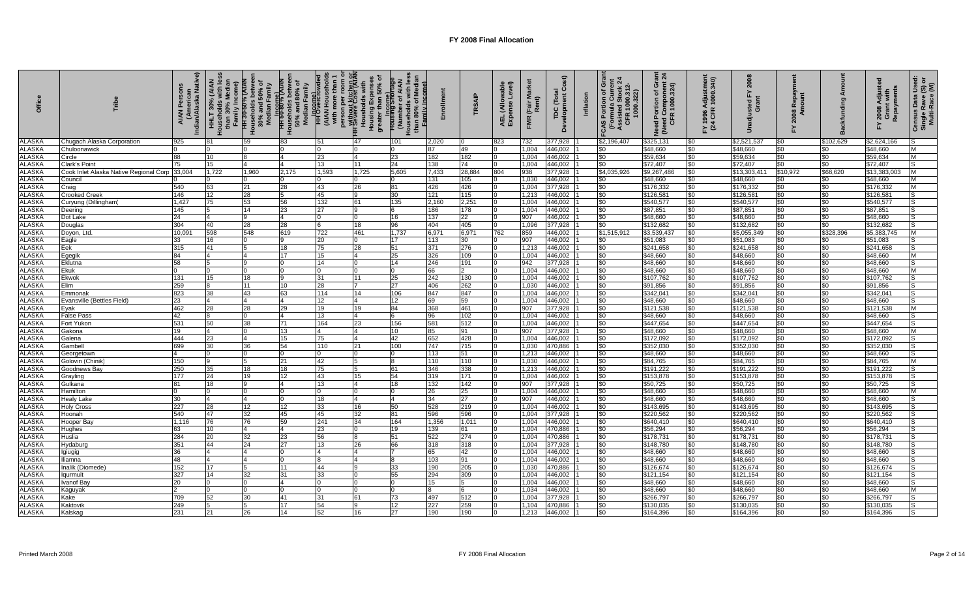| ă                              |                                                        | (American<br>Indian/Alaska Native)<br><b>AIAN</b> | HHLT 30% (AIAN<br>ouseholds with les<br><b>hily Incom</b><br>I | HH 30-50% (AIAN<br>Households betwee<br>30% and 50% of<br>Median Family | Households betwee<br>50% and 80% of<br>Median Family<br>HH 50-80% (AIAI<br>HH 50-80% (AIAI | <b>HH D</b> Come)<br>(AIAN Househ)<br>with more tha | person per varian<br><del>HH Without</del> Kitr room or<br><del>HH Without Cost (AIAK</del><br>Housing Expenses<br>Housing Expenses<br>greater than 50% of | Family Income)<br>greater than 50<br>Housing Smort<br>Housing Smort<br>(Number of Al<br>Households with | ollmen       | TRSAIP                | wable<br>Level)<br>AEL (Allo <sup>1</sup><br>Expense | <b>Rai</b><br>Rent)<br>(Fair<br><b>FMR</b> | Cost)<br>TDC (Total<br>Development Co | Inflation | Gra<br>ed Stock 2<br>1000.312-<br>00.322)<br><b>CAS Portion of GI<br/>(Formula Current)</b><br>Assisted Stock<br>CFR 1000.312- | Grant<br><sub>3</sub> nt 24<br>Need Portion of Gra<br>(Need Component 2)<br>CFR 1000.324) | FY 1996 Adjustmen<br>(24 CFR 1000.340) | 2008<br>ፚ<br>sted<br>Gran | <b>Re</b><br>80<br>ম       | ත               | Y 2008 Adjuste<br>Grant with<br>Repayments<br>겁 | Used:<br>Census Data Usec<br>Single Rave (S) o<br>Multi-Race (M) |
|--------------------------------|--------------------------------------------------------|---------------------------------------------------|----------------------------------------------------------------|-------------------------------------------------------------------------|--------------------------------------------------------------------------------------------|-----------------------------------------------------|------------------------------------------------------------------------------------------------------------------------------------------------------------|---------------------------------------------------------------------------------------------------------|--------------|-----------------------|------------------------------------------------------|--------------------------------------------|---------------------------------------|-----------|--------------------------------------------------------------------------------------------------------------------------------|-------------------------------------------------------------------------------------------|----------------------------------------|---------------------------|----------------------------|-----------------|-------------------------------------------------|------------------------------------------------------------------|
| <b>ALASKA</b>                  | Chugach Alaska Corporation                             | 925                                               | 81                                                             | 59                                                                      | 83                                                                                         | 51                                                  | 47                                                                                                                                                         | 101                                                                                                     | 2,020        |                       | 823                                                  | 732                                        | 377,928                               |           | \$2,196,407                                                                                                                    | \$325,131                                                                                 | \$0                                    | \$2,521,537               | \$0                        | \$102,629       | \$2,624,166                                     |                                                                  |
| <b>ALASKA</b>                  | Chuloonawick                                           |                                                   |                                                                |                                                                         |                                                                                            |                                                     |                                                                                                                                                            |                                                                                                         | 87           | 49                    |                                                      | 1,004                                      | 446,002                               |           | \$0                                                                                                                            | \$48,660                                                                                  | \$0                                    | \$48,660                  | \$0                        | \$0             | \$48,660                                        | M                                                                |
| <b>ALASKA</b>                  | Circle                                                 | 88                                                | 10                                                             |                                                                         |                                                                                            | 23                                                  |                                                                                                                                                            | 23                                                                                                      | 182          | 182                   |                                                      | 1,004                                      | 446,002                               |           | \$0                                                                                                                            | \$59,634                                                                                  | \$0                                    | \$59,634                  | \$0                        | \$0             | \$59,634                                        | M                                                                |
| <b>ALASKA</b><br><b>ALASKA</b> | Jark's Point<br>Cook Inlet Alaska Native Regional Corp | 75<br>33,004                                      | 15<br>1,722                                                    | 1,960                                                                   | 2,175                                                                                      | 13<br>1,593                                         | 11<br>1,725                                                                                                                                                | 24<br>5,605                                                                                             | 138<br>7,433 | 74<br>28,884          | 804                                                  | 1,004<br>938                               | 446,002<br>377,928                    |           | \$0<br>\$4,035,926                                                                                                             | \$72,407<br>\$9,267,486                                                                   | \$0<br>\$0                             | \$72,407<br>\$13,303,4    | $\frac{1}{20}$<br>\$10,972 | \$0<br>\$68,620 | \$72,407<br>\$13,383,00                         | lS<br>M                                                          |
| <b>ALASKA</b>                  | Council                                                |                                                   |                                                                |                                                                         |                                                                                            |                                                     |                                                                                                                                                            |                                                                                                         | 131          | 105                   |                                                      | 1.030                                      | 446,002                               |           | \$0                                                                                                                            | \$48,660                                                                                  | \$0                                    | \$48,660                  | \$0                        | \$0             | \$48,660                                        | M                                                                |
| <b>ALASKA</b>                  | Craig                                                  | 540                                               | 63                                                             | 21                                                                      | 28                                                                                         | 43                                                  | 26                                                                                                                                                         | 81                                                                                                      | 426          | 426                   |                                                      | 1,004                                      | 377,928                               |           | \$0                                                                                                                            | \$176,332                                                                                 | \$0                                    | \$176,332                 | \$0                        | \$0             | \$176,332                                       | M                                                                |
| <b>ALASKA</b>                  | Crooked Creek                                          | 146                                               | 12                                                             | 28                                                                      | 5                                                                                          | 45                                                  |                                                                                                                                                            | 30                                                                                                      | 121          | 115                   |                                                      | 1,213                                      | 446,002                               |           | \$0                                                                                                                            | \$126,581                                                                                 | \$0                                    | \$126,58                  | \$0                        | \$0             | \$126,581                                       | lS                                                               |
| <b>ALASKA</b>                  | Curyung<br>(Dillingham                                 | 1,427                                             | 75                                                             | 53                                                                      | 56                                                                                         | 132                                                 | 61                                                                                                                                                         | 135                                                                                                     | 2,160        | 2,251                 |                                                      | 1,004                                      | 446,002                               |           | \$0                                                                                                                            | \$540,577                                                                                 | \$0                                    | \$540,577                 | $\frac{6}{30}$             | \$0             | \$540,577                                       | IS                                                               |
| <b>ALASKA</b>                  | Deering                                                | 145                                               |                                                                | 14                                                                      | 23                                                                                         | 27                                                  |                                                                                                                                                            |                                                                                                         | 186          | 178                   |                                                      | 1.004                                      | 446,002                               |           | \$0                                                                                                                            | \$87,851                                                                                  | \$0                                    | \$87,851                  | \$0                        | $\frac{1}{20}$  | \$87,851                                        | lS                                                               |
| <b>ALASKA</b>                  | Dot Lake                                               | 24                                                | 4                                                              | <b>9</b>                                                                | 14                                                                                         | $\Omega$                                            |                                                                                                                                                            | 16                                                                                                      | 137          | 22                    |                                                      | 907                                        | 446,002                               |           | \$0                                                                                                                            | \$48,660                                                                                  | \$0                                    | \$48,660                  | \$0                        | \$0             | \$48,660                                        | lS                                                               |
| <b>ALASKA</b>                  | Douglas                                                | 304                                               | 40                                                             | 28                                                                      | 28                                                                                         | 6                                                   | 18                                                                                                                                                         | 96                                                                                                      | 404          | 405                   |                                                      | 1.096                                      | 377,928                               |           | \$0                                                                                                                            | \$132,682                                                                                 | \$0                                    | \$132,682                 | \$0                        | \$0             | \$132,682                                       | lS.                                                              |
| <b>ALASKA</b>                  | Doyon, Ltd                                             | 10,09                                             | 598                                                            | 548                                                                     | 619                                                                                        | 722                                                 | 461                                                                                                                                                        | 1,737                                                                                                   | 6,971        | 6,971                 | 762                                                  | 859                                        | 446,002                               |           | \$1,515,912                                                                                                                    | \$3,539,43                                                                                | \$0                                    | \$5,055,349               | \$0                        | \$328,396       | \$5,383,745                                     | M                                                                |
| <b>ALASKA</b>                  | Eagle                                                  | 33                                                | 16                                                             |                                                                         | 9                                                                                          | 20                                                  |                                                                                                                                                            | 17                                                                                                      | 113          | 30                    |                                                      | 907                                        | 446,002                               |           | \$0                                                                                                                            | \$51,083                                                                                  | \$0                                    | \$51,083                  | \$0                        | \$0             | \$51,083                                        | lS                                                               |
| <b>ALASKA</b>                  | Eek                                                    | 315                                               | 41                                                             |                                                                         | 18                                                                                         | 75                                                  | 28                                                                                                                                                         | 51                                                                                                      | 371          | 276                   |                                                      | 1,213                                      | 446,002                               |           | \$0                                                                                                                            | \$241,658                                                                                 | \$0                                    | \$241,658                 | \$0                        | \$0             | \$241,658                                       | lS                                                               |
| <b>ALASKA</b>                  | Egegik                                                 | 84                                                |                                                                |                                                                         | 17                                                                                         | 15                                                  |                                                                                                                                                            | 25                                                                                                      | 326          | 109                   |                                                      | 1,004                                      | 446,002                               |           | \$0                                                                                                                            | \$48,660                                                                                  | \$0                                    | \$48,660                  | \$0                        | \$0             | \$48,660                                        | M                                                                |
| <b>ALASKA</b><br><b>ALASKA</b> | Eklutna<br>Ekuk                                        | 58                                                |                                                                |                                                                         |                                                                                            | 14                                                  |                                                                                                                                                            | 14                                                                                                      | 246<br>66    | 191<br>$\overline{2}$ |                                                      | 942                                        | 377,928                               |           | \$0                                                                                                                            | \$48,660<br>\$48,660                                                                      | \$0                                    | \$48,660                  | \$0                        | \$0<br>$\$0$    | \$48,660<br>\$48,660                            | ls                                                               |
| <b>ALASKA</b>                  | Ekwok                                                  | 131                                               | 15                                                             | 18                                                                      |                                                                                            | 31                                                  | 11                                                                                                                                                         | 25                                                                                                      | 242          | 130                   |                                                      | 1,004<br>1,004                             | 446,002<br>446,002                    |           | \$0<br>\$0                                                                                                                     | \$107,762                                                                                 | \$0<br>\$0                             | \$48,660<br>\$107,762     | \$0<br>\$0                 | \$0             | \$107,762                                       | M<br>ls                                                          |
| <b>ALASKA</b>                  | Elim                                                   | 259                                               |                                                                | 11                                                                      | 10                                                                                         | 28                                                  |                                                                                                                                                            | 27                                                                                                      | 406          | 262                   |                                                      | 1,030                                      | 446,002                               |           | \$0                                                                                                                            | \$91,856                                                                                  | \$0                                    | \$91,856                  | $\frac{6}{30}$             | \$0             | \$91,856                                        | lS.                                                              |
| <b>ALASKA</b>                  | Emmonak                                                | 823                                               | 38                                                             | 43                                                                      | 63                                                                                         | 114                                                 | 14                                                                                                                                                         | 106                                                                                                     | 847          | 847                   |                                                      | 1,004                                      | 446,002                               |           | \$0                                                                                                                            | \$342,041                                                                                 | \$0                                    | \$342,041                 | \$0                        | \$0             | \$342,041                                       |                                                                  |
| <b>ALASKA</b>                  | Evansville (Bettles Field)                             | 23                                                | 4                                                              | $\overline{4}$                                                          | 4                                                                                          | 12                                                  |                                                                                                                                                            | 12                                                                                                      | 69           | 59                    |                                                      | 1,004                                      | 446,002                               |           | \$0                                                                                                                            | \$48,660                                                                                  | \$0                                    | \$48,660                  | \$0                        | \$0             | \$48,660                                        | IS                                                               |
| <b>ALASKA</b>                  | Eyak                                                   | 462                                               | 28                                                             | 28                                                                      | 29                                                                                         | 19                                                  | 19                                                                                                                                                         | 84                                                                                                      | 368          | 461                   |                                                      | 907                                        | 377,928                               |           | \$0                                                                                                                            | \$121,538                                                                                 | \$0                                    | \$121,538                 | $\sqrt{50}$                | \$0             | \$121,538                                       | M                                                                |
| <b>ALASKA</b>                  | <b>False Pass</b>                                      | 42                                                |                                                                | $\Omega$                                                                | 4                                                                                          | 13                                                  |                                                                                                                                                            |                                                                                                         | 96           | 102                   |                                                      | 1,004                                      | 446,002                               |           | \$0                                                                                                                            | \$48,660                                                                                  | \$0                                    | \$48,660                  | $\frac{6}{30}$             | \$0             | \$48,660                                        | lS                                                               |
| <b>ALASKA</b>                  | Fort Yukon                                             | 531                                               | 50                                                             | 38                                                                      | 71                                                                                         | 164                                                 | 23                                                                                                                                                         | 156                                                                                                     | 581          | 512                   |                                                      | 1.004                                      | 446,002                               |           | \$0                                                                                                                            | \$447,654                                                                                 | \$0                                    | \$447,654                 | \$0                        | $\frac{1}{20}$  | \$447,654                                       | lS                                                               |
| <b>ALASKA</b>                  | Gakona                                                 | 19                                                | 4                                                              | l0                                                                      | 13                                                                                         | 4                                                   |                                                                                                                                                            | 10                                                                                                      | 85           | 91                    |                                                      | 907                                        | 377,928                               |           | \$0                                                                                                                            | \$48,660                                                                                  | \$0                                    | \$48,660                  | \$0                        | \$0             | \$48,660                                        | M                                                                |
| <b>ALASKA</b>                  | Galena                                                 | 444                                               | 23                                                             | $\overline{4}$                                                          | 15                                                                                         | 75                                                  |                                                                                                                                                            | 42                                                                                                      | 652          | 428                   |                                                      | 1,004                                      | 446,002                               |           | \$0                                                                                                                            | \$172,092                                                                                 | \$0                                    | \$172,092                 | \$0                        | \$0             | \$172,092                                       | lS.                                                              |
| <b>ALASKA</b>                  | Gambell                                                | 699                                               | 30                                                             | 36                                                                      | 54                                                                                         | 110                                                 | 21                                                                                                                                                         | 100                                                                                                     | 747          | 715                   |                                                      | 1,030                                      | 470,886                               |           | \$0                                                                                                                            | \$352,030                                                                                 | \$0                                    | \$352,030                 | \$0                        | \$0             | \$352,030                                       | IS                                                               |
| <b>ALASKA</b>                  | Georgetown                                             |                                                   |                                                                |                                                                         | $\Omega$                                                                                   |                                                     |                                                                                                                                                            |                                                                                                         | 113          | 51                    |                                                      | 1,213                                      | 446,002                               |           | \$0                                                                                                                            | \$48,660                                                                                  | \$0                                    | \$48,660                  | \$0                        | \$0             | \$48,660                                        | lS                                                               |
| <b>ALASKA</b>                  | Golovin (Chinik                                        | 150                                               |                                                                | 5                                                                       | 21                                                                                         | 42                                                  |                                                                                                                                                            |                                                                                                         | 110          | 110                   |                                                      | 1,030                                      | 446,002                               |           | \$0                                                                                                                            | \$84,765                                                                                  | \$0                                    | \$84,765                  | \$0                        | \$0             | \$84,765                                        | M                                                                |
| <b>ALASKA</b>                  | Goodnews Bay                                           | 250                                               | 35                                                             | 18                                                                      | 18                                                                                         | 75                                                  |                                                                                                                                                            |                                                                                                         | 346          | 338                   |                                                      | 1,213                                      | 446,002                               |           | \$0                                                                                                                            | \$191,222                                                                                 | \$0                                    | \$191,222                 | \$0                        | \$0             | \$191,222                                       | lS                                                               |
| <b>ALASKA</b>                  | Grayling                                               | 177                                               | 24                                                             | 19                                                                      | 12                                                                                         | 43                                                  | 15                                                                                                                                                         | 54                                                                                                      | 319          | 171                   |                                                      | 1,004                                      | 446,002                               |           | \$0                                                                                                                            | \$153,878                                                                                 | \$0                                    | \$153,878                 | \$0                        | \$0             | \$153,878                                       | ls                                                               |
| <b>ALASKA</b>                  | Gulkana                                                | 81                                                | 18                                                             |                                                                         |                                                                                            | 13                                                  |                                                                                                                                                            | 18                                                                                                      | 132          | 142                   |                                                      | 907                                        | 377,928                               |           | \$0                                                                                                                            | \$50,725                                                                                  | \$0                                    | \$50,725                  | \$0                        | \$0             | \$50,725                                        | IS                                                               |
| <b>ALASKA</b><br><b>ALASKA</b> | Hamilton<br><b>Healy Lake</b>                          | 30                                                |                                                                | $\Omega$<br>$\overline{4}$                                              | $\Omega$<br>IO                                                                             | 18                                                  |                                                                                                                                                            |                                                                                                         | 26<br>34     | 25<br>27              |                                                      | 1,004<br>907                               | 446,002<br>446,002                    |           | \$0<br>\$0                                                                                                                     | \$48,660<br>\$48,660                                                                      | \$0<br>\$0                             | \$48,660<br>\$48,660      | \$0<br>\$0                 | \$0<br>\$0      | \$48,660<br>\$48,660                            | M<br>lS.                                                         |
| <b>ALASKA</b>                  | <b>Holy Cross</b>                                      | 227                                               | 28                                                             | 12                                                                      | 12                                                                                         | 33                                                  | 16                                                                                                                                                         | 50                                                                                                      | 528          | 219                   |                                                      | 1,004                                      | 446,002                               |           | \$0                                                                                                                            | \$143,695                                                                                 | \$0                                    | \$143,695                 | \$0                        | \$0             | \$143,695                                       |                                                                  |
| <b>ALASKA</b>                  | Hoonah                                                 | 540                                               | 47                                                             | 32                                                                      | 45                                                                                         | 45                                                  | 32                                                                                                                                                         | 81                                                                                                      | 596          | 596                   |                                                      | 1,004                                      | 377,928                               |           | \$0                                                                                                                            | \$220,562                                                                                 | \$0                                    | \$220,562                 | \$0                        | \$0             | \$220,562                                       | IS                                                               |
| <b>ALASKA</b>                  | Hooper Bay                                             | 1,116                                             | 76                                                             | 76                                                                      | 59                                                                                         | 241                                                 | 34                                                                                                                                                         | 164                                                                                                     | 1,356        | 1,011                 |                                                      | 1,004                                      | 446,002                               |           | \$0                                                                                                                            | \$640,410                                                                                 | \$0                                    | \$640,410                 | \$0                        | \$0             | \$640,410                                       | IS                                                               |
| <b>ALASKA</b>                  | Hughes                                                 | 63                                                | 10                                                             | $\overline{4}$                                                          | 4                                                                                          | 23                                                  |                                                                                                                                                            | 19                                                                                                      | 139          | 61                    |                                                      | 1,004                                      | 470,886                               |           | \$0                                                                                                                            | \$56,294                                                                                  | \$0                                    | \$56,294                  | \$0                        | \$0             | \$56,294                                        | IS                                                               |
| <b>ALASKA</b>                  | Huslia                                                 | 284                                               | 20                                                             | 32                                                                      | 23                                                                                         | 56                                                  |                                                                                                                                                            | 51                                                                                                      | 522          | 274                   |                                                      | 1,004                                      | 470,886                               |           | \$0                                                                                                                            | \$178,731                                                                                 | \$0                                    | \$178,73'                 | $\frac{1}{20}$             | $\frac{1}{20}$  | \$178,731                                       | IS                                                               |
| <b>ALASKA</b>                  | Hydaburg                                               | 351                                               | 44                                                             | 24                                                                      | 27                                                                                         | 13                                                  | 26                                                                                                                                                         | 66                                                                                                      | 318          | 318                   |                                                      | 1,004                                      | 377,928                               |           | \$0                                                                                                                            | \$148,780                                                                                 | \$0                                    | \$148,780                 | $\sqrt{50}$                | \$0             | \$148,780                                       | IS.                                                              |
| <b>ALASKA</b>                  | Igiugig                                                | 36                                                |                                                                | $\overline{4}$                                                          | <sup>0</sup>                                                                               |                                                     |                                                                                                                                                            |                                                                                                         | 65           | 42                    |                                                      | 1,004                                      | 446,002                               |           | \$0                                                                                                                            | \$48,660                                                                                  | \$0                                    | \$48,660                  | \$0                        | \$0             | \$48,660                                        | lS                                                               |
| <b>ALASKA</b>                  | liamna                                                 | 48                                                |                                                                | $\overline{4}$                                                          | $\Omega$                                                                                   |                                                     |                                                                                                                                                            |                                                                                                         | 103          | 91                    |                                                      | 1,004                                      | 446,002                               |           | \$0                                                                                                                            | \$48,660                                                                                  | \$0                                    | \$48,660                  | \$0                        | \$0             | \$48,660                                        | lS                                                               |
| <b>ALASKA</b>                  | nalik (Diomede)                                        | 152                                               | 17                                                             | 5                                                                       | 11                                                                                         | 44                                                  |                                                                                                                                                            | 33                                                                                                      | 190          | 205                   |                                                      | 1,030                                      | 470,886                               |           | \$0                                                                                                                            | \$126,674                                                                                 | \$0                                    | \$126,674                 | \$0                        | \$0             | \$126,674                                       | lS                                                               |
| <b>ALASKA</b>                  | qurmuit                                                | 327                                               | 14                                                             | 32                                                                      | 31                                                                                         | 33                                                  |                                                                                                                                                            | 55                                                                                                      | 294          | 309                   |                                                      | 1,004                                      | 446,002                               |           | \$0                                                                                                                            | \$121,154                                                                                 | \$0                                    | \$121,154                 | \$0                        | \$0             | \$121,154                                       |                                                                  |
| <b>ALASKA</b>                  | vanof Bay                                              | 20                                                |                                                                |                                                                         | 4                                                                                          |                                                     |                                                                                                                                                            |                                                                                                         | 15           | 15                    |                                                      | 1,004                                      | 446,002                               |           | \$0                                                                                                                            | \$48,660                                                                                  | \$0                                    | \$48,660                  | \$0                        | \$0             | \$48,660                                        | IS                                                               |
| <b>ALASKA</b>                  | Kaguyak                                                |                                                   |                                                                |                                                                         |                                                                                            |                                                     |                                                                                                                                                            |                                                                                                         |              | 6                     |                                                      | 1,034                                      | 446,002                               |           | \$0                                                                                                                            | \$48,660                                                                                  | \$0                                    | \$48,660                  | \$0                        | \$0             | \$48,660                                        | M                                                                |
| <b>ALASKA</b>                  | <b>Kake</b>                                            | 709                                               | 52                                                             | 30                                                                      | 41                                                                                         | 31                                                  | 61                                                                                                                                                         | 73                                                                                                      | 497          | 512                   |                                                      | 1,004                                      | 377,928                               |           | \$0                                                                                                                            | \$266,797                                                                                 | \$0                                    | \$266,79                  | \$0                        | $\$0$           | \$266,797                                       | 'S                                                               |
| <b>ALASKA</b>                  | <b>Kaktovik</b>                                        | 249                                               |                                                                | 5                                                                       | 17                                                                                         | 54                                                  |                                                                                                                                                            | 12                                                                                                      | 227          | 259                   |                                                      | 1,104                                      | 470,886                               |           | \$0                                                                                                                            | \$130,035                                                                                 | \$0                                    | \$130,035                 | \$0                        | $\frac{1}{20}$  | \$130,035                                       | ls                                                               |
| <b>ALASKA</b>                  | Kalskad                                                | 231                                               | 21                                                             | 26                                                                      | 14                                                                                         | 52                                                  | 16                                                                                                                                                         | 27                                                                                                      | 190          | 190                   |                                                      | 1.213                                      | 446.002                               |           | \$0                                                                                                                            | \$164.396                                                                                 | \$0                                    | \$164.396                 | \$0                        | \$0             | \$164.396                                       | IS.                                                              |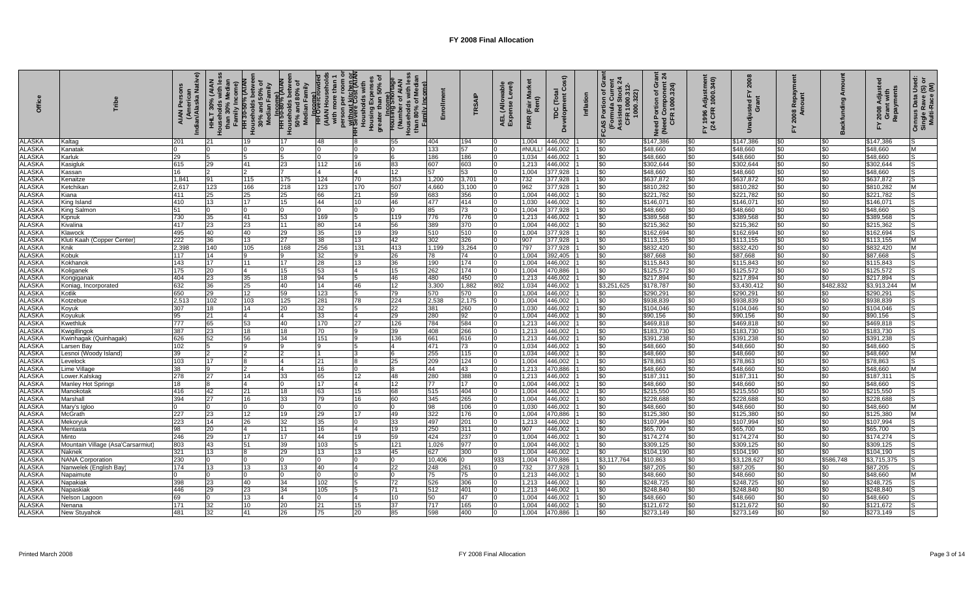| <b>Offic</b>                   |                                    | Indian/Alaska Native)<br>Ğ<br>C<br><b>AIAN</b> | HHLT 30% (AIAN<br>Households with le<br>Family Income)<br>than 30% | $50\%$ of<br>HH 30-50% (AIAN<br>Households betwee<br>30% and 50% of<br>Median Family | HH SU-80%<br>Households betwee<br>S0% and 80% of<br>Median Family<br>Median Family | Hilogane)<br>(AIAN Metacaholds<br>(AIAN Metacaholds<br>with more than 1<br>person per room or<br>Housholds with<br>Housholds with<br>Housholds with<br>Housholds with<br>Housholds with |                      | Family Income<br>بر<br>Housing Short<br>Housing Short<br>Housing Short Area |                        | <b>RSAIP</b> | wable<br>Level)<br>(Allo<br>AEL (Allo<br>Expense | Мa<br>(Fair M<br>Rent)<br>FMR | Cost)<br>TDC (Total<br>Development Co | Inflation | Gra<br>$\frac{1000.312}{0.322}$<br><b>CAS Portion of G</b><br>(Formula Currer<br>Assisted Stock 2<br>CFR 1000.312- | Need Portion of Grant<br>(Need Component 24<br>CFR 1000.324) | =Y 1996 Adjustmen<br>(24 CFR 1000.340) | <b>200</b><br>6        | œ<br>కి శ్                |                | Y 2008 Adjuste<br>Grant with<br>Repayments<br>놊 | Census Data Usec<br>Single Rave (S) or<br>Multi-Race (M) |
|--------------------------------|------------------------------------|------------------------------------------------|--------------------------------------------------------------------|--------------------------------------------------------------------------------------|------------------------------------------------------------------------------------|-----------------------------------------------------------------------------------------------------------------------------------------------------------------------------------------|----------------------|-----------------------------------------------------------------------------|------------------------|--------------|--------------------------------------------------|-------------------------------|---------------------------------------|-----------|--------------------------------------------------------------------------------------------------------------------|--------------------------------------------------------------|----------------------------------------|------------------------|---------------------------|----------------|-------------------------------------------------|----------------------------------------------------------|
| ALASKA                         | Kaltag                             | 201                                            | 21                                                                 | 19                                                                                   | 17                                                                                 | 48                                                                                                                                                                                      |                      | 55                                                                          | 404                    | 94           |                                                  | 1,004                         | 446,002                               |           | \$0                                                                                                                | \$147,386                                                    | \$0                                    | \$147,386              | \$0                       | \$0            | \$147,386                                       |                                                          |
| <b>ALASKA</b>                  | Kanatak                            |                                                |                                                                    |                                                                                      |                                                                                    |                                                                                                                                                                                         |                      |                                                                             | 133                    | 57           |                                                  | #NUL                          | 446,002                               |           | \$0                                                                                                                | \$48,660                                                     | \$0                                    | \$48,660               | \$0                       | \$0            | \$48,660                                        | M                                                        |
| <b>ALASKA</b>                  | Karluk                             | 29                                             |                                                                    |                                                                                      |                                                                                    |                                                                                                                                                                                         |                      |                                                                             | 186                    | 186          |                                                  | 1,034                         | 146,002                               |           | \$0                                                                                                                | \$48,660                                                     | \$0                                    | \$48,660               | \$0                       |                | \$48,660                                        |                                                          |
| <b>ALASKA</b>                  | Kasigluk                           | 615                                            | 29                                                                 | 41                                                                                   | 23                                                                                 | 112                                                                                                                                                                                     | 16                   | 83                                                                          | 607                    | 603          |                                                  | 1,213                         | 146,002                               |           | \$0                                                                                                                | \$302,644                                                    | \$0                                    | \$302,644              | \$0                       | \$0            | \$302,644                                       |                                                          |
| <b>ALASKA</b>                  | Kassan                             | 16                                             |                                                                    |                                                                                      |                                                                                    |                                                                                                                                                                                         | $\overline{4}$       | 12                                                                          | 57                     | 53           |                                                  | 1,004                         | 377,928                               |           | \$0                                                                                                                | \$48,660                                                     | \$0                                    | \$48,660               | \$0                       | \$0            | \$48,660                                        | 'S                                                       |
| <b>ALASKA</b>                  | Kenaitze                           | 1,841                                          | 91                                                                 | 115                                                                                  | 175                                                                                | 124                                                                                                                                                                                     | 70                   | 353                                                                         | 1,200                  | 3,701        |                                                  | 732                           | 377,928                               |           | \$0                                                                                                                | \$637,872                                                    | \$0                                    | \$637,872              | \$0                       | $\$0$          | \$637,872                                       | ls                                                       |
| <b>ALASKA</b>                  | Ketchikan                          | 2.617                                          | 123                                                                | 166                                                                                  | 218                                                                                | 123                                                                                                                                                                                     | 170                  | 507                                                                         | 4,660                  | 3,100        |                                                  | 962                           | 377,928                               |           | \$0                                                                                                                | \$810,282                                                    | \$0                                    | \$810,282              | \$0                       | \$0            | \$810,282                                       | M                                                        |
| <b>ALASKA</b>                  | Kiana                              | 411                                            | 25                                                                 | 25                                                                                   | 25                                                                                 | 66                                                                                                                                                                                      | 21                   | 59                                                                          | 683                    | 356          |                                                  | 1,004                         | 446,002                               |           | \$0                                                                                                                | \$221,782                                                    | \$0                                    | \$221,782              | \$0                       | \$0            | \$221,782                                       | lS                                                       |
| <b>ALASKA</b>                  | King Island                        | 410                                            | 13                                                                 | 17                                                                                   | 15                                                                                 | 44                                                                                                                                                                                      | 10                   | 46                                                                          | 477                    | 414          |                                                  | 1.030                         | 446,002                               |           | \$0                                                                                                                | \$146.071                                                    | \$0                                    | \$146,071              | \$0                       | \$0            | \$146,071                                       | lS.                                                      |
| <b>ALASKA</b>                  | King Salmon                        | 51                                             |                                                                    | $\Omega$                                                                             |                                                                                    | $\Omega$                                                                                                                                                                                | $\Omega$             | $\Omega$                                                                    | 85                     | 73           |                                                  | 1,004                         | 377,928                               |           | \$0                                                                                                                | \$48,660                                                     | \$0                                    | \$48,660               | $\boldsymbol{\mathsf{S}}$ | $\frac{1}{20}$ | \$48,660                                        | IS                                                       |
| <b>ALASKA</b>                  | Kipnuk                             | 730                                            | 35                                                                 | 41                                                                                   | 53                                                                                 | 169                                                                                                                                                                                     | 5                    | 119                                                                         | 776                    | 776          |                                                  | 1,213                         | 446,002                               |           | \$0                                                                                                                | \$389,568                                                    | \$0                                    | \$389,568              | \$0                       | \$0            | \$389,568                                       | IS                                                       |
| <b>ALASKA</b><br><b>ALASKA</b> | Kivalina                           | 417<br>495                                     | 23                                                                 | 23                                                                                   | 11                                                                                 | 80                                                                                                                                                                                      | 14                   | 56<br>39                                                                    | 389                    | 370          |                                                  | 1,004                         | 446,002                               |           | \$0                                                                                                                | \$215,362                                                    | \$0                                    | \$215,362              | \$0                       | \$0            | \$215,362                                       | IS                                                       |
| <b>ALASKA</b>                  | Klawock                            | 222                                            | 40<br>36                                                           | 40<br>13                                                                             | 29<br>27                                                                           | 35<br>38                                                                                                                                                                                | 19<br>13             | 42                                                                          | 510<br>302             | 510<br>326   |                                                  | 1,004<br>907                  | 377,928<br>377,928                    |           | \$0<br>\$0                                                                                                         | \$162,694<br>\$113,155                                       | \$0<br>\$0                             | \$162,694<br>\$113,155 | \$0<br>\$0                | \$0<br>\$0     | \$162,694<br>\$113,155                          | IS<br>M                                                  |
| <b>ALASKA</b>                  | Kluti Kaah (Copper Center)<br>Knik | 2,398                                          | 140                                                                | 105                                                                                  | 168                                                                                | 256                                                                                                                                                                                     | 131                  | 413                                                                         | 1,199                  | 3,264        |                                                  | 797                           | 377,928                               |           | \$0                                                                                                                | \$832,420                                                    | \$0                                    | \$832,420              | \$0                       | \$0            | \$832,420                                       | M                                                        |
| <b>ALASKA</b>                  | Kobuk                              | 117                                            | 14                                                                 | 9                                                                                    | $\mathbf{Q}$                                                                       | 32                                                                                                                                                                                      | 9                    | 26                                                                          | 78                     | 74           |                                                  | 1,004                         | 392,405                               |           | \$0                                                                                                                | \$87,668                                                     | \$0                                    | \$87,668               | \$0                       | \$0            | \$87,668                                        | lS.                                                      |
| <b>ALASKA</b>                  | Kokhanok                           | 143                                            | 17                                                                 | 11                                                                                   | 17                                                                                 | 28                                                                                                                                                                                      | 13                   | 36                                                                          | 190                    | 174          |                                                  | 1,004                         | 446,002                               |           | \$0                                                                                                                | \$115,843                                                    | \$0                                    | \$115,843              | \$0                       | \$0            | \$115,843                                       |                                                          |
| <b>ALASKA</b>                  | Koliganek                          | 175                                            | 20                                                                 |                                                                                      | 15                                                                                 | 53                                                                                                                                                                                      | 4                    | 15                                                                          | 262                    | 174          |                                                  | 1.004                         | 470,886                               |           | \$0                                                                                                                | \$125,572                                                    | \$0                                    | \$125,572              | \$0                       | \$0            | \$125,572                                       |                                                          |
| <b>ALASKA</b>                  | Kongiganak                         | 404                                            | 23                                                                 | 35                                                                                   | 18                                                                                 | 94                                                                                                                                                                                      | 5                    | 46                                                                          | 480                    | 450          |                                                  | 1,213                         | 446,002                               |           | \$0                                                                                                                | \$217,894                                                    | \$0                                    | \$217,894              | \$0                       | \$0            | \$217,894                                       | l.S                                                      |
| <b>ALASKA</b>                  | Koniag, Incorporated               | 632                                            | 36                                                                 | 25                                                                                   | 40                                                                                 | 14                                                                                                                                                                                      | 46                   | 12                                                                          | 3,300                  | 1,882        | 802                                              | 1,034                         | 446,002                               |           | \$3,251,625                                                                                                        | \$178,787                                                    | \$0                                    | \$3,430,412            | \$0                       | \$482,832      | \$3,913,244                                     | M                                                        |
| <b>ALASKA</b>                  | Kotlik                             | 650                                            | 29                                                                 | 12                                                                                   | 59                                                                                 | 123                                                                                                                                                                                     | 5                    | 79                                                                          | 570                    | 570          |                                                  | 1,004                         | 446,002                               |           | \$0                                                                                                                | \$290,291                                                    | \$0                                    | \$290,291              | \$0                       | \$0            | \$290,291                                       |                                                          |
| <b>ALASKA</b>                  | Kotzebue                           | 2,513                                          | 102                                                                | 103                                                                                  | 125                                                                                | 281                                                                                                                                                                                     | 78                   | 224                                                                         | 2,538                  | 2,175        |                                                  | 1,004                         | 446,002                               |           | \$0                                                                                                                | \$938,839                                                    | \$0                                    | \$938,839              | \$0                       | \$0            | \$938,839                                       | IS                                                       |
| <b>ALASKA</b>                  | Koyuk                              | 307                                            | 18                                                                 | 14                                                                                   | 20                                                                                 | 32                                                                                                                                                                                      | 5                    | 22                                                                          | 381                    | 260          |                                                  | 1,030                         | 446,002                               |           | \$0                                                                                                                | \$104,046                                                    | \$0                                    | \$104,046              | \$0                       | \$0            | \$104,046                                       |                                                          |
| <b>ALASKA</b>                  | Koyukuk                            | 95                                             | 21                                                                 | $\overline{4}$                                                                       | 4                                                                                  | 33                                                                                                                                                                                      | $\overline{4}$       | 29                                                                          | 280                    | 92           |                                                  | 1,004                         | 446,002                               |           | \$0                                                                                                                | \$90,156                                                     | \$0                                    | \$90,156               | \$0                       | $\frac{1}{20}$ | \$90,156                                        | lS                                                       |
| <b>ALASKA</b>                  | Kwethluk                           | 777                                            | 65                                                                 | 53                                                                                   | 40                                                                                 | 170                                                                                                                                                                                     | 27                   | 126                                                                         | 784                    | 584          |                                                  | 1.213                         | 446,002                               |           | \$0                                                                                                                | \$469,818                                                    | \$0                                    | \$469,818              | $\boldsymbol{\mathsf{S}}$ | \$0            | \$469,818                                       | lS                                                       |
| <b>ALASKA</b>                  | Kwigillingok                       | 387                                            | 23                                                                 | 18                                                                                   | 18                                                                                 | 70                                                                                                                                                                                      | 19                   | 39                                                                          | 408                    | 266          |                                                  | 1,213                         | 446,002                               |           | \$0                                                                                                                | \$183,730                                                    | \$0                                    | \$183,730              | \$0                       | \$0            | \$183,730                                       | IS                                                       |
| <b>ALASKA</b>                  | Kwinhagak (Quinhagak               | 626                                            | 52                                                                 | 56                                                                                   | 34                                                                                 | 151                                                                                                                                                                                     | $\mathbf{Q}$         | 136                                                                         | 661                    | 616          |                                                  | 1,213                         | 446,002                               |           | \$0                                                                                                                | \$391,238                                                    | \$0                                    | \$391,238              | \$0                       | \$0            | \$391,238                                       | lS.                                                      |
| <b>ALASKA</b>                  | Larsen Bay                         | 102                                            | 5                                                                  | 9                                                                                    |                                                                                    | 9                                                                                                                                                                                       | 15                   | 4                                                                           | 471                    | 73           |                                                  | 1,034                         | 446,002                               |           | \$0                                                                                                                | \$48,660                                                     | \$0                                    | \$48,660               | \$0                       | \$0            | \$48,660                                        | IS                                                       |
| <b>ALASKA</b>                  | esnoi (Woody Island)               | 39                                             |                                                                    |                                                                                      |                                                                                    |                                                                                                                                                                                         | 3                    | 6                                                                           | 255                    | 115          |                                                  | 1,034                         | 446,002                               |           | \$0                                                                                                                | \$48,660                                                     | \$0                                    | \$48,660               | \$0                       | \$0            | \$48,660                                        | M                                                        |
| <b>ALASKA</b>                  | Levelock                           | 103                                            | 17                                                                 |                                                                                      | $\Delta$                                                                           | 21                                                                                                                                                                                      | <b>R</b>             | 25                                                                          | 209                    | 124          |                                                  | 1,004                         | 146,002                               |           | \$0                                                                                                                | \$78,863                                                     | \$0                                    | \$78,863               | \$0                       | \$0            | \$78,863                                        | lS                                                       |
| <b>ALASKA</b>                  | ime Village                        | 38                                             | 9                                                                  |                                                                                      |                                                                                    | 16                                                                                                                                                                                      |                      | 8                                                                           | 44                     | 43           |                                                  | 1,213                         | 470,886                               |           | \$0                                                                                                                | \$48,660                                                     | \$0                                    | \$48,660               | \$0                       | \$0            | \$48,660                                        | M                                                        |
| <b>ALASKA</b><br><b>ALASKA</b> | Lower.Kalskag                      | 278                                            | 27                                                                 | 14                                                                                   | 33                                                                                 | 65                                                                                                                                                                                      | 12                   | 48                                                                          | 280<br>$\overline{77}$ | 388<br>17    |                                                  | 1,213                         | 446,002                               |           | \$0                                                                                                                | \$187,311                                                    | \$0                                    | \$187,31               | \$0                       | \$0<br>\$0     | \$187,311                                       | lS.                                                      |
| <b>ALASKA</b>                  | Manley Hot Springs<br>Manokotak    | 18<br>416                                      |                                                                    | 21                                                                                   | 18                                                                                 | 17<br>63                                                                                                                                                                                | $\overline{4}$<br>15 | 12<br>68                                                                    | 515                    | 404          |                                                  | 1.004<br>1.004                | 446,002<br>446,002                    |           | \$0                                                                                                                | \$48,660<br>\$215,550                                        | \$0<br>\$0                             | \$48,660<br>\$215,550  | \$0<br>\$0                | \$0            | \$48,660<br>\$215,550                           | IS<br>IS.                                                |
| <b>ALASKA</b>                  | Marshall                           | 394                                            | 42<br>27                                                           | 16                                                                                   | 33                                                                                 | 79                                                                                                                                                                                      | 16                   | 60                                                                          | 345                    | 265          |                                                  | 1,004                         | 446,002                               |           | \$0<br>\$0                                                                                                         | \$228,688                                                    | \$0                                    | \$228,688              | \$0                       | \$0            | \$228,688                                       | IS                                                       |
| <b>ALASKA</b>                  | Mary's Igloo                       |                                                |                                                                    |                                                                                      |                                                                                    |                                                                                                                                                                                         |                      | $\Omega$                                                                    | 98                     | 106          |                                                  | 1.030                         | 446,002                               |           | \$0                                                                                                                | \$48,660                                                     | \$0                                    | \$48,660               | \$0                       | \$0            | \$48,660                                        | M                                                        |
| <b>ALASKA</b>                  | McGrath                            | 227                                            | 23                                                                 | 12                                                                                   | 19                                                                                 | 29                                                                                                                                                                                      | 17                   | 49                                                                          | 322                    | 176          |                                                  | 1,004                         | 170,886                               |           | \$0                                                                                                                | \$125,380                                                    | \$0                                    | \$125,380              | \$0                       | \$0            | \$125,380                                       | M                                                        |
| <b>ALASKA</b>                  | Mekoryuk                           | 223                                            | 14                                                                 | 26                                                                                   | 32                                                                                 | 35                                                                                                                                                                                      |                      | 33                                                                          | 497                    | 201          |                                                  | 1,213                         | 446,002                               |           | \$0                                                                                                                | \$107,994                                                    | \$0                                    | \$107,994              | \$0                       | \$0            | \$107,994                                       |                                                          |
| <b>ALASKA</b>                  | Mentasta                           | 98                                             | 20                                                                 | $\overline{4}$                                                                       | 11                                                                                 | 16                                                                                                                                                                                      | 14                   | 19                                                                          | 250                    | 311          |                                                  | 907                           | 446,002                               |           | \$0                                                                                                                | \$65,700                                                     | \$0                                    | \$65,700               | \$0                       | \$0            | \$65,700                                        | 'S                                                       |
| <b>ALASKA</b>                  | Minto                              | 246                                            | 29                                                                 | 17                                                                                   | 17                                                                                 | 44                                                                                                                                                                                      | 19                   | 59                                                                          | 424                    | 237          |                                                  | 1,004                         | 446,002                               |           | \$0                                                                                                                | \$174,274                                                    | \$0                                    | \$174,274              | \$0                       | \$0            | \$174,274                                       | ls                                                       |
| <b>ALASKA</b>                  | Mountain Village (Asa'Carsarmiut   | 803                                            | 43                                                                 | 51                                                                                   | 39                                                                                 | 103                                                                                                                                                                                     | 5                    | 121                                                                         | 1,026                  | 977          | 10                                               | 1,004                         | 446,002                               |           | \$0                                                                                                                | \$309,125                                                    | \$0                                    | \$309,125              | \$0                       | \$0            | \$309,125                                       | IS                                                       |
| <b>ALASKA</b>                  | Naknek                             | 321                                            | 13                                                                 |                                                                                      | 29                                                                                 | 13                                                                                                                                                                                      | 13                   | 45                                                                          | 627                    | 300          |                                                  | 1,004                         | 446,002                               |           | \$0                                                                                                                | \$104,190                                                    | \$0                                    | \$104,190              | \$0                       | \$0            | \$104,190                                       | ls                                                       |
| <b>ALASKA</b>                  | NANA Corporation                   | 230                                            | 0                                                                  |                                                                                      |                                                                                    | 0                                                                                                                                                                                       | ın                   | $\Omega$                                                                    | 10,406                 |              | 933                                              | 1,004                         | 470,886                               |           | \$3,117,764                                                                                                        | \$10,863                                                     | \$0                                    | \$3,128,627            | \$0                       | \$586,748      | \$3,715,37                                      | lS                                                       |
| <b>ALASKA</b>                  | Nanwelek (English Bay              | 174                                            | 13                                                                 | 13                                                                                   | 13                                                                                 | 40                                                                                                                                                                                      | $\overline{4}$       | 22                                                                          | 248                    | 261          |                                                  | 732                           | 377,928                               |           | \$0                                                                                                                | \$87,205                                                     | \$0                                    | \$87,205               | \$0                       | \$0            | \$87,205                                        | IS                                                       |
| <b>ALASKA</b>                  | Napaimute                          | $\Omega$                                       |                                                                    | <sup>0</sup>                                                                         | <sup>n</sup>                                                                       | $\Omega$                                                                                                                                                                                | $\Omega$             | $\mathbf 0$                                                                 | 75                     | 75           |                                                  | 1,213                         | 446,002                               |           | \$0                                                                                                                | \$48,660                                                     | \$0                                    | \$48,660               | \$0                       | \$0            | \$48,660                                        | M                                                        |
| <b>ALASKA</b>                  | Napakiak                           | 398                                            | 23                                                                 | 40                                                                                   | 34                                                                                 | 102                                                                                                                                                                                     | 5                    | 72                                                                          | 526                    | 306          |                                                  | 1,213                         | 446,002                               |           | \$0                                                                                                                | \$248,725                                                    | \$0                                    | \$248,725              | \$0                       | \$0            | \$248,725                                       | lS.                                                      |
| <b>ALASKA</b>                  | Napaskiak                          | 446                                            | 29                                                                 | 23                                                                                   | 34                                                                                 | 105                                                                                                                                                                                     | 5                    | 71                                                                          | 512                    | 401          |                                                  | 1,213                         | 446,002                               |           | \$0                                                                                                                | \$248,840                                                    | \$0                                    | \$248,840              | \$0                       | \$0            | \$248,840                                       | lS.                                                      |
| <b>ALASKA</b>                  | Velson Lagoon                      | 69                                             |                                                                    | 13                                                                                   |                                                                                    |                                                                                                                                                                                         | 4                    | 10                                                                          | 50                     | 47           |                                                  | 1.004                         | 446,002                               |           | \$0                                                                                                                | \$48,660                                                     | \$0                                    | \$48,660               | \$0                       | \$0            | \$48,660                                        |                                                          |
| <b>ALASKA</b>                  | Nenana                             | 171                                            | 32                                                                 | 10                                                                                   | 20                                                                                 | 21                                                                                                                                                                                      | 15                   | 37                                                                          | 717                    | 165          |                                                  | 1,004                         | 146,002                               |           | \$0                                                                                                                | \$121,672                                                    | \$0                                    | \$121,672              | \$0                       | \$0            | \$121,672                                       | lS                                                       |
| <b>ALASKA</b>                  | <b>New Stuyahok</b>                | 481                                            | 32                                                                 | 41                                                                                   | 26                                                                                 | 75                                                                                                                                                                                      | 20                   | 85                                                                          | 598                    | 400          |                                                  | 1.004                         | 470.886                               |           | \$0                                                                                                                | \$273,149                                                    | \$0                                    | \$273,149              | \$0                       | \$0            | \$273,149                                       | IS.                                                      |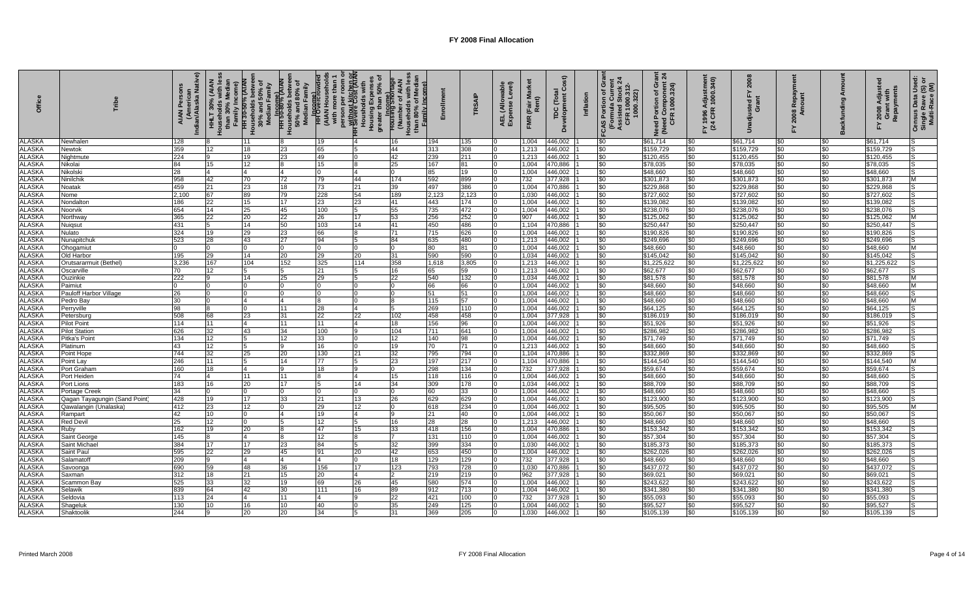| <b>Offic</b>                   | Tribe                         | Indian/Alaska Native)<br>(Arnei<br><b>AIAN</b> | HHLT 30% (AIAN<br>Households with le<br>Family Income)<br>than 30% | HH 30-50% (AIAN<br>Households betwee<br>30% and 50% of<br>Median Family | Minus Press Market<br>Browner Spoken<br>Bo <sup>w</sup> and 80% of<br>Median Family |                 |                | <b>Housing Shortage</b><br>Housing Shortage<br>(Number of AIAN)<br>Family Income)<br>Househol<br>than | 밑            | <b>RSAIP</b> | wable<br>Level)<br>AEL (Allo<br>Expense | Na<br>(Fair M<br>Rent)<br>FMR | Cost)<br>TDC (Total<br>Development Co | Inflation | Gra<br>"CAS Portion of Gra<br>(Formula Current<br>Assisted Stock 2<br>CFR 1000.322) | Need Portion of Grant<br>(Need Component 24<br>CFR 1000.324) | FY 1996 Adjustmen<br>(24 CFR 1000.340) | 2008<br>즚              | 08 Rel<br>Amou       | ත               | Y 2008 Adjuste<br>Grant with<br>Repayments<br>놊 | Census Data Used:<br>Single Rave (S) or<br>Multi-Race (M) |
|--------------------------------|-------------------------------|------------------------------------------------|--------------------------------------------------------------------|-------------------------------------------------------------------------|-------------------------------------------------------------------------------------|-----------------|----------------|-------------------------------------------------------------------------------------------------------|--------------|--------------|-----------------------------------------|-------------------------------|---------------------------------------|-----------|-------------------------------------------------------------------------------------|--------------------------------------------------------------|----------------------------------------|------------------------|----------------------|-----------------|-------------------------------------------------|-----------------------------------------------------------|
| <b>ALASKA</b>                  | Newhalen                      | 128                                            |                                                                    |                                                                         |                                                                                     | 19              |                | 16                                                                                                    | 194          | 35           |                                         | 1,004                         | 446,002                               |           | \$0                                                                                 | \$61,714                                                     | \$0                                    | \$61,714               | \$0                  | \$0             | \$61,714                                        |                                                           |
| <b>ALASKA</b>                  | Vewtok                        | 359                                            | 12 <sup>2</sup>                                                    | 18                                                                      | 23                                                                                  | 65              |                | 44                                                                                                    | 313          | 308          |                                         | 1,213                         | 146,002                               |           | \$0                                                                                 | \$159,729                                                    | \$0                                    | \$159,729              | \$0                  | \$0             | \$159,729                                       |                                                           |
| <b>ALASKA</b>                  | Nightmute                     | 224                                            |                                                                    | 19                                                                      | 23                                                                                  | 49              |                | 42                                                                                                    | 239          | 211          |                                         | 1,213                         | 446,002                               |           | \$0                                                                                 | \$120,455                                                    | \$0                                    | \$120,455              | \$0                  | \$0             | \$120,455                                       |                                                           |
| <b>ALASKA</b>                  | Nikolai                       | 84                                             | 15                                                                 | 12                                                                      |                                                                                     | 15              |                | 25                                                                                                    | 167          | 81           |                                         | 1,004                         | 170,886                               |           | \$0                                                                                 | \$78,035                                                     | \$0                                    | \$78,035               | \$0                  | \$0             | \$78,035                                        |                                                           |
| <b>ALASKA</b>                  | Nikolski                      | 28                                             | 14                                                                 | $\overline{4}$                                                          | 4                                                                                   | $\Omega$        | 4              | 0                                                                                                     | 85           | 19           |                                         | 1,004                         | 446,002                               |           | \$0                                                                                 | \$48,660                                                     | \$0                                    | \$48,660               | \$0                  | \$0             | \$48,660                                        | IS                                                        |
| <b>ALASKA</b>                  | Ninilchik                     | 958                                            | 42                                                                 | 70                                                                      | 72                                                                                  | 79              | 44             | 174                                                                                                   | 592          | 899          |                                         | 732                           | 377,928                               |           | \$0                                                                                 | \$301,873                                                    | \$0                                    | \$301,873              | \$0                  | \$0             | \$301,873                                       | M                                                         |
| <b>ALASKA</b>                  | Noatak                        | 459                                            | 21                                                                 | 23                                                                      | 18                                                                                  | 73              | 21             | 39                                                                                                    | 497          | 386          | 10                                      | 1,004                         | 470,886                               |           | \$0                                                                                 | \$229,868                                                    | \$0                                    | \$229,868              | \$0                  | \$0             | \$229,868                                       | IS                                                        |
| <b>ALASKA</b><br><b>ALASKA</b> | Nome<br>Nondalton             | 2,100<br>186                                   | 67<br>22                                                           | 89<br>15                                                                | 79<br>17                                                                            | 228<br>23       | 54<br>23       | 189<br>41                                                                                             | 2,123<br>443 | 2,123<br>174 |                                         | 1,030<br>1,004                | 446,002<br>446,002                    |           | \$0<br>\$0                                                                          | \$727,602<br>\$139,082                                       | \$0<br>\$0                             | \$727,602              | \$0<br>$\frac{1}{2}$ | \$0<br>\$0      | \$727,602<br>\$139,082                          | IS<br>lS                                                  |
| <b>ALASKA</b>                  | Noorvik                       | 654                                            | 14                                                                 | 25                                                                      | 45                                                                                  | 100             | 5              | 55                                                                                                    | 735          | 472          |                                         | 1,004                         | 446,002                               |           | \$0                                                                                 | \$238,076                                                    | \$0                                    | \$139,082<br>\$238,076 | \$0                  | \$0             | \$238,076                                       | IS                                                        |
| <b>ALASKA</b>                  | Northway                      | 365                                            | 22                                                                 | 20                                                                      | 22                                                                                  | 26              | 17             | 53                                                                                                    | 256          | 252          |                                         | 907                           | 446,002                               |           | \$0                                                                                 | \$125,062                                                    | \$0                                    | \$125,062              | \$0                  | \$0             | \$125,062                                       | M                                                         |
| <b>ALASKA</b>                  | Nuigsut                       | 431                                            | 5                                                                  | 14                                                                      | 50                                                                                  | 103             | 14             | 41                                                                                                    | 450          | 486          |                                         | 1,104                         | 470,886                               |           | \$0                                                                                 | \$250,447                                                    | \$0                                    | \$250,447              | \$0                  | \$0             | \$250,447                                       | s                                                         |
| ALASKA                         | Nulato                        | 324                                            | 19                                                                 | 29                                                                      | 23                                                                                  | 66              | 8              | 71                                                                                                    | 715          | 626          |                                         | 1,004                         | 446,002                               |           | \$0                                                                                 | \$190,826                                                    | \$0                                    | \$190,826              | \$0                  | \$0             | \$190,826                                       | lS                                                        |
| <b>ALASKA</b>                  | Nunapitchuk                   | 523                                            | 28                                                                 | 43                                                                      | $\overline{27}$                                                                     | 94              | 5              | 84                                                                                                    | 635          | 480          |                                         | 1,213                         | 446,002                               |           | \$0                                                                                 | \$249,696                                                    | \$0                                    | \$249,696              | \$0                  | $\overline{50}$ | \$249,696                                       | IS                                                        |
| <b>ALASKA</b>                  | Ohogamiu                      | $\Omega$                                       | $\Omega$                                                           | $\cap$                                                                  | $\cap$                                                                              | $\Omega$        | $\Omega$       | $\Omega$                                                                                              | 80           | 81           |                                         | 1,004                         | 446,002                               |           | \$0                                                                                 | \$48,660                                                     | \$0                                    | \$48,660               | \$0                  | \$0             | \$48,660                                        | M                                                         |
| <b>ALASKA</b>                  | Old Harbor                    | 195                                            | 29                                                                 | 14                                                                      | 20                                                                                  | 29              | 20             | 31                                                                                                    | 590          | 590          |                                         | 1,034                         | 446,002                               |           | \$0                                                                                 | \$145,042                                                    | \$0                                    | \$145,042              | \$0                  | \$0             | \$145,042                                       | lS                                                        |
| <b>ALASKA</b>                  | Orutsararmuit (Bethel)        | 3,236                                          | 167                                                                | 104                                                                     | 152                                                                                 | 325             | 114            | 358                                                                                                   | 1,618        | 3,805        |                                         | 1,213                         | 446,002                               |           | \$0                                                                                 | \$1,225,622                                                  | \$0                                    | \$1,225,622            | \$0                  | \$0             | \$1,225,622                                     |                                                           |
| <b>ALASKA</b>                  | Oscarville                    | 70                                             | 12                                                                 |                                                                         |                                                                                     | 21              |                | 16                                                                                                    | 65           | 59           |                                         | 1,213                         | 446,002                               |           | \$0                                                                                 | \$62,677                                                     | \$0                                    | \$62,677               | \$0                  | \$0             | \$62,677                                        |                                                           |
| <b>ALASKA</b>                  | Ouzinkie                      | 222                                            |                                                                    | 14                                                                      | 25                                                                                  | 29              |                | 22                                                                                                    | 540          | 132          |                                         | 1,034                         | 146,002                               |           | \$0                                                                                 | \$81,578                                                     | \$0                                    | \$81,578               | \$0                  | \$0             | \$81,578                                        | M                                                         |
| <b>ALASKA</b>                  | Paimiut                       | $\Omega$                                       |                                                                    |                                                                         |                                                                                     |                 |                | $\Omega$                                                                                              | 66           | 66           |                                         | 1,004                         | 446,002                               |           | \$0                                                                                 | \$48,660                                                     | \$0                                    | \$48,660               | \$0                  | \$0             | \$48,660                                        | M                                                         |
| <b>ALASKA</b>                  | <b>Pauloff Harbor Village</b> | 26                                             |                                                                    |                                                                         |                                                                                     |                 |                | $\Omega$                                                                                              | 51           | 51           |                                         | 1,004                         | 446,002                               |           | \$0                                                                                 | \$48,660                                                     | \$0                                    | \$48,660               | \$0                  | \$0             | \$48,660                                        | lS.                                                       |
| <b>ALASKA</b>                  | Pedro Bay                     | 30 <sup>°</sup>                                | 0                                                                  | $\overline{4}$                                                          | $\overline{4}$                                                                      | 8               | $\Omega$       | l8                                                                                                    | 115          | 57           |                                         | 1,004                         | 446,002                               |           | \$0                                                                                 | \$48.660                                                     | \$0                                    | \$48,660               | \$0                  | \$0             | \$48,660                                        | M                                                         |
| <b>ALASKA</b>                  | Perryville                    | 98                                             | 8                                                                  |                                                                         | 11                                                                                  | 28              | $\overline{4}$ | 5                                                                                                     | 269          | 110          |                                         | 1,004                         | 446,002                               |           | \$0                                                                                 | \$64,125                                                     | \$0                                    | \$64,125               | \$0                  | \$0             | \$64,125                                        | IS                                                        |
| <b>ALASKA</b>                  | Petersburg                    | 508                                            | 68                                                                 | 23                                                                      | 31                                                                                  | $\overline{22}$ | 22             | 102                                                                                                   | 458          | 458          |                                         | 1,004                         | 377,928                               |           | \$0                                                                                 | \$186,019                                                    | \$0                                    | \$186,019              | \$0                  | \$0             | \$186,019                                       | lS.                                                       |
| <b>ALASKA</b>                  | <b>Pilot Point</b>            | 114                                            | 11                                                                 |                                                                         | 11                                                                                  | 11              |                | 18                                                                                                    | 156          | 96           |                                         | 1.004                         | 446,002                               |           | \$0                                                                                 | \$51,926                                                     | \$0                                    | \$51,926               | \$0                  | $\overline{50}$ | \$51,926                                        | lS                                                        |
| <b>ALASKA</b>                  | <b>Pilot Station</b>          | 626                                            | 32                                                                 | 43                                                                      | 34                                                                                  | 100             | $\mathbf{Q}$   | 104                                                                                                   | 711          | 641          |                                         | 1,004                         | 146,002                               |           | \$0                                                                                 | \$286,982                                                    | \$0                                    | \$286,982              | \$0                  | \$0             | \$286,982                                       | lS                                                        |
| <b>ALASKA</b>                  | Pitka's Point                 | 134                                            | 12                                                                 |                                                                         | 12 <sup>2</sup>                                                                     | 33              |                | 12                                                                                                    | 140          | 98           |                                         | 1,004                         | 446,002                               |           | \$0                                                                                 | \$71,749                                                     | \$0                                    | \$71,749               | \$0                  | \$0             | \$71,749                                        | IS                                                        |
| ALASKA<br><b>ALASKA</b>        | Platinum                      | 43<br>744                                      | 12                                                                 |                                                                         | Q                                                                                   | 16              | $\Omega$       | 19                                                                                                    | 70           | 71           |                                         | 1,213                         | 446,002                               |           | \$0                                                                                 | \$48,660                                                     | \$0                                    | \$48,660               | \$0                  | \$0             | \$48,660                                        | lS                                                        |
|                                | Point Hope                    | 246                                            | 32                                                                 | 25                                                                      | 20<br>14                                                                            | 130             | 21<br>5        | 32                                                                                                    | 795          | 794          |                                         | 1.104                         | 470,886                               |           | \$0                                                                                 | \$332,869                                                    | \$0                                    | \$332,869              | \$0                  | \$0             | \$332,869                                       | lS.                                                       |
| <b>ALASKA</b><br><b>ALASKA</b> | Point Lay<br>Port Graham      | 160                                            | 11<br>18                                                           |                                                                         |                                                                                     | 77<br>18        |                | 23<br>$\Omega$                                                                                        | 197<br>298   | 217<br>134   |                                         | 1,104<br>732                  | 470,886<br>377,928                    |           | \$0                                                                                 | \$144,540<br>\$59,674                                        | \$0<br>\$0                             | \$144,540<br>\$59,674  | \$0<br>\$0           | \$0<br>\$0      | \$144,540<br>\$59,674                           | M<br>۱S                                                   |
| <b>ALASKA</b>                  | Port Heiden                   | 74                                             |                                                                    | 11                                                                      | 11                                                                                  |                 |                | 15                                                                                                    | 118          | 116          |                                         | 1,004                         | 446,002                               |           | \$0<br>\$0                                                                          | \$48,660                                                     | \$0                                    | \$48,660               | \$0                  | \$0             | \$48,660                                        |                                                           |
| <b>ALASKA</b>                  | Port Lions                    | 183                                            | 16                                                                 | 20                                                                      | 17                                                                                  |                 | 14             | 34                                                                                                    | 309          | 178          |                                         | 1,034                         | 446,002                               |           | \$0                                                                                 | \$88,709                                                     | \$0                                    | \$88,709               | \$0                  | \$0             | \$88,709                                        |                                                           |
| <b>ALASKA</b>                  | Portage Creek                 | 34                                             |                                                                    |                                                                         |                                                                                     |                 |                | $\Omega$                                                                                              | 60           | 33           |                                         | 1,004                         | 446,002                               |           | \$0                                                                                 | \$48,660                                                     | \$0                                    | \$48,660               | \$0                  | \$0             | \$48,660                                        |                                                           |
| <b>ALASKA</b>                  | Qagan Tayagungin (Sand Point  | 428                                            | 19                                                                 | 17                                                                      | 33                                                                                  | 21              | 13             | 26                                                                                                    | 629          | 629          |                                         | 1,004                         | 446,002                               |           | \$0                                                                                 | \$123,900                                                    | \$0                                    | \$123,900              | \$0                  | \$0             | \$123,900                                       | IS                                                        |
| <b>ALASKA</b>                  | Qawalangin (Unalaska          | 412                                            | 23                                                                 | 12                                                                      |                                                                                     | 29              | 12             | $\Omega$                                                                                              | 618          | 234          |                                         | 1,004                         | 446,002                               |           | \$0                                                                                 | \$95,505                                                     | \$0                                    | \$95,505               | \$0                  | \$0             | \$95,505                                        | M                                                         |
| <b>ALASKA</b>                  | Rampart                       | 42                                             | 10                                                                 | $\Omega$                                                                | $\overline{A}$                                                                      | 19              | $\overline{4}$ | <b>9</b>                                                                                              | 21           | 40           |                                         | 1,004                         | 446,002                               |           | \$0                                                                                 | \$50.067                                                     | \$0                                    | \$50,067               | $\frac{1}{2}$        | $\frac{1}{20}$  | \$50,067                                        | lS.                                                       |
| <b>ALASKA</b>                  | <b>Red Devil</b>              | 25                                             | 12                                                                 | $\Omega$                                                                |                                                                                     | 12              | 5              | 16                                                                                                    | 28           | 28           |                                         | 1,213                         | 446,002                               |           | \$0                                                                                 | \$48,660                                                     | \$0                                    | \$48,660               | \$0                  | \$0             | \$48,660                                        | lS                                                        |
| <b>ALASKA</b>                  | Ruby                          | 162                                            | 19                                                                 | 20                                                                      |                                                                                     | 47              | 15             | 33                                                                                                    | 418          | 156          |                                         | 1,004                         | 470,886                               |           | \$0                                                                                 | \$153,342                                                    | \$0                                    | \$153,342              | \$0                  | \$0             | \$153,342                                       | lS.                                                       |
| <b>ALASKA</b>                  | Saint George                  | 145                                            |                                                                    |                                                                         |                                                                                     | 12              |                | $\overline{7}$                                                                                        | 131          | 110          |                                         | 1.004                         | 446,002                               |           | \$0                                                                                 | \$57,304                                                     | \$0                                    | \$57,304               | \$0                  | $\$0$           | \$57,304                                        |                                                           |
| <b>ALASKA</b>                  | Saint Michae                  | 384                                            | 17                                                                 | 17                                                                      | 23                                                                                  | 84              | 5              | 32                                                                                                    | 399          | 334          |                                         | 1,030                         | 446,002                               |           | \$0                                                                                 | \$185,373                                                    | \$0                                    | \$185,373              | $\frac{6}{3}$        | \$0             | \$185,373                                       | lS                                                        |
| <b>ALASKA</b>                  | Saint Paul                    | 595                                            | 22                                                                 | 29                                                                      | 45                                                                                  | 91              | 20             | 42                                                                                                    | 653          | 450          |                                         | 1,004                         | 446,002                               |           | \$0                                                                                 | \$262,026                                                    | \$0                                    | \$262,026              | \$0                  | \$0             | \$262,026                                       | IS                                                        |
| <b>ALASKA</b>                  | Salamatof                     | 209                                            | 9                                                                  | $\overline{4}$                                                          | $\Delta$                                                                            | 4               | $\Omega$       | 18                                                                                                    | 129          | 129          |                                         | 732                           | 377,928                               |           | \$0                                                                                 | \$48,660                                                     | \$0                                    | \$48,660               | \$0                  | \$0             | \$48,660                                        | IS                                                        |
| <b>ALASKA</b>                  | Savoonga                      | 690                                            | 59                                                                 | 48                                                                      | 36                                                                                  | 156             | 17             | 123                                                                                                   | 793          | 728          |                                         | 1,030                         | 470,886                               |           | \$0                                                                                 | \$437,072                                                    | \$0                                    | \$437,072              | \$0                  | \$0             | \$437,072                                       | IS                                                        |
| <b>ALASKA</b>                  | Saxman                        | 312                                            | 18                                                                 | 21                                                                      | 15                                                                                  | 20              | 14             | $\overline{2}$                                                                                        | 219          | 219          |                                         | 962                           | 377,928                               |           | \$0                                                                                 | \$69,021                                                     | \$0                                    | \$69,021               | \$0                  | \$0             | \$69,021                                        | lS.                                                       |
| <b>ALASKA</b>                  | Scammon Bay                   | 525                                            | 33                                                                 | 32                                                                      | 19                                                                                  | 69              | 26             | 45                                                                                                    | 580          | 574          |                                         | 1,004                         | 446,002                               |           | \$0                                                                                 | \$243,622                                                    | \$0                                    | \$243,622              | \$0                  | \$0             | \$243,622                                       |                                                           |
| <b>ALASKA</b>                  | Selawik                       | 839                                            | 64                                                                 | 42                                                                      | 30                                                                                  | 111             | 16             | 89                                                                                                    | 912          | 713          |                                         | 1,004                         | 146,002                               |           | \$0                                                                                 | \$341,380                                                    | \$0                                    | \$341,380              | \$0                  | \$0             | \$341,380                                       |                                                           |
| <b>ALASKA</b>                  | Seldovia                      | 113                                            | 24                                                                 |                                                                         | 11                                                                                  |                 |                | 22                                                                                                    | 421          | 100          |                                         | 732                           | 377,928                               |           | \$0                                                                                 | \$55,093                                                     | \$0                                    | \$55,093               | \$0                  | \$0             | \$55,093                                        |                                                           |
| <b>ALASKA</b>                  | Shageluk                      | 130                                            | 10                                                                 | 16                                                                      | 10                                                                                  | 40              |                | 35                                                                                                    | 249          | 125          |                                         | 1,004                         | 446,002                               |           | \$0                                                                                 | \$95,527                                                     | \$0                                    | \$95,527               | \$0                  | \$0             | \$95,527                                        |                                                           |
| <b>ALASKA</b>                  | Shaktoolik                    | 244                                            |                                                                    | 20                                                                      | 20                                                                                  | 34              |                | 31                                                                                                    | 369          | 205          |                                         | 1.030                         | 146.002                               |           | \$0                                                                                 | \$105,139                                                    | \$0                                    | \$105,139              | \$0                  | \$0             | \$105,139                                       |                                                           |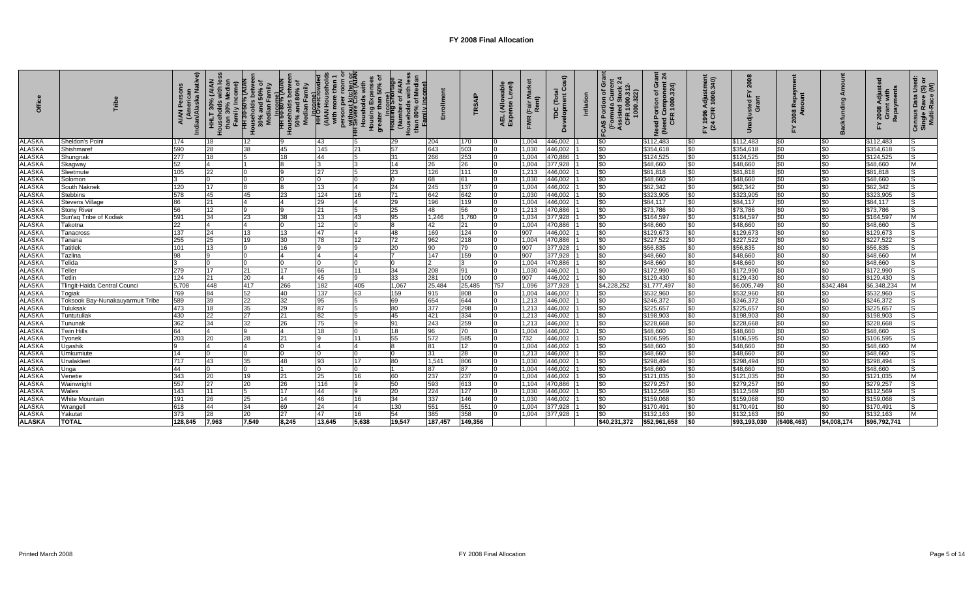|               |                                  | (American<br>Indian/Alaska Native) | nily Inco<br>30%<br>HHLT 30%<br>Households<br>than 30°<br>Family | HH 30-50% (AIAN<br>Households betwee<br>30% and 50% of<br>Median Family | amily<br>HH 50-80% (AIA<br>ouseholds betw<br>50% and 80%<br>Median Family | HH Overcrow<br>(AIAN Househ)<br>with more tha<br>8 | <b>H</b> Severe Cost (AIAN<br>50% of<br><b>Housholds we</b><br>Housing Expe<br>greater than 5 | <b>NVI</b><br>ade<br>mily Income)<br><b>Housing Short</b><br>Number of A<br>Households<br>than 80% of | nies<br>To | <b>RSAIP</b>     | ellA)<br>nse<br>AEL<br>Expe | $\epsilon$<br>(Fair<br>Rent<br><b>FMR</b> | $\boldsymbol{\widehat{s}t}$<br>Ō<br>TDC (Tota<br>Development | Inflation | Gra<br>Ń<br>CAS Portion of C<br>Formula Curre<br>Assisted Stock<br>CFR 1000 <sup>241</sup><br>R 1000.31<br>000.322)<br>CAS | គ្គ ង<br>Need Portion of Gra<br>(Need Component 2)<br>CFR 1000.324) | -Y 1996 Adjustmen<br>(24 CFR 1000.340) |              |                |                | Repayme<br>$2008$<br>Grant | Census Data Usec<br>Single Rave (S) o<br>Multi-Race (M) |
|---------------|----------------------------------|------------------------------------|------------------------------------------------------------------|-------------------------------------------------------------------------|---------------------------------------------------------------------------|----------------------------------------------------|-----------------------------------------------------------------------------------------------|-------------------------------------------------------------------------------------------------------|------------|------------------|-----------------------------|-------------------------------------------|--------------------------------------------------------------|-----------|----------------------------------------------------------------------------------------------------------------------------|---------------------------------------------------------------------|----------------------------------------|--------------|----------------|----------------|----------------------------|---------------------------------------------------------|
| <b>ALASKA</b> | Sheldon's Poin                   | 174                                | 18                                                               | 12                                                                      |                                                                           | 43                                                 |                                                                                               | 29                                                                                                    | 204        | 170              |                             | 1,004                                     | 446,002                                                      |           | \$0                                                                                                                        | \$112,483                                                           | <b>SO</b>                              | \$112,483    | \$0            | \$0            | \$112,483                  |                                                         |
| <b>ALASKA</b> | Shishmaret                       | 590                                | 28                                                               | 38                                                                      | 45                                                                        | 145                                                | 21                                                                                            | 57                                                                                                    | 643        | 503              |                             | 1,030                                     | 446,002                                                      |           | \$0                                                                                                                        | \$354,618                                                           | \$0                                    | \$354,618    | \$0            | \$0            | \$354,618                  | IS.                                                     |
| <b>ALASKA</b> | Shungnak                         | 277                                | 18                                                               |                                                                         | 18                                                                        | 44                                                 |                                                                                               | 31                                                                                                    | 266        | 253              |                             | 1,004                                     | 470,886                                                      |           | \$0                                                                                                                        | \$124,525                                                           | \$0                                    | \$124,525    | \$0            | \$0            | \$124,525                  |                                                         |
| <b>ALASKA</b> | Skagway                          | 52                                 |                                                                  |                                                                         |                                                                           |                                                    |                                                                                               | 14                                                                                                    | 26         | 26               |                             | 1,004                                     | 377,928                                                      |           | \$0                                                                                                                        | \$48,660                                                            | \$0                                    | \$48,660     | \$0            | \$0            | \$48,660                   | M                                                       |
| <b>ALASKA</b> | Sleetmute                        | 105                                | 22                                                               |                                                                         |                                                                           | 27                                                 |                                                                                               | 23                                                                                                    | 126        | 111              |                             | 1,213                                     | 446,002                                                      |           | \$0                                                                                                                        | \$81,818                                                            | \$0                                    | \$81,818     | \$0            | $\frac{1}{20}$ | \$81,818                   | lS.                                                     |
| <b>ALASKA</b> | Solomon                          |                                    |                                                                  |                                                                         |                                                                           | $\overline{0}$                                     |                                                                                               | $\Omega$                                                                                              | 68         | 61               |                             | 1,030                                     | 446,002                                                      |           | \$0                                                                                                                        | \$48,660                                                            | \$0                                    | \$48,660     | \$0            | \$0            | \$48,660                   | lS.                                                     |
| <b>ALASKA</b> | South Naknek                     | 120                                | 17                                                               |                                                                         |                                                                           | 13                                                 |                                                                                               | 24                                                                                                    | 245        | 137              |                             | 1,004                                     | 446,002                                                      |           | \$0                                                                                                                        | \$62,342                                                            | \$0                                    | \$62,342     | \$0            | \$0            | \$62,342                   | lS.                                                     |
| <b>ALASKA</b> | Stebbins                         | 578                                | 45                                                               | 45                                                                      | 23                                                                        | 124                                                | 16                                                                                            | 71                                                                                                    | 642        | 642              |                             | 1,030                                     | 446,002                                                      |           | \$0                                                                                                                        | \$323,905                                                           | \$0                                    | \$323,905    | \$0            | \$0            | \$323,905                  | lS                                                      |
| <b>ALASKA</b> | <b>Stevens Village</b>           | 86                                 | 21                                                               |                                                                         |                                                                           | 29                                                 |                                                                                               | 29                                                                                                    | 196        | 119              |                             | 1,004                                     | 446,002                                                      |           | \$0                                                                                                                        | \$84,117                                                            | \$0                                    | \$84,117     | \$0            | $\frac{1}{20}$ | \$84,117                   | lS.                                                     |
| <b>ALASKA</b> | <b>Stony River</b>               | 56                                 | 12                                                               |                                                                         |                                                                           | 21                                                 |                                                                                               | 25                                                                                                    | 48         | 56               |                             | 1,213                                     | 470,886                                                      |           | \$0                                                                                                                        | \$73,786                                                            | \$0                                    | \$73,786     | \$0            | \$0            | \$73,786                   | lS.                                                     |
| <b>ALASKA</b> | Sun'ag Tribe of Kodiak           | 591                                | 34                                                               | 23                                                                      | 38                                                                        | 13                                                 | 43                                                                                            | 95                                                                                                    | 1,246      | 1,760            |                             | 1,034                                     | 377,928                                                      |           | \$0                                                                                                                        | \$164,597                                                           | \$0                                    | \$164,597    | \$0            | \$0            | \$164,597                  | M                                                       |
| <b>ALASKA</b> | Takotna                          | 22                                 |                                                                  |                                                                         |                                                                           | 12                                                 |                                                                                               | 8                                                                                                     | 42         | 21               |                             | 1,004                                     | 470,886                                                      |           | \$0                                                                                                                        | \$48,660                                                            | \$0                                    | \$48,660     | \$0            | $\frac{1}{20}$ | \$48,660                   | IS.                                                     |
| <b>ALASKA</b> | Tanacross                        | 137                                | 24                                                               | 13                                                                      | 13                                                                        | 47                                                 |                                                                                               | 48                                                                                                    | 169        | 124              |                             | 907                                       | 446,002                                                      |           | \$0                                                                                                                        | \$129,673                                                           | \$0                                    | \$129,673    | \$0            | \$0            | \$129,673                  | IS                                                      |
| <b>ALASKA</b> | Tanana                           | 255                                | 25                                                               | 19                                                                      | 30                                                                        | 78                                                 | 12                                                                                            | 72                                                                                                    | 962        | 218              |                             | 1,004                                     | 470,886                                                      |           | \$0                                                                                                                        | \$227,522                                                           | \$0                                    | \$227,522    | \$0            | \$0            | \$227,522                  | lS                                                      |
| <b>ALASKA</b> | <b>Tatitlek</b>                  | 101                                | 13                                                               |                                                                         | 16                                                                        | 9                                                  |                                                                                               | 20                                                                                                    | 90         | 79               |                             | 907                                       | 377,928                                                      |           | \$0                                                                                                                        | \$56,835                                                            | \$0                                    | \$56,835     | \$0            | \$0            | \$56,835                   | IS                                                      |
| <b>ALASKA</b> | Tazlina                          | 98                                 |                                                                  |                                                                         |                                                                           | $\overline{4}$                                     |                                                                                               |                                                                                                       | 147        | 159              |                             | 907                                       | 377,928                                                      |           | \$0                                                                                                                        | \$48,660                                                            | \$0                                    | \$48,660     | \$0            | \$0            | \$48,660                   | Iм.                                                     |
| <b>ALASKA</b> | Telida                           |                                    |                                                                  |                                                                         |                                                                           | I٥                                                 |                                                                                               |                                                                                                       |            |                  |                             | 1,004                                     | 470,886                                                      |           | \$0                                                                                                                        | \$48,660                                                            | \$0                                    | \$48,660     | \$0            | \$0            | \$48,660                   | lS.                                                     |
| <b>ALASKA</b> | Teller                           | 279                                | 17                                                               | 21                                                                      | 17                                                                        | 66                                                 | 11                                                                                            | 34                                                                                                    | 208        | 91               |                             | 1,030                                     | 446,002                                                      |           | \$0                                                                                                                        | \$172,990                                                           | \$0                                    | \$172,990    | \$0            | \$0            | \$172,990                  | l S                                                     |
| <b>ALASKA</b> | Tetlin                           | 124                                | 21                                                               | 20                                                                      |                                                                           | 45                                                 |                                                                                               | 33                                                                                                    | 281        | $\overline{109}$ |                             | 907                                       | 446,002                                                      |           | \$0                                                                                                                        | \$129,430                                                           | \$0                                    | \$129,430    | \$0            | \$0            | \$129,430                  | lS                                                      |
| <b>ALASKA</b> | Tlingit-Haida Central Counci     | 5,708                              | 448                                                              | 417                                                                     | 266                                                                       | 182                                                | 405                                                                                           | 1,067                                                                                                 | 25,484     | 25,485           | 757                         | 1,096                                     | 377,928                                                      |           | \$4,228,252                                                                                                                | \$1,777,497                                                         | \$0                                    | \$6,005,749  | \$0            | \$342,484      | \$6,348,234                | M                                                       |
| <b>ALASKA</b> | Togiak                           | 769                                | 84                                                               | 52                                                                      | 40                                                                        | 137                                                | 63                                                                                            | 159                                                                                                   | 915        | 808              |                             | 1,004                                     | 446,002                                                      |           | \$0                                                                                                                        | \$532,960                                                           | \$0                                    | \$532,960    | \$0            | \$0            | \$532,960                  | IS.                                                     |
| <b>ALASKA</b> | Toksook Bay-Nunakauyarmuit Tribe | 589                                | 39                                                               | 22                                                                      | 32                                                                        | 95                                                 |                                                                                               | 69                                                                                                    | 654        | 644              |                             | 1,213                                     | 446,002                                                      |           | \$0                                                                                                                        | \$246,372                                                           | \$0                                    | \$246,372    | \$0            | \$0            | \$246,372                  | IS.                                                     |
| <b>ALASKA</b> | Tuluksak                         | 473                                | 18                                                               | 35                                                                      | 29                                                                        | 87                                                 |                                                                                               | 80                                                                                                    | 377        | 298              |                             | 1,213                                     | 446,002                                                      |           | \$0                                                                                                                        | \$225,657                                                           | \$0                                    | \$225,657    | \$0            | \$0            | \$225,657                  | l S                                                     |
| <b>ALASKA</b> | <b>Tuntutuliak</b>               | 430                                | 22                                                               | 27                                                                      | 21                                                                        | 82                                                 |                                                                                               | 45                                                                                                    | 421        | 334              |                             | 1,213                                     | 446,002                                                      |           | \$0                                                                                                                        | \$198,903                                                           | \$0                                    | \$198,903    | \$0            | \$0            | \$198,903                  | lS.                                                     |
| <b>ALASKA</b> | Tununak                          | 362                                | 34                                                               | 32                                                                      | 26                                                                        | 75                                                 |                                                                                               | 91                                                                                                    | 243        | 259              |                             | 1,213                                     | 446,002                                                      |           | \$0                                                                                                                        | \$228,668                                                           | \$0                                    | \$228,668    | \$0            | \$0            | \$228,668                  | lS                                                      |
| <b>ALASKA</b> | <b>Twin Hills</b>                | 64                                 |                                                                  | Q                                                                       |                                                                           | 18                                                 |                                                                                               | 18                                                                                                    | 96         | 70               |                             | 1,004                                     | 446,002                                                      |           | \$0                                                                                                                        | \$48,660                                                            | \$0                                    | \$48,660     | \$0            | \$0            | \$48,660                   | IS.                                                     |
| <b>ALASKA</b> | Tyonek                           | 203                                | 20                                                               | 28                                                                      | 21                                                                        | $\mathbf{Q}$                                       | 11                                                                                            | 55                                                                                                    | 572        | 585              |                             | 732                                       | 446,002                                                      |           | \$0                                                                                                                        | \$106,595                                                           | \$0                                    | \$106,595    | \$0            | \$0            | \$106,595                  | IS.                                                     |
| <b>ALASKA</b> | Ugashik                          |                                    |                                                                  |                                                                         |                                                                           | $\boldsymbol{\Delta}$                              |                                                                                               |                                                                                                       | 81         | 12               |                             | 1,004                                     | 446,002                                                      |           | \$0                                                                                                                        | \$48,660                                                            | \$0                                    | \$48,660     | \$0            | \$0            | \$48,660                   | M                                                       |
| <b>ALASKA</b> | Umkumiute                        | 14                                 |                                                                  |                                                                         |                                                                           | $\Omega$                                           |                                                                                               |                                                                                                       | 31         | 28               |                             | 1,213                                     | 446,002                                                      |           | \$0                                                                                                                        | \$48,660                                                            | \$0                                    | \$48,660     | \$0            | \$0            | \$48,660                   | lS.                                                     |
| <b>ALASKA</b> | Unalakleet                       | 717                                | 43                                                               | 35                                                                      | 48                                                                        | 93                                                 | 17                                                                                            | 80                                                                                                    | 1,541      | 806              |                             | 1,030                                     | 446,002                                                      |           | \$0                                                                                                                        | \$298,494                                                           | \$0                                    | \$298,494    | \$0            | \$0            | \$298,494                  | ls                                                      |
| <b>ALASKA</b> | Unga                             | 44                                 |                                                                  |                                                                         |                                                                           | l0                                                 |                                                                                               |                                                                                                       | 87         | 87               |                             | 1,004                                     | 446,002                                                      |           | \$0                                                                                                                        | \$48,660                                                            | \$0                                    | \$48,660     | $\frac{1}{20}$ | \$0            | \$48,660                   | IS.                                                     |
| <b>ALASKA</b> | Venetie                          | 343                                | 20                                                               | 19                                                                      | 21                                                                        | 25                                                 | 16                                                                                            | 60                                                                                                    | 237        | 237              |                             | 1,004                                     | 446,002                                                      |           | \$0                                                                                                                        | \$121,035                                                           | \$0                                    | \$121,035    | \$0            | \$0            | \$121,035                  | M                                                       |
| <b>ALASKA</b> | Wainwright                       | 557                                | 27                                                               | 20                                                                      | 26                                                                        | 116                                                |                                                                                               | 50                                                                                                    | 593        | 613              |                             | 1,104                                     | 470,886                                                      |           | \$0                                                                                                                        | \$279,257                                                           | \$0                                    | \$279,257    | \$0            | \$0            | \$279,257                  | l S                                                     |
| <b>ALASKA</b> | Wales                            | 143                                | 11                                                               | 5                                                                       | 17                                                                        | 44                                                 |                                                                                               | 20                                                                                                    | 224        | 127              |                             | 1,030                                     | 446,002                                                      |           | \$0                                                                                                                        | \$112,569                                                           | \$0                                    | \$112,569    | $\frac{1}{20}$ | \$0            | \$112,569                  | lS                                                      |
| <b>ALASKA</b> | <b>White Mountair</b>            | 191                                | 26                                                               | 25                                                                      | 14                                                                        | 46                                                 | 16                                                                                            | 34                                                                                                    | 337        | 146              |                             | 1,030                                     | 446,002                                                      |           | \$0                                                                                                                        | \$159,068                                                           | \$0                                    | \$159,068    | \$0            | \$0            | \$159,068                  | ls                                                      |
| <b>ALASKA</b> | Wrangel                          | 618                                | 44                                                               | 34                                                                      | 69                                                                        | 24                                                 |                                                                                               | 130                                                                                                   | 551        | 551              |                             | 1.004                                     | 377,928                                                      |           | \$0                                                                                                                        | \$170,491                                                           | \$0                                    | \$170,49     | $\frac{1}{20}$ | \$0            | \$170,491                  | IS.                                                     |
| <b>ALASKA</b> | Yakutat                          | 373                                | 28                                                               | 20                                                                      | 27                                                                        | 47                                                 | 16                                                                                            | 54                                                                                                    | 385        | 358              |                             | 1.004                                     | 377,928                                                      |           | \$0                                                                                                                        | \$132,163                                                           | \$0                                    | \$132,163    | \$0            | \$0            | \$132,163                  | M                                                       |
| <b>ALASKA</b> | <b>TOTAL</b>                     | 128.845                            | 7,963                                                            | 7.549                                                                   | 8.245                                                                     | 13.645                                             | 5.638                                                                                         | 19.547                                                                                                | 187.457    | 149,356          |                             |                                           |                                                              |           | \$40,231,372                                                                                                               | \$52,961,658                                                        | <b>SO</b>                              | \$93,193,030 | (\$408,463)    | \$4,008,174    | \$96,792,741               |                                                         |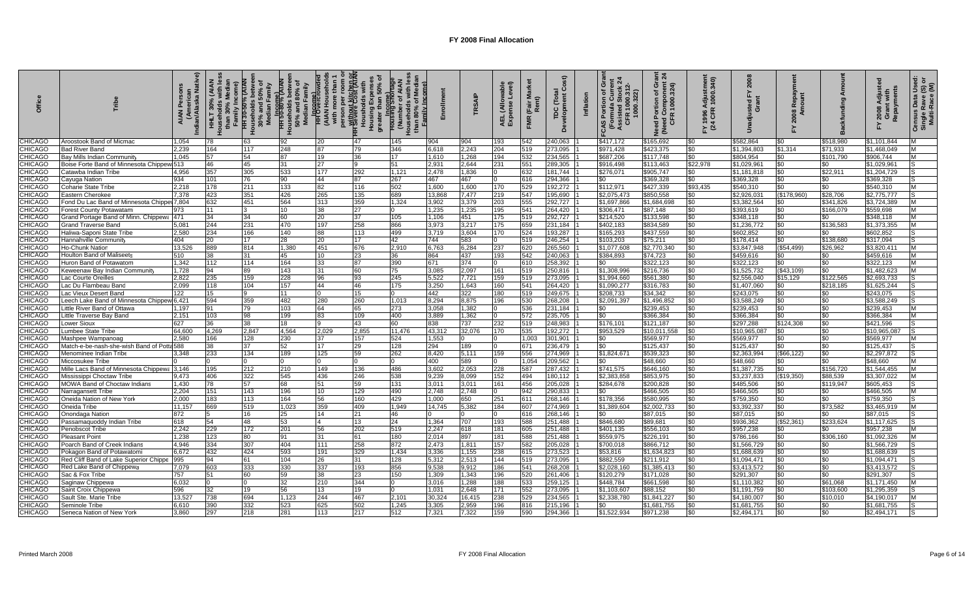| 둥              |                                               | ndian/Alaska Native<br><b>AIAN</b> | 30%<br>H<br>than | 50%<br>30%<br>Med<br>Ë | 80%<br>egy<br>seholds<br>50% apr | <b>Pregme)</b><br>(AIAN | sing<br>person<br><del>Without</del><br>Houshce<br>Housing<br>Housing<br>greater th |        |        | TRSAIP   | wable<br>Level)<br>ellA)<br>AEL (Allo<br>Expense | (Fair M<br>Rent)<br>FMR | $\tilde{c}$<br>Jevelopm<br>TDC | O<br>n of G<br>Curre<br>322<br>Portio<br><b>CFR 100<br/>Kasisted S</b><br>Assisted S<br>CFR 100 | සී<br>Component<br>[1000.324]<br>৳<br>$\blacksquare$<br>Need Portion<br>(Need Comp)<br>CFR 100 | Y 1996 Adjustmen<br>(24 CFR 1000.340) | ន<br>걊       | ءِ ∌            |              | Repayments<br>2008 | $\mathfrak{F} \subseteq$<br>۱š<br>Census Data I<br>Single Rave (<br>Multi-Race ( |
|----------------|-----------------------------------------------|------------------------------------|------------------|------------------------|----------------------------------|-------------------------|-------------------------------------------------------------------------------------|--------|--------|----------|--------------------------------------------------|-------------------------|--------------------------------|-------------------------------------------------------------------------------------------------|------------------------------------------------------------------------------------------------|---------------------------------------|--------------|-----------------|--------------|--------------------|----------------------------------------------------------------------------------|
| <b>CHICAGO</b> | Aroostook Band of Micmac                      | 1.054                              | 78               | 63                     | 92                               | 20                      | 47                                                                                  | 145    | 904    | 904      | 193                                              | 542                     | 240,063                        | \$417,172                                                                                       | \$165,692                                                                                      | \$0                                   | \$582,864    | \$0             | \$518.980    | \$1.101.844        |                                                                                  |
| CHICAGO        | Bad River Band                                | 2,239                              | 164              | 117                    | 248                              | 87                      | 79                                                                                  | 346    | 6,618  | 2,243    | 204                                              | 519                     | 273,095                        | \$971,428                                                                                       | \$423,375                                                                                      | \$0                                   | \$1,394,803  | \$1,314         | \$71,933     | \$1,468,049        |                                                                                  |
| CHICAGO        | Bay Mills Indian Community                    | .045                               | 57               | 54                     |                                  | 19                      | 36                                                                                  |        | 1.610  | 1,268    | 194                                              | 532                     | 234.565                        | \$687,206                                                                                       | \$117.748                                                                                      | \$0                                   | \$804.954    | \$0             | \$101.790    | \$906,744          |                                                                                  |
| <b>CHICAGO</b> | Boise Forte Band of Minnesota Chippew 513     |                                    | 46               | 45                     | 31                               | 27                      |                                                                                     |        | 2,931  | 2,644    | 231                                              | 551                     | 289,305                        | \$916,498                                                                                       | \$113,463                                                                                      | \$22,978                              | \$1,029,96   | \$0             | \$0          | \$1,029,961        |                                                                                  |
| CHICAGO        | Catawba Indian Tribe                          | 4.956                              | 357              | 305                    | 533                              | 177                     | 292                                                                                 | 1.121  | 2.478  | 1,836    |                                                  | 632                     | 181.744                        | \$276.07                                                                                        | \$905,747                                                                                      | \$0                                   | \$1.181.81   | \$0             | \$22.91      | \$1.204.729        |                                                                                  |
| CHICAGO        | 934<br>Cayuga Nation                          |                                    | 101              | 76                     | 90                               | 44                      | 87                                                                                  | 267    | 467    | 467      |                                                  | 616                     | 294,366                        | \$0                                                                                             | \$369.328                                                                                      | \$0                                   | \$369.328    | \$0             | \$0          | \$369,328          |                                                                                  |
| <b>CHICAGO</b> | Coharie State Tribe                           | 2,218                              | 178              | 211                    | 133                              | 82                      | 116                                                                                 | 502    | 1,600  | 1,600    | 170                                              | 529                     | 192,272                        | \$112,971                                                                                       | \$427,339                                                                                      | \$93,435                              | \$540,310    | \$0             | \$0          | \$540,310          | M                                                                                |
| <b>CHICAGO</b> | Eastern Cherokee                              | 7.378                              | 423              | 351                    | 426                              | 265                     | 135                                                                                 | 689    | 13.868 | 7,477    | 219                                              | 547                     | 195,690                        | \$2,075,473                                                                                     | \$850,558                                                                                      | \$0                                   | \$2,926,031  | (\$178,960)     | \$28,706     | \$2,775,777        |                                                                                  |
| <b>CHICAGO</b> | Fond Du Lac Band of Minnesota Chipper 7,804   |                                    | 632              | 451                    | 564                              | 313                     | 359                                                                                 | 1,324  | 3,902  | 3,379    | 203                                              | 555                     | 292,727                        | \$1,697,866                                                                                     | \$1,684,69                                                                                     | \$0                                   | \$3,382,564  | \$0             | \$341,826    | \$3,724,389        | M                                                                                |
| <b>CHICAGO</b> | 973<br>Forest County Potawatam                |                                    | 11               |                        | 10 <sup>10</sup>                 | $\overline{38}$         | 27                                                                                  |        | 1.235  | 1,235    | 195                                              | 541                     | 264.420                        | \$306.471                                                                                       | \$87.148                                                                                       | \$0                                   | \$393.619    | \$0             | \$166.079    | \$559.698          | M                                                                                |
| <b>CHICAGO</b> | 471<br>Srand Portage Band of Minn. Chippewa   |                                    | 34               | 34                     | 60                               | 20                      | 37                                                                                  | 105    | 1.106  | 451      | 175                                              | 519                     | 292,727                        | \$214,520                                                                                       | \$133,598                                                                                      | \$0                                   | \$348,118    | \$0             | \$0          | \$348,118          | M                                                                                |
| <b>CHICAGO</b> | Grand Traverse Band                           | 5.081                              | 244              | 231                    | 470                              | 197                     | 258                                                                                 | 866    | 3.973  | 3,217    | 175                                              | 659                     | 231.184                        | \$402,183                                                                                       | \$834.589                                                                                      | \$0                                   | \$1.236.772  | $\sqrt{50}$     | \$136.583    | \$1.373.355        | M                                                                                |
| CHICAGO        | Haliwa-Saponi State Tribe                     | 2.580                              | 234              | 166                    | 140                              | 88                      | 113                                                                                 | 499    | 3.719  | 3.604    | 170                                              | 524                     | 193.287                        | \$165,293                                                                                       | \$437,559                                                                                      | \$0                                   | \$602.852    | \$0             | \$0          | \$602,852          | 'S                                                                               |
| CHICAGO        | 404<br><b>Hannahville Community</b>           |                                    | 20               | 17                     | 28                               | $\overline{20}$         | 17                                                                                  | 42     | 744    | 583      |                                                  | 519                     | 246,254                        | \$103,203                                                                                       | \$75,211                                                                                       | \$0                                   | \$178,414    | \$0             | \$138,680    | \$317,094          |                                                                                  |
| <b>CHICAGO</b> | Ho-Chunk Nation                               | 13,526                             | 889              | 814                    | 1,380                            | 451                     | 676                                                                                 | 2,910  | 6,763  | 6,284    | 237                                              | 620                     | 265,560                        | \$1,077,608                                                                                     | \$2,770,340                                                                                    | \$0                                   | \$3,847,948  | (\$54,499)      | \$26,962     | \$3,820,411        | M                                                                                |
| <b>CHICAGO</b> | 510<br><b>Houlton Band of Maliseets</b>       |                                    | 38               | 31                     | 45                               | 10                      | 23                                                                                  | 36     | 864    | 437      | 193                                              | 542                     | 240,063                        | \$384,893                                                                                       | \$74,723                                                                                       | \$0                                   | \$459,616    | \$0             | \$0          | \$459,616          | M                                                                                |
| CHICAGO        | Huron Band of Potawatom                       | 1.342                              | 112              | 114                    | 164                              | 33                      | 87                                                                                  | 390    | 671    | 374      |                                                  | 610                     | 258.392                        | \$0                                                                                             | \$322,123                                                                                      | \$0                                   | \$322,123    | \$0             | \$0          | \$322,123          | M                                                                                |
| CHICAGO        | ƙeweenaw Bay Indian Communit                  | 1.728                              | 94               | 89                     | 143                              | 31                      | 60                                                                                  | 75     | 3,085  | 2,097    | 161                                              | 519                     | 250,816                        | \$1,308,996                                                                                     | \$216,736                                                                                      | \$0                                   | \$1,525,732  | (\$43,109)      | \$0          | \$1,482,623        |                                                                                  |
| <b>CHICAGO</b> | Lac Courte Oreilles                           | 2.822                              | 235              | 159                    | 228                              | 96                      | 93                                                                                  | 245    | 5,522  | 7,721    | 159                                              | 519                     | 273,095                        | \$1,994,660                                                                                     | \$561.380                                                                                      | \$0                                   | \$2,556,040  | \$15,129        | \$122,565    | \$2.693.733        |                                                                                  |
| CHICAGO        | .ac Du Flambeau Band                          | 2.099                              | 118              | 104                    | 157                              | 44                      | 46                                                                                  | 175    | 3,250  | 1,643    | 160                                              | 541                     | 264,420                        | \$1,090,277                                                                                     | \$316,783                                                                                      | \$0                                   | \$1,407,060  | \$0             | \$218,185    | \$1,625,244        |                                                                                  |
| CHICAGO        | 122<br>ac Vieux Desert Band                   |                                    | 15               |                        | 11                               |                         | 15                                                                                  |        | 442    | 322      | 180                                              | 519                     | 249,675                        | \$208,733                                                                                       | \$34,342                                                                                       | \$0                                   | \$243,075    | \$0             | \$0          | \$243,075          |                                                                                  |
| CHICAGO        | eech Lake Band of Minnesota Chippew 6,421     |                                    | 594              | 359                    | 482                              | 280                     | 260                                                                                 | 1.013  | 8.294  | 8.875    | 196                                              | 530                     | 268.208                        | \$2,091,397                                                                                     | \$1,496,85                                                                                     | \$0                                   | \$3.588.249  | \$0             | \$0          | \$3,588,249        |                                                                                  |
| <b>CHICAGO</b> | ittle River Band of Ottawa                    | 1,197                              | 91               | 79                     | 103                              | 64                      | 65                                                                                  | 273    | 3,058  | 1,382    |                                                  | 536                     | 231,184                        | \$0                                                                                             | \$239,453                                                                                      | \$0                                   | \$239,453    | \$0             | $30^{\circ}$ | \$239,453          | <b>M</b>                                                                         |
| CHICAGO        | ittle Traverse Bay Band.                      | 2.151                              | 103              | 98                     | 199                              | 83                      | 109                                                                                 | 400    | 3,889  | 1,362    |                                                  | 572                     | 235,705                        | \$0                                                                                             | \$366,384                                                                                      | \$0                                   | \$366.384    | \$0             | \$0          | \$366,384          |                                                                                  |
| CHICAGO        | 627<br>ower Sioux <u>.</u>                    |                                    | 36               | 38                     | 18                               |                         | 43                                                                                  | 60     | 838    | 737      | 232                                              | 519                     | 248,983                        | \$176,101                                                                                       | \$121,187                                                                                      | \$0                                   | \$297,288    | \$124,308       | \$0          | \$421,596          |                                                                                  |
| <b>CHICAGO</b> | umbee State Tribe                             | 64,600                             | 4,269            | 2,847                  | 4,564                            | 2,029                   | 2,855                                                                               | 11,476 | 43,312 | 32,076   | 170                                              | 535                     | 192,272                        | \$953,529                                                                                       | \$10,011,558                                                                                   | \$0                                   | \$10,965,087 | \$0             | \$0          | \$10,965,087       | IS                                                                               |
| <b>CHICAGO</b> | Mashpee Wampanoag                             | 2.580                              | 166              | 128                    | 230                              | 37                      | 157                                                                                 | 524    | 1,553  | $\Omega$ |                                                  | 1.003                   | 301,901                        | \$0                                                                                             | \$569,977                                                                                      | \$0                                   | \$569,977    | \$0             | \$0          | \$569,977          | M                                                                                |
| <b>CHICAGO</b> | Match-e-be-nash-she-wish Band of Potta 588    |                                    | 38               | 37                     | 52                               | 17                      | 29                                                                                  | 128    | 294    | 189      |                                                  | 671                     | 236,479                        | \$0                                                                                             | \$125,437                                                                                      | \$0                                   | \$125,437    | \$0             | \$0          | \$125,437          | l S                                                                              |
| <b>CHICAGO</b> | Menominee Indian Tribe                        | 3.348                              | 233              | 134                    | 189                              | 125                     | 59                                                                                  | 262    | 8.420  | 5.111    | 159                                              | 556                     | 274,969                        | \$1,824,671                                                                                     | \$539.323                                                                                      | \$0                                   | \$2.363.994  | (\$66, 122)     | \$0          | \$2.297.872        | lS                                                                               |
| CHICAGO        | Miccosukee Tribe                              |                                    |                  |                        |                                  |                         | $\Omega$                                                                            |        | 400    | 589      |                                                  | 1.054                   | 209,562                        | \$0                                                                                             | \$48,660                                                                                       | \$0                                   | \$48,660     | \$0             | \$0          | \$48,660           | M                                                                                |
| <b>HICAGO</b>  | Mille Lacs Band of Minnesota Chippewa 3,146   |                                    | 195              | 212                    | 210                              | 149                     | 136                                                                                 | 486    | 3,602  | 2,053    | 228                                              | 587                     | 287,432                        | \$741,575                                                                                       | \$646,160                                                                                      | \$0                                   | \$1,387,735  | \$0             | \$156,720    | \$1.544.455        | M                                                                                |
| CHICAGO        | Mississippi Choctaw Tribe                     | 9,473                              | 406              | 322                    | 545                              | 436                     | 246                                                                                 | 538    | 9,239  | 8,099    | 152                                              | 494                     | 180,112                        | \$2,383,858                                                                                     | \$853,975                                                                                      | \$0                                   | \$3,237,833  | (\$19,350)      | \$88,539     | \$3,307,022        | M                                                                                |
| CHICAGO        | <b>MOWA Band of Choctaw Indians</b>           | 1.430                              | 78               | 57                     | 68                               | 51                      | 59                                                                                  | 131    | 3.011  | 3.011    | 161                                              | 456                     | 205.028                        | \$284,678                                                                                       | \$200.828                                                                                      | \$0                                   | \$485,506    | \$0             | \$119.947    | \$605.453          |                                                                                  |
| <b>CHICAGO</b> | Narragansett Tribe                            | 2,204                              | 151              | 143                    | 196                              | 10                      | 129                                                                                 | 490    | 2.748  | 2.748    |                                                  | 942                     | 290,833                        | \$0                                                                                             | \$466,505                                                                                      | \$0                                   | \$466,505    | \$0             | \$0          | \$466,505          | M                                                                                |
| <b>CHICAGO</b> | Oneida Nation of New York                     | 2,000                              | 183              | 113                    | 164                              | 56                      | 160                                                                                 | 429    | 1,000  | 650      | 251                                              | 611                     | 268,146                        | \$178,356                                                                                       | \$580,995                                                                                      | \$0                                   | \$759,350    | \$0             | \$0          | \$759,350          | lS                                                                               |
| CHICAGO        | Oneida Tribe                                  | 11.157                             | 669              | 519                    | 1,023                            | 359                     | 409                                                                                 | 1.949  | 14.745 | 5,382    | 184                                              | 607                     | 274,969                        | \$1,389,604                                                                                     | \$2,002,733                                                                                    | \$0                                   | \$3,392,33   | \$0             | \$73.582     | \$3,465,919        | M                                                                                |
| CHICAGO        | 872<br>Onondaga Nation                        |                                    |                  | 16                     | 25                               | 14                      | 21                                                                                  | 46     |        |          |                                                  | 616                     | 268,146                        | \$0                                                                                             | \$87,015                                                                                       | \$0                                   | \$87,015     | \$0             | \$0          | \$87,015           |                                                                                  |
| <b>CHICAGO</b> | 618<br>Passamaquoddy Indian Tribe             |                                    | 54               | 48                     | 53                               |                         | 13                                                                                  | 24     | 1.364  | 707      | 193                                              | 588                     | 251,488                        | \$846,680                                                                                       | \$89.681                                                                                       | \$0                                   | \$936,362    | (\$52,361)      | \$233.624    | \$1,117,625        |                                                                                  |
| CHICAGO        | Penobscot Tribe                               | 2.242                              | 229              | 172                    | 201                              | 56                      | 202                                                                                 | 519    | 2,247  | 618      | 181                                              | 605                     | 251,488                        | \$401,135                                                                                       | \$556,103                                                                                      | \$0                                   | \$957,238    | \$0             | \$በ          | \$957,238          |                                                                                  |
| CHICAGO        | Pleasant Point                                | 1,238                              | 123              | 80                     | 91                               | 31                      | 61                                                                                  | 180    | 2,014  | 897      | 181                                              | 588                     | 251,488                        | \$559,975                                                                                       | \$226,191                                                                                      | \$0                                   | \$786,166    | \$0             | \$306,160    | \$1,092,326        |                                                                                  |
| CHICAGO        | Poarch Band of Creek Indians                  | 4.946                              | 334              | 307                    | 404                              | 111                     | 258                                                                                 | 872    | 2,473  | 1,811    | 157                                              | 582                     | 205,028                        | \$700,018                                                                                       | \$866.712                                                                                      | \$0                                   | \$1,566,729  | \$0             | \$0          | \$1,566,729        |                                                                                  |
| <b>CHICAGO</b> | Pokagon Band of Potawatomi                    | 6.672                              | 432              | 424                    | 593                              | 191                     | 329                                                                                 | 1.434  | 3,336  | 1,155    | 238                                              | 615                     | 273,523                        | \$53,816                                                                                        | \$1,634,823                                                                                    | \$0                                   | \$1,688,639  | $\overline{30}$ | \$0          | \$1,688,639        |                                                                                  |
| <b>CHICAGO</b> | Red Cliff Band of Lake Superior Chippe<br>995 |                                    | 94               | 61                     | 104                              | 26                      | 31                                                                                  | 128    | 5.312  | 2,513    | 144                                              | 519                     | 273,095                        | \$882.559                                                                                       | \$211.912                                                                                      | \$0                                   | \$1.094.471  | \$0             | \$0          | \$1.094.47         |                                                                                  |
| <b>CHICAGO</b> | Red Lake Band of Chippewa                     | 7,079                              | 603              | 333                    | 330                              | 337                     | 193                                                                                 | 856    | 9,538  | 9,912    | 186                                              | 541                     | 268,208                        | \$2,028,160                                                                                     | \$1,385,413                                                                                    | \$0                                   | \$3,413,572  | \$0             | \$0          | \$3,413,572        |                                                                                  |
| <b>CHICAGO</b> | Sac & Fox Tribe<br>757                        |                                    | 51               | 60                     | 59                               | 38                      | 23                                                                                  | 150    | 1.309  | 1.343    | 196                                              | 520                     | 261,406                        | \$120,279                                                                                       | \$171.028                                                                                      | \$0                                   | \$291.307    | \$0             | \$0          | \$291.307          | 'S                                                                               |
| CHICAGO        | Saginaw Chippewa                              | 6.032                              |                  |                        | 32                               | 210                     | 344                                                                                 |        | 3.016  | 1.288    | 188                                              | 533                     | 259,125                        | \$448,784                                                                                       | \$661,598                                                                                      | \$0                                   | \$1.110.382  | \$0             | \$61,068     | \$1.171.450        | <b>M</b>                                                                         |
| CHICAGO        | 596<br>Saint Croix Chippew                    |                                    | 32               | 19                     | 56                               | 13                      | 19                                                                                  |        | 1,031  | 2,648    | 171                                              | 552                     | 273,095                        | \$1,103,607                                                                                     | \$88,152                                                                                       | \$0                                   | \$1,191,759  | \$0             | \$103,600    | \$1,295,359        |                                                                                  |
| CHICAGO        | Sault Ste. Marie Tribe                        | 13,527                             | 738              | 694                    | 1,123                            | 244                     | 467                                                                                 | 2,101  | 30,324 | 16,415   | 238                                              | 529                     | 234,565                        | \$2,338,780                                                                                     | \$1,841,227                                                                                    | \$0                                   | \$4,180,007  | \$0             | \$10.010     | \$4,190,017        | M                                                                                |
| CHICAGO        | Seminole Tribe                                | 6,610                              | 390              | 332                    | 523                              | 625                     | 502                                                                                 | 1,245  | 3.305  | 2,959    | 196                                              | 816                     | 215,196                        | \$0                                                                                             | \$1,681,755                                                                                    | \$0                                   | \$1,681,755  | \$0             | \$0          | \$1,681,755        |                                                                                  |
| <b>CHICAGO</b> | Seneca Nation of New York                     | 3.860                              | 297              | 218                    | 281                              | 113                     | 217                                                                                 | 512    | 7.321  | 7,322    | 159                                              | 590                     | 294.366                        | \$1,522,934                                                                                     | \$971,238                                                                                      | \$0                                   | \$2,494,171  | \$0             | \$0          | \$2,494,171        |                                                                                  |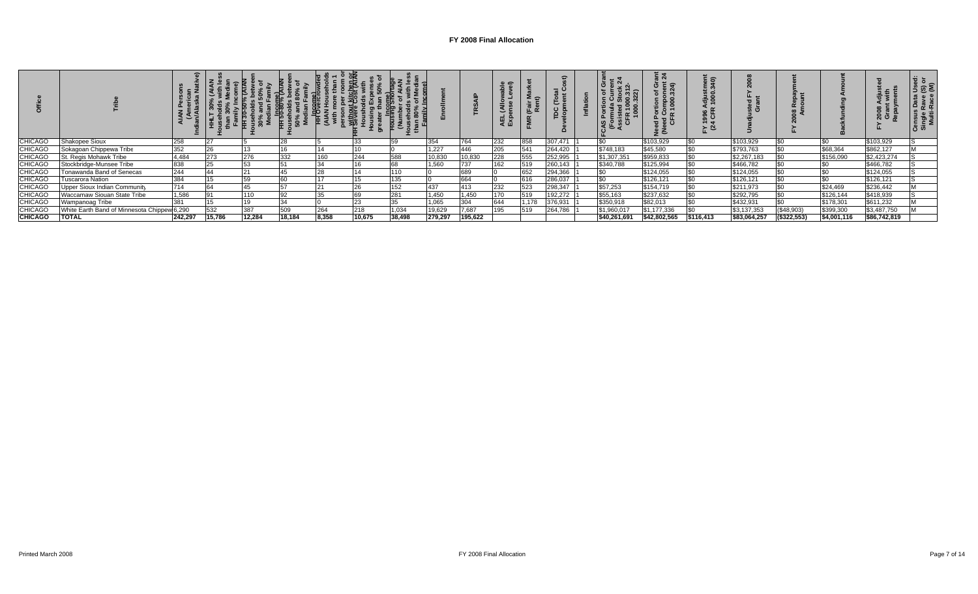|                |                                             |         |        |        |        |       |        |        |         |         | . e<br>1 및 찣 |       |         | ဖာ           | <u>្តី</u> ង<br>$\Delta$ $\equiv$ $\Rightarrow$<br>គន<br>∍ ປັ∝∠<br>ᇴᅙ<br>훈혼 | : ຣ<br>: 8<br>ន្លឺ &៊ |              |                |             | នី ចិ ខ្លី   |  |
|----------------|---------------------------------------------|---------|--------|--------|--------|-------|--------|--------|---------|---------|--------------|-------|---------|--------------|-----------------------------------------------------------------------------|-----------------------|--------------|----------------|-------------|--------------|--|
| <b>CHICAGO</b> | Shakopee Sioux                              | 258     |        |        |        |       |        |        | 354     | 764     | 232          | 858   | 307,471 | \$0          | \$103,929                                                                   |                       | \$103,929    |                |             | \$103,929    |  |
| <b>CHICAGO</b> | Sokagoan Chippewa Tribe                     | 352     |        |        |        |       |        |        | 1,227   | 446     | 205          | 541   | 264,420 | \$748,183    | \$45,580                                                                    |                       | \$793,763    |                | \$68,364    | \$862,127    |  |
| <b>CHICAGO</b> | St. Regis Mohawk Tribe                      | 4,484   | 273    | 276    | 332    | 160   | 244    | 588    | 10,830  | 10,830  | 228          | 555   | 252,995 | \$1,307,351  | \$959,833                                                                   |                       | \$2,267,183  |                | \$156,090   | \$2,423,274  |  |
| <b>CHICAGO</b> | Stockbridge-Munsee Tribe                    | 838     |        | 53     |        | 34    |        | 68     | 1,560   | 737     | 162          | 519   | 260,143 | \$340,788    | \$125,994                                                                   |                       | \$466,782    |                |             | \$466,782    |  |
| <b>CHICAGO</b> | Tonawanda Band of Senecas                   | 244     |        |        |        |       |        | 110    |         | 689     |              | 652   | 294,366 |              | \$124,055                                                                   |                       | \$124,055    |                |             | \$124,055    |  |
| <b>CHICAGO</b> | <b>Tuscarora Nation</b>                     | 384     |        |        |        |       |        | 135    |         | 664     |              | 616   | 286,037 | \$0          | \$126,121                                                                   |                       | \$126,121    |                |             | \$126,121    |  |
| <b>CHICAGO</b> | Upper Sioux Indian Community                | 714     |        | 45     |        |       |        | 152    | 437     | 413     | 232          | 523   | 298,347 | \$57,253     | \$154,719                                                                   |                       | \$211,973    |                | \$24,469    | \$236,442    |  |
| <b>CHICAGO</b> | Waccamaw Siouan State Tribe                 | 1,586   |        | 110    |        |       |        | 281    | 1,450   | 1,450   | 170          | 519   | 192,272 | \$55,163     | \$237,632                                                                   |                       | \$292,795    |                | \$126,144   | \$418,939    |  |
| <b>CHICAGO</b> | Wampanoag Tribe                             | 381     |        |        |        |       |        | 35     | 1,065   | 304     | 644          | 1,178 | 376,931 | \$350,918    | \$82,013                                                                    |                       | \$432,931    |                | \$178,301   | \$611,232    |  |
| <b>CHICAGO</b> | White Earth Band of Minnesota Chippew 6,290 |         | 532    | 387    | 509    | 264   | 218    | 1,034  | 19,629  | 7,687   | 195          | 519   | 264,786 | \$1,960,017  | \$1,177,336                                                                 |                       | \$3,137,353  | (\$48,903)     | \$399,300   | \$3,487,750  |  |
| <b>CHICAGO</b> | <b>TOTAL</b>                                | 242,297 | 15,786 | 12,284 | 18,184 | 8,358 | 10,675 | 38,498 | 279,297 | 195,622 |              |       |         | \$40,261,691 | \$42,802,565                                                                | \$116,413             | \$83,064,257 | $($ \$322,553) | \$4,001,116 | \$86,742,819 |  |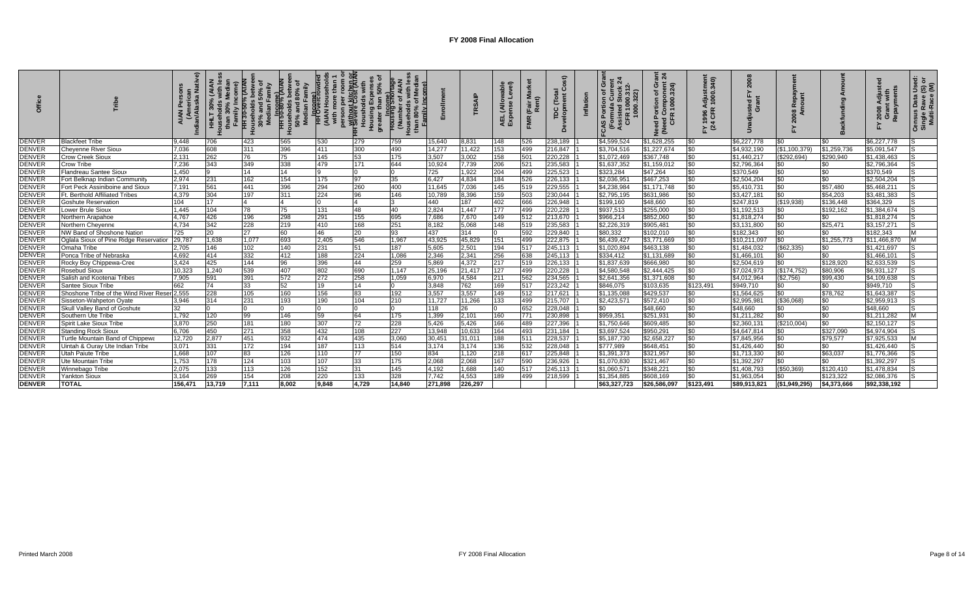|               |                                              |         |        | $30\%$ | $80^{\circ}$<br><b>TH</b> 50-80% (P<br>$50\%$<br>Med | - ram<br>- HH <mark>Overcro</mark><br>- (АІАМ | person per .<br>- Without kitchen or<br>- Severe Cost (AIAN)<br>Housi<br>Housi<br>greate | <b>Income)</b><br>Dusing Sho<br>$rac{1}{2}$ |         | <b>SAIP</b> | $\widehat{\pi}$<br>ellA)<br>4EL | (Fair<br>Ren | 5C      | Inflation | ပ<br>ত<br>ō<br>$\frac{5}{16}$ $\frac{6}{16}$<br><u>ីទី</u><br>ທ | <u>हैं द्वा</u><br>mponent<br>000.324)<br>ඏ<br>ed Col<br>CFR 1<br>ಕ್ಕೆ | tmen <sup>-</sup><br>340)<br>1996 Adjust<br>CFR 1000.<br>$\frac{1}{2}$ $\frac{5}{4}$ |              |               |             | 2008<br>Repa | ingle Rave<br>Multi-Race<br>ő<br>Census<br>Single |
|---------------|----------------------------------------------|---------|--------|--------|------------------------------------------------------|-----------------------------------------------|------------------------------------------------------------------------------------------|---------------------------------------------|---------|-------------|---------------------------------|--------------|---------|-----------|-----------------------------------------------------------------|------------------------------------------------------------------------|--------------------------------------------------------------------------------------|--------------|---------------|-------------|--------------|---------------------------------------------------|
| <b>DENVER</b> | <b>Blackfeet Tribe</b>                       | 9,448   | 706    | 423    | 565                                                  | 530                                           | 279                                                                                      | 759                                         | 15.640  | 8,831       | 148                             | 526          | 238,189 |           | \$4.599.524                                                     | \$1,628,255                                                            | <b>\$0</b>                                                                           | \$6,227,778  |               | <b>SO</b>   | \$6,227,778  |                                                   |
| <b>DENVER</b> | Chevenne River Sioux                         | 7.036   | 608    | 311    | 396                                                  | 411                                           | 300                                                                                      | 490                                         | 14.277  | 11,422      | 153                             | 499          | 216,847 |           | \$3,704.516                                                     | \$1,227,674                                                            | <b>SO</b>                                                                            | \$4,932,190  | (\$1,100,379) | \$1,259,736 | \$5,091,547  |                                                   |
| <b>DENVER</b> | Crow Creek Sioux                             | 2,131   | 262    | 76     |                                                      | 145                                           | 53                                                                                       | 175                                         | 3,507   | 3,002       | 158                             | 501          | 220,228 |           | \$1,072,469                                                     | \$367,748                                                              | \$0                                                                                  | \$1,440,217  | \$292,694)    | \$290,940   | \$1,438,463  |                                                   |
| <b>DENVER</b> | Crow Tribe                                   | 7.236   | 343    | 349    | 338                                                  | 479                                           | 171                                                                                      | 644                                         | 10.924  | 7,739       | 206                             | 521          | 235,583 |           | \$1,637,352                                                     | \$1,159,012                                                            | <b>SO</b>                                                                            | \$2,796,364  |               |             | \$2,796,364  |                                                   |
| <b>DENVER</b> | Flandreau Santee Sioux                       | 1.450   |        | 14     | 14                                                   |                                               |                                                                                          |                                             | 725     | 1,922       | 204                             | 499          | 225,523 |           | \$323,284                                                       | \$47,264                                                               | \$0                                                                                  | \$370,549    |               | \$0         | \$370,549    |                                                   |
| <b>DENVER</b> | Fort Belknap Indian Community                | 2,974   | 231    | 162    | 154                                                  | 175                                           | 97                                                                                       | 35                                          | 6,427   | 4,834       | 184                             | 526          | 226,133 |           | \$2,036,95                                                      | \$467,253                                                              | \$0                                                                                  | \$2,504,204  |               | \$0         | \$2,504,204  |                                                   |
| <b>DENVER</b> | Fort Peck Assiniboine and Sioux              | 7,191   | 561    | 441    | 396                                                  | 294                                           | 260                                                                                      | 400                                         | 11,645  | 7,036       | 145                             | 519          | 229,555 |           | \$4,238,984                                                     | \$1,171,748                                                            | \$0                                                                                  | \$5,410,731  |               | \$57,480    | \$5,468,211  |                                                   |
| <b>DENVER</b> | <b>Ft. Berthold Affiliated Tribes</b>        | 4,379   | 304    | 197    | 311                                                  | 224                                           | 96                                                                                       | 146                                         | 10,789  | 8,396       | 159                             | 503          | 230,044 |           | \$2,795,195                                                     | \$631,986                                                              | \$0                                                                                  | \$3,427,181  |               | \$54,203    | \$3,481,383  |                                                   |
| <b>DENVER</b> | <b>Goshute Reservation</b>                   | 104     | 17     |        |                                                      |                                               |                                                                                          |                                             | 440     | 187         | 402                             | 666          | 226,948 |           | \$199,160                                                       | \$48,660                                                               | \$0                                                                                  | \$247,819    | (\$19,938)    | \$136,448   | \$364,329    |                                                   |
| <b>DENVER</b> | <b>Lower Brule Sioux</b>                     | 1.445   | 104    | 78     | 75                                                   | 131                                           | 48                                                                                       | 40                                          | 2.824   | 1,447       | 177                             | 499          | 220,228 |           | \$937,513                                                       | \$255,000                                                              | \$0                                                                                  | \$1,192,513  |               | \$192,162   | \$1,384,674  |                                                   |
| <b>DENVER</b> | Northern Arapahoe                            | 4.767   | 426    | 196    | 298                                                  | 291                                           | 155                                                                                      | 695                                         | 7,686   | 7,670       | 149                             | 512          | 213,670 |           | \$966,214                                                       | \$852,060                                                              | \$0                                                                                  | \$1,818,274  | \$0           | SO.         | \$1,818,274  | S                                                 |
| <b>DENVER</b> | Northern Cheyenne                            | 4.734   | 342    | 228    | 219                                                  | 410                                           | 168                                                                                      | 251                                         | 8,182   | 5,068       | 148                             | 519          | 235,583 |           | \$2,226,319                                                     | \$905,481                                                              | \$0                                                                                  | \$3,131,800  |               | \$25,471    | \$3,157,271  |                                                   |
| <b>DENVER</b> | NW Band of Shoshone Nation                   | 725     | 20     | 27     | 60                                                   | 46                                            | 20                                                                                       | 93                                          | 437     | 314         |                                 | 592          | 229,840 |           | \$80,332                                                        | \$102,010                                                              | <b>SO</b>                                                                            | \$182,343    |               | \$0         | \$182,343    |                                                   |
| <b>DENVER</b> | Oglala Sioux of Pine Ridge Reservation       | 29,787  | 1,638  | 1,077  | 693                                                  | 2,405                                         | 546                                                                                      | 1,967                                       | 43,925  | 45,829      | 151                             | 499          | 222,875 |           | \$6,439,427                                                     | \$3,771,66                                                             | \$0                                                                                  | \$10,211,097 |               | \$1,255,773 | \$11,466,870 |                                                   |
| <b>DENVER</b> | Omaha Tribe                                  | 2.705   | 146    | 102    | 140                                                  | 231                                           | 51                                                                                       | 187                                         | 5,605   | 2,501       | 194                             | 517          | 245,113 |           | \$1,020,894                                                     | \$463,138                                                              | \$0                                                                                  | \$1,484,032  | (\$62,335)    | \$0         | \$1,421,697  |                                                   |
| <b>DENVER</b> | Ponca Tribe of Nebraska                      | 4,692   | 414    | 332    | 412                                                  | 188                                           | 224                                                                                      | 1,086                                       | 2,346   | 2,341       | 256                             | 638          | 245,113 |           | \$334,412                                                       | \$1,131,689                                                            | \$0                                                                                  | \$1,466,101  |               | SO.         | \$1,466,101  |                                                   |
| <b>DENVER</b> | Rocky Boy Chippewa-Cree                      | 3,424   | 425    | 144    | 96                                                   | 396                                           | 44                                                                                       | 259                                         | 5,869   | 4,372       | 217                             | 519          | 226,133 |           | \$1,837,639                                                     | \$666,980                                                              | \$0                                                                                  | \$2,504,619  |               | \$128,920   | \$2,633,539  |                                                   |
| <b>DENVER</b> | Rosebud Sioux                                | 10,323  | 1,240  | 539    | 407                                                  | 802                                           | 690                                                                                      | 1.147                                       | 25,196  | 21,417      | 127                             | 499          | 220,228 |           | \$4,580,548                                                     | \$2,444,425                                                            | <b>SO</b>                                                                            | \$7,024,973  | (\$174, 752)  | \$80,906    | \$6,931,127  |                                                   |
| <b>DENVER</b> | Salish and Kootenai Tribes                   | 7,905   | 591    | 391    | 572                                                  | 272                                           | 258                                                                                      | 1,059                                       | 6,970   | 4,584       | 211                             | 562          | 234,565 |           | \$2,641,356                                                     | \$1,371,608                                                            | \$0                                                                                  | \$4,012,964  | (\$2,756)     | \$99,430    | \$4,109,638  |                                                   |
| <b>DENVER</b> | Santee Sioux Tribe                           | 662     | 74     | 33     | 52                                                   | 19                                            | 14                                                                                       |                                             | 3,848   | 762         | 169                             | 517          | 223,242 |           | \$846,075                                                       | \$103,635                                                              | \$123,491                                                                            | \$949,710    | \$0           | \$0         | \$949.710    |                                                   |
| <b>DENVER</b> | Shoshone Tribe of the Wind River Reser 2,555 |         | 228    | 105    | 160                                                  | 156                                           | 83                                                                                       | 192                                         | 3,557   | 3,557       | 149                             | 512          | 217,621 |           | \$1,135,088                                                     | \$429,537                                                              | \$0                                                                                  | \$1,564,625  |               | \$78,762    | \$1,643,387  |                                                   |
| <b>DENVER</b> | Sisseton-Wahpeton Oyate                      | 3,946   | 314    | 231    | 193                                                  | 190                                           | 104                                                                                      | 210                                         | 11,727  | 11,266      | 133                             | 499          | 215,707 |           | \$2,423,571                                                     | \$572,410                                                              | \$0                                                                                  | \$2,995,98   | (\$36,068)    | \$0         | \$2,959,913  |                                                   |
| <b>DENVER</b> | <b>Skull Valley Band of Goshute</b>          | 32      |        |        |                                                      |                                               |                                                                                          |                                             | 118     | 26          |                                 | 652          | 228.048 |           | $\overline{S}0$                                                 | \$48,660                                                               | <b>SO</b>                                                                            | \$48.660     |               | \$0         | \$48,660     |                                                   |
| <b>DENVER</b> | Southern Ute Tribe                           | 1.792   | 120    | 99     | 146                                                  | 59                                            | 64                                                                                       | 175                                         | 1,399   | 2,101       | 160                             | 771          | 230,898 |           | \$959,351                                                       | \$251,931                                                              | \$0                                                                                  | \$1,211,282  | \$0           | SO.         | \$1,211,282  |                                                   |
| <b>DENVER</b> | Spirit Lake Sioux Tribe                      | 3,870   | 250    | 181    | 180                                                  | 307                                           | 72                                                                                       | 228                                         | 5,426   | 5,426       | 166                             | 489          | 227,396 |           | \$1,750,646                                                     | \$609,485                                                              | \$0                                                                                  | \$2,360,13'  | (\$210,004)   | SO.         | \$2,150,127  |                                                   |
| <b>DENVER</b> | <b>Standing Rock Sioux</b>                   | 6.706   | 450    | 271    | 358                                                  | 432                                           | 108                                                                                      | 227                                         | 13,948  | 10,633      | 164                             | 493          | 231,184 |           | \$3,697,524                                                     | \$950,291                                                              | \$0                                                                                  | \$4,647,814  |               | \$327,090   | \$4,974,904  |                                                   |
| <b>DENVER</b> | Turtle Mountain Band of Chippew              | 12,720  | 2,877  | 451    | 932                                                  | 474                                           | 435                                                                                      | 3,060                                       | 30,451  | 31,011      | 188                             | 511          | 228,537 |           | \$5,187,730                                                     | \$2,658,227                                                            | 50                                                                                   | \$7,845,956  |               | \$79,577    | \$7,925,533  |                                                   |
| <b>DENVER</b> | Uintah & Ouray Ute Indian Tribe              | 3,071   | 331    | 172    | 194                                                  | 187                                           | 113                                                                                      | 514                                         | 3,174   | 3,174       | 136                             | 532          | 228,048 |           | \$777,989                                                       | \$648,451                                                              | <b>SO</b>                                                                            | 51,426,440   |               |             | \$1,426,440  |                                                   |
| <b>DENVER</b> | Utah Paiute Tribe                            | 1,668   | 107    | 83     | 126                                                  | 110                                           | 77                                                                                       | 150                                         | 834     | 1,120       | 218                             | 617          | 225,848 |           | \$1,391,373                                                     | \$321,957                                                              | <b>\$0</b>                                                                           | \$1,713,330  |               | \$63,037    | \$1,776,366  |                                                   |
| <b>DENVER</b> | Ute Mountain Tribe                           | 1.753   | 178    | 124    | 103                                                  | 107                                           | 33                                                                                       | 175                                         | 2,068   | 2,068       | 167                             | 590          | 236,926 |           | \$1,070,830                                                     | \$321,467                                                              | \$0                                                                                  | \$1,392,297  |               | \$0         | \$1,392,297  |                                                   |
| <b>DENVER</b> | Winnebago Tribe                              | 2.075   | 133    | 113    | 126                                                  | 152                                           | 31                                                                                       | 145                                         | 4,192   | 1.688       | 140                             | 517          | 245,113 |           | \$1,060,57                                                      | \$348,221                                                              | <b>SO</b>                                                                            | \$1,408,793  | \$50,369)     | \$120,410   | \$1,478,834  |                                                   |
| <b>DENVER</b> | Yankton Sioux                                | 3.164   | 269    | 154    | 208                                                  | 220                                           | 133                                                                                      | 328                                         | 7.742   | 4,553       | 189                             | 499          | 218,599 |           | \$1.354.885                                                     | \$608.169                                                              | \$0                                                                                  | \$1.963.054  |               | \$123.322   | \$2,086,376  |                                                   |
| <b>DENVER</b> | <b>TOTAL</b>                                 | 156.471 | 13,719 | 7.111  | 8.002                                                | 9.848                                         | 4.729                                                                                    | 14.840                                      | 271.898 | 226.297     |                                 |              |         |           | \$63,327,723                                                    | \$26,586,097                                                           | \$123.491                                                                            | \$89.913.821 | (S1.949.295)  | \$4,373,666 | \$92,338,192 |                                                   |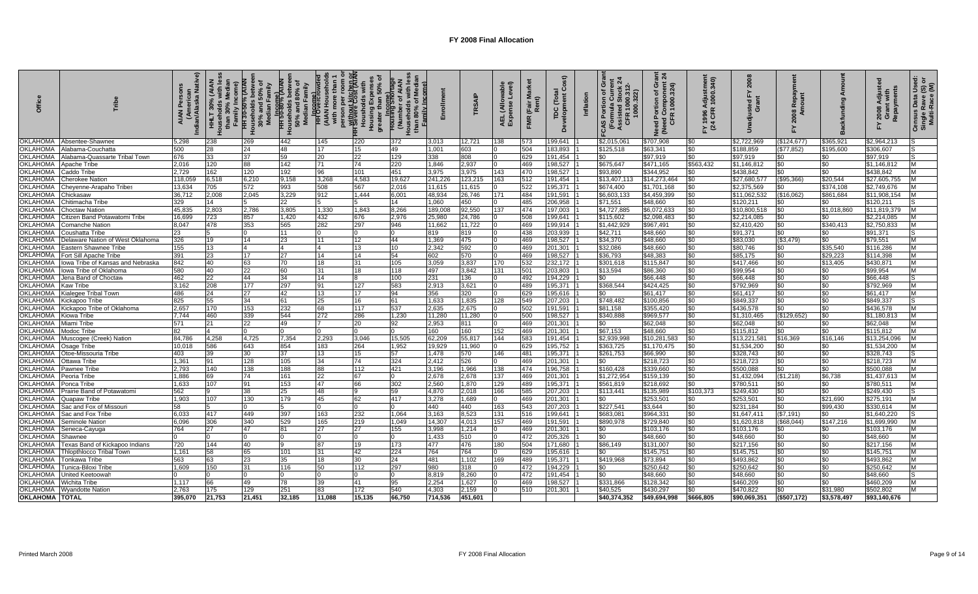|                                    |                                  | Native)<br>Indian/Alaska<br><b>AIAN</b> | HHLT 30% (AIAN | ৽<br>Family<br>HH 30-50% (Al <i>A</i><br>ouseholds betw<br>30% and 50% c<br>Median Family<br>훞 | ৳<br>έ<br>ouseholds betw<br>50% and 80% c<br>Median Family<br>hcome)<br>HH 50-80% (P | <b>HH</b> Overcro<br>(AIAN Hous | <del>, without kitchen or</del><br>Housholds with<br>Housholds with<br>Housing Expenses<br>greater than 50% of | ৳          |                | TRSAIP       | able<br>svel)<br>AEL (Allow<br>Expense L | (Fair<br>Ren<br><b>FMR</b> | $\tilde{O}$<br>Development<br>$\overline{c}$<br>TDC | ō<br>Ń<br><b>-CAS Portion of GI<br/>(Formula Current)</b><br>Assisted Stock 2<br>CFR 1000.312-<br>322) | Grant<br>snt 24<br>Need Portion of Gra<br>(Need Component 2)<br>CFR 1000.324) | Adjustment<br>२ 1000.340)<br>FY 1996 A<br>(24 CFR | ສ<br>ಕ ಠ               | ನ               |                       | Repayments<br>2008     | $\mathbf{v} \in \mathbb{R}$<br>١š<br>Census Data I<br>Single Rave (\<br>Multi-Race ( |
|------------------------------------|----------------------------------|-----------------------------------------|----------------|------------------------------------------------------------------------------------------------|--------------------------------------------------------------------------------------|---------------------------------|----------------------------------------------------------------------------------------------------------------|------------|----------------|--------------|------------------------------------------|----------------------------|-----------------------------------------------------|--------------------------------------------------------------------------------------------------------|-------------------------------------------------------------------------------|---------------------------------------------------|------------------------|-----------------|-----------------------|------------------------|--------------------------------------------------------------------------------------|
| <b>OKLAHOMA</b>                    | Absentee-Shawnee                 | 5,298                                   | 238            | 269                                                                                            | 442                                                                                  | 145                             | 220                                                                                                            | 372        | 3.013          | 12,721       | 138                                      | 573                        | 199.641                                             | \$2.015.061                                                                                            | \$707.908                                                                     | \$0                                               | \$2,722,969            | (\$124, 677)    | \$365,921             | \$2,964,213            |                                                                                      |
| <b>OKLAHOMA</b>                    | Alabama-Couchatta                | 500                                     | 28             | 24                                                                                             | 48                                                                                   | 17                              | 15                                                                                                             | 49         | 1.001          | 603          |                                          | 504                        | 183,893                                             | \$125,518                                                                                              | \$63.341                                                                      | \$0                                               | \$188.859              | (\$77,852)      | \$195,600             | \$306.607              | IS.                                                                                  |
| OKLAHOMA                           | Nabama-Quassarte Tribal Towr     | 676                                     | 33             | 37                                                                                             | 59                                                                                   | 20                              | 22                                                                                                             | 129        | 338            | 808          |                                          | 629                        | 191,454                                             | \$0                                                                                                    | \$97,919                                                                      | \$0                                               | \$97,919               | \$0             | \$0                   | \$97,919               |                                                                                      |
| <b>OKLAHOMA</b>                    | <b>\pache Tribe</b>              | 2.016                                   | 120            | 88                                                                                             | 142                                                                                  | 71                              | 74                                                                                                             | 220        | 1.846          | 2,937        |                                          | 469                        | 198.527                                             | \$675,647                                                                                              | \$471,165                                                                     | \$563.432                                         | \$1,146,81             | \$0             | \$0                   | \$1,146,812            | M                                                                                    |
| <b>OKLAHOMA</b>                    | Caddo Tribe                      | 2.729                                   | 162            | 120                                                                                            | 192                                                                                  | 96                              | 101                                                                                                            | 451        | 3,975          | 3,975        | 143                                      | 470                        | 198,527                                             | \$93.890                                                                                               | \$344.952                                                                     | \$0                                               | \$438.842              | \$0             | \$0                   | \$438,842              | M                                                                                    |
| <b>OKLAHOMA</b>                    | Cherokee Nation                  | 118,059                                 | 6,518          | 6,210                                                                                          | 9,158                                                                                | 3,268                           | 4,583                                                                                                          | 19,627     | 241,226        | 123,215      | 163                                      | 512                        | 191,454                                             | \$13,407,113                                                                                           | \$14,273,464                                                                  | \$0                                               | \$27,680,577           | (\$95,366)      | \$20,544              | \$27,605,755           | <b>IM</b>                                                                            |
| <b>OKLAHOMA</b>                    | heyenne-Arapaho Tribes           | 13,634                                  | 705            | 572                                                                                            | 993                                                                                  | 508                             | 567                                                                                                            | 2,016      | 11,615         | 11,615       |                                          | 522                        | 195,371                                             | \$674,400                                                                                              | \$1,701,168                                                                   | \$0                                               | \$2,375,569            | \$0             | \$374,108             | \$2,749,676            |                                                                                      |
| <b>OKLAHOMA</b>                    | hickasaw:                        | 36,712                                  | 2,008          | 2,045                                                                                          | 3,229                                                                                | 912                             | 1,444                                                                                                          | 6,001      | 48,934         | 26,746       | 171                                      | 484                        | 191,591                                             | \$6,603,133                                                                                            | \$4,459,399                                                                   | \$0                                               | \$11,062,532           | (\$16,062)      | \$861,684             | \$11,908,154           |                                                                                      |
| <b>OKLAHOMA</b>                    | Chitimacha Tribe                 | 329                                     | 14             | 5                                                                                              | 22                                                                                   |                                 |                                                                                                                | 14         | 1,060          | 450          |                                          | 485                        | 206,958                                             | \$71,551                                                                                               | \$48,660                                                                      | \$0                                               | \$120,21'              | \$0             | \$0                   | \$120,211              |                                                                                      |
| <b>OKLAHOMA</b>                    | Choctaw Nation                   | 45.835                                  | 2,803          | 2,786                                                                                          | 3,805                                                                                | 1,330                           | 1,843                                                                                                          | 8,266      | 189,008        | 92,550       | 137                                      | 474                        | 197,003                                             | \$4,727,885                                                                                            | \$6,072,633                                                                   | \$0                                               | \$10,800,518           | \$0             | \$1,018,860           | \$11,819,379           | M                                                                                    |
| <b>OKLAHOMA</b>                    | itizen Band Potawatomi Tribe     | 16.699                                  | 723            | 857                                                                                            | 1,420                                                                                | 432                             | 676                                                                                                            | 2.976      | 25.980         | 24,786       |                                          | 508                        | 199.641                                             | \$115,602                                                                                              | \$2.098.483                                                                   | \$0                                               | \$2.214.085            | \$0             | \$0                   | \$2,214,085            | M                                                                                    |
| <b>OKLAHOMA</b>                    | Comanche Natior                  | 8.047                                   | 478            | 353                                                                                            | 565                                                                                  | 282                             | 297                                                                                                            | 946        | 11.662         | 11,722       |                                          | 469                        | 199,914                                             | \$1,442,929                                                                                            | \$967.491                                                                     | \$0                                               | \$2,410,420            | \$0             | \$340,413             | \$2,750,833            | <b>M</b>                                                                             |
| OKLAHOMA                           | Coushatta Tribe                  | 23.                                     |                |                                                                                                | 11                                                                                   |                                 |                                                                                                                |            | 819            | 819          |                                          | 438                        | 203,939                                             | \$42,711                                                                                               | \$48,660                                                                      | \$0                                               | \$91,371               | \$0             | \$0                   | \$91,371               | ıs                                                                                   |
| <b>OKLAHOMA</b>                    | Delaware Nation of West Oklahoma | 326                                     | 19             | 14                                                                                             | 23                                                                                   | 11                              | 12                                                                                                             | 44         | 1.369          | 475          |                                          | 469                        | 198.527                                             | \$34,370                                                                                               | \$48,660                                                                      | \$0                                               | \$83.030               | (\$3,479)       | \$0                   | \$79.551               | M                                                                                    |
| <b>OKLAHOMA</b>                    | Eastern Shawnee Tribe            | 155                                     | 13             | $\overline{4}$                                                                                 | 14                                                                                   | $\Delta$                        | 13                                                                                                             | 10         | 2.342          | 592          |                                          | 469                        | 201,301                                             | \$32,086                                                                                               | \$48,660                                                                      | \$0                                               | \$80.746               | \$0             | \$35.540              | \$116,286              | M                                                                                    |
| <b>OKLAHOMA</b>                    | Fort Sill Apache Tribe           | 391                                     | 23             | 17                                                                                             | 27                                                                                   | 14                              | 14                                                                                                             | 54         | 602            | 570          |                                          | 469                        | 198,527                                             | \$36,793                                                                                               | \$48,383                                                                      | \$0                                               | \$85,175               | \$0             | \$29,223              | \$114,398              | M                                                                                    |
| <b>OKLAHOMA</b>                    | owa Tribe of Kansas and Nebraska | 842                                     | 40             | 63                                                                                             | 70                                                                                   | 18                              | 31                                                                                                             | 105        | 3,059          | 3,837        | 170                                      | 532                        | 232,172                                             | \$301,618                                                                                              | \$115,847                                                                     | \$0                                               | \$417,466              | \$0             | \$13,405              | \$430,871              | M                                                                                    |
| <b>OKLAHOMA</b>                    | lowa Tribe of Oklahoma           | 580                                     | 40             | 22                                                                                             | 60                                                                                   | 31                              | 18                                                                                                             | 118        | 497            | 3,842        | 131                                      | 501                        | 203,803                                             | \$13,594                                                                                               | \$86,360                                                                      | \$0                                               | \$99,954               | \$0             | \$0                   | \$99,954               | M                                                                                    |
| <b>OKLAHOMA</b>                    | Jena Band of Choctaw             | 462                                     | 22             | 44                                                                                             | 34                                                                                   | 14                              |                                                                                                                | 100        | 231            | 136          |                                          | 492                        | 194,229                                             | \$0                                                                                                    | \$66,448                                                                      | \$0                                               | \$66,448               | \$0             | \$0                   | \$66,448               | IS                                                                                   |
| <b>OKLAHOMA</b>                    | Kaw Tribe                        | 3.162                                   | 208            | 177                                                                                            | 297                                                                                  | 91                              | 127                                                                                                            | 583        | 2,913          | 3,621        |                                          | 489                        | 195.371                                             | \$368.544                                                                                              | \$424,425                                                                     | \$0                                               | \$792,969              | \$0             | \$0                   | \$792,969              | <b>M</b>                                                                             |
| <b>OKLAHOMA</b>                    | ialegee Tribal Town              | 486                                     | 24             | 27                                                                                             | 42                                                                                   | 13                              | 17                                                                                                             | 94         | 356            | 320          |                                          | 629                        | 195,616                                             | \$0                                                                                                    | \$61.417                                                                      | \$0                                               | \$61,417               | \$0             | \$0                   | \$61.417               | M                                                                                    |
| <b>OKLAHOMA</b>                    | Gickapoo Tribe                   | 825                                     | 55             | 34                                                                                             | 61                                                                                   | 25                              | 16                                                                                                             | 61         | 1.633          | 1.835        | 128                                      | 549                        | 207,203                                             | \$748,482                                                                                              | \$100,856                                                                     | \$0                                               | \$849.337              | $\overline{50}$ | $\frac{1}{20}$        | \$849.337              | lS.                                                                                  |
| OKLAHOMA                           | Gickapoo Tribe of Oklahoma       | 2.657                                   | 170            | 153                                                                                            | 232                                                                                  | 68                              | 117                                                                                                            | 537        | 2.635          | 2,675        |                                          | 502                        | 191,591                                             | \$81,158                                                                                               | \$355,420                                                                     | \$0                                               | \$436,578              | \$0             | \$0                   | \$436,578              | M                                                                                    |
| <b>OKLAHOMA</b>                    | Kiowa Tribe                      | 7.744                                   | 460            | 339                                                                                            | 544                                                                                  | 272                             | 286                                                                                                            | 1.230      | 11,280         | 11,280       |                                          | 500                        | 198.527                                             | \$340,888                                                                                              | \$969,577                                                                     | \$0                                               | \$1.310.465            | (\$129,652)     | \$0                   | \$1,180,81             | M                                                                                    |
| <b>OKLAHOMA</b>                    | <i>A</i> iami Tribe              | 571                                     | 21             | 22                                                                                             | 49                                                                                   |                                 | 20                                                                                                             | 92         | 2,953          | 811          |                                          | 469                        | 201,301                                             | \$0                                                                                                    | \$62,048                                                                      | \$0                                               | \$62,048               | \$0             | \$0                   | \$62,048               | M                                                                                    |
| <b>OKLAHOMA</b>                    | Aodoc Tribe                      | 82                                      |                | 0                                                                                              | l0                                                                                   |                                 |                                                                                                                |            | 160            | 160          | 152                                      | 469                        | 201,301                                             | \$67,153                                                                                               | \$48,660                                                                      | \$0                                               | \$115,812              | \$0             | \$0                   | \$115,812              | M                                                                                    |
| <b>OKLAHOMA</b>                    | Auscogee (Creek) Nation          | 84.786                                  | 4,258          | 4,725                                                                                          | 7,354                                                                                | 2,293                           | 3,046                                                                                                          | 15,505     | 62,209         | 55,817       | 144                                      | 583                        | 191,454                                             | \$2,939,998                                                                                            | \$10,281,583                                                                  | \$0                                               | \$13,221,58            | \$16,369        | \$16.146              | \$13,254,096           | M                                                                                    |
| <b>OKLAHOMA</b>                    | )sage Tribe                      | 10,018                                  | 586            | 643                                                                                            | 854                                                                                  | 183                             | 264                                                                                                            | 1,952      | 19,929         | 11,960       |                                          | 629                        | 195,752                                             | \$363,725                                                                                              | \$1,170,475                                                                   | \$0                                               | \$1,534,200            | \$0             | \$0                   | \$1,534,200            | M                                                                                    |
| <b>OKLAHOMA</b>                    | Dtoe-Missouria Tribe             | 403                                     | 39<br>91       | 30                                                                                             | 37                                                                                   | 13                              | 15<br>74                                                                                                       | 57         | 1,478          | 570          | 146                                      | 481                        | 195,371                                             | \$261,753                                                                                              | \$66,990                                                                      | \$0                                               | \$328,743              | \$0             | \$0                   | \$328,743              | IS<br>M                                                                              |
| <b>OKLAHOMA</b><br><b>OKLAHOMA</b> | Dttawa Tribe                     | 1.361<br>2.793                          | 140            | 128<br>138                                                                                     | 105<br>188                                                                           | 34<br>88                        | $\frac{1}{112}$                                                                                                | 324<br>421 | 2,412<br>3.196 | 526<br>1.966 |                                          | 469<br>474                 | 201,301<br>196.758                                  | \$0<br>\$160,428                                                                                       | \$218,723<br>\$339.660                                                        | \$C<br>\$0                                        | \$218.723<br>\$500.088 | \$0<br>\$0      | \$0<br>$\frac{1}{20}$ | \$218.723<br>\$500.088 | M                                                                                    |
| <b>OKLAHOMA</b>                    | awnee Tribe                      | 1.886                                   | 69             | 74                                                                                             | 161                                                                                  | 22                              | 67                                                                                                             |            | 2,678          | 2,678        | 138<br>137                               | 469                        | 201,301                                             | \$1,272,954                                                                                            | \$159,139                                                                     | \$0                                               | \$1,432,094            | (\$1,218)       | \$6,738               | \$1,437,613            | <b>IM</b>                                                                            |
| <b>OKLAHOMA</b>                    | Peoria Tribe<br>Ponca Tribe      | 1.633                                   | 107            | 91                                                                                             | 153                                                                                  | 47                              | 66                                                                                                             | 302        | 2,560          | 1,870        | 129                                      | 489                        | 195,371                                             | \$561,819                                                                                              | \$218,692                                                                     | \$0                                               | \$780,51               | \$0             | \$0                   | \$780,511              | M                                                                                    |
| <b>OKLAHOMA</b>                    | Prairie Band of Potawatomi       | 562                                     |                | 38                                                                                             | 25                                                                                   | 48                              |                                                                                                                | 59         | 4,870          | 2,018        | 166                                      | 585                        | 207,203                                             | \$113,441                                                                                              | \$135,989                                                                     | \$103,373                                         | \$249,430              | \$0             | \$0                   | \$249,430              | ۱S                                                                                   |
| <b>OKLAHOMA</b>                    | Quapaw Tribe                     | 1.903                                   | 107            | 130                                                                                            | 179                                                                                  | 45                              | 62                                                                                                             | 417        | 3,278          | 1,689        |                                          | 469                        | 201,301                                             | \$0                                                                                                    | \$253,501                                                                     | \$0                                               | \$253,50               | \$0             | \$21.690              | \$275,191              | M                                                                                    |
| <b>OKLAHOMA</b>                    | Sac and Fox of Missour           | 58                                      | 5              | $\Omega$                                                                                       | 5                                                                                    | $\Omega$                        |                                                                                                                |            | 440            | 440          | 163                                      | 543                        | 207,203                                             | \$227,541                                                                                              | \$3,644                                                                       | \$0                                               | \$231,184              | $\frac{1}{2}$   | \$99,430              | \$330,614              | M                                                                                    |
| <b>OKLAHOMA</b>                    | Sac and Fox Tribe                | 6,033                                   | 417            | 449                                                                                            | 397                                                                                  | 163                             | 232                                                                                                            | 1,064      | 3,163          | 8,523        | 131                                      | 516                        | 199,641                                             | \$683,08                                                                                               | \$964,331                                                                     | \$0                                               | \$1,647,41             | (\$7,191)       | \$0                   | \$1,640,220            | lS                                                                                   |
| <b>OKLAHOMA</b>                    | Seminole Nation                  | 6,096                                   | 306            | 340                                                                                            | 529                                                                                  | 165                             | 219                                                                                                            | 1.049      | 14,307         | 4,013        | 157                                      | 469                        | 191,591                                             | \$890,978                                                                                              | \$729,840                                                                     | \$0                                               | \$1,620,81             | (\$68,044)      | \$147,216             | \$1,699,990            | M                                                                                    |
| <b>OKLAHOMA</b>                    | Seneca-Cayuqa                    | 764                                     | 27             | 47                                                                                             | 81                                                                                   | 27                              | 27                                                                                                             | 155        | 3.998          | 1.214        |                                          | 469                        | 201,301                                             | \$0                                                                                                    | \$103,176                                                                     | \$0                                               | \$103.176              | \$0             | \$0                   | \$103,176              | M                                                                                    |
| <b>OKLAHOMA</b>                    | Shawnee                          |                                         |                |                                                                                                |                                                                                      |                                 |                                                                                                                |            | 1.433          | 510          |                                          | 472                        | 205.326                                             | \$0                                                                                                    | \$48,660                                                                      | \$0                                               | \$48,660               | \$0             | $\Omega$              | \$48.660               | M                                                                                    |
| <b>OKLAHOMA</b>                    | Texas Band of Kickapoo Indians   | 720                                     | 144            | 40                                                                                             | 19                                                                                   | 87                              | 19                                                                                                             | 173        | 477            | 476          | 180                                      | 504                        | 171,680                                             | \$86,149                                                                                               | \$131.007                                                                     | \$0                                               | \$217.156              | \$0             | \$0                   | \$217.156              | M                                                                                    |
| <b>OKLAHOMA</b>                    | <b>Thlopthlocco Tribal Towr</b>  | 1.161                                   | 58             | 65                                                                                             | 101                                                                                  | 31                              | 42                                                                                                             | 224        | 764            | 764          |                                          | 629                        | 195,616                                             | \$0                                                                                                    | \$145,751                                                                     | \$0                                               | \$145,75'              | \$0             | \$0                   | \$145,751              | M                                                                                    |
| OKLAHOMA                           | Tonkawa Tribe                    | 563                                     | 63             | 23                                                                                             | 35                                                                                   | 18                              | 30                                                                                                             | 24         | 481            | 1,102        | 169                                      | 489                        | 195,371                                             | \$419,968                                                                                              | \$73,894                                                                      | \$0                                               | \$493,862              | \$0             | \$0                   | \$493,862              | M                                                                                    |
| <b>OKLAHOMA</b>                    | Tunica-Biloxi Tribe              | 1.609                                   | 150            | 31                                                                                             | 116                                                                                  | 50                              | 112                                                                                                            | 297        | 980            | 318          |                                          | 472                        | 194,229                                             | \$0                                                                                                    | \$250,642                                                                     | \$0                                               | \$250,642              | \$0             | \$0                   | \$250,642              | M                                                                                    |
| <b>OKLAHOMA</b>                    | Jnited Keetoowal                 |                                         |                |                                                                                                |                                                                                      |                                 |                                                                                                                |            | 8,819          | 8,260        |                                          | 472                        | 191,454                                             | \$0                                                                                                    | \$48,660                                                                      | \$0                                               | \$48,660               | \$0             | \$0                   | \$48,660               |                                                                                      |
| <b>OKLAHOMA</b>                    | Vichita Tribe                    | 1.117                                   | 66             | 49                                                                                             | 78                                                                                   | 39                              | 41                                                                                                             | 95         | 2,254          | 1,627        |                                          | 469                        | 198,527                                             | \$331,866                                                                                              | \$128,342                                                                     | \$0                                               | \$460,209              | \$0             | \$0                   | \$460,209              | M                                                                                    |
| <b>OKLAHOMA</b>                    | Vyandotte Nation                 | 2,763                                   | 175            | 129                                                                                            | 251                                                                                  | 83                              | 172                                                                                                            | 540        | 4,303          | 2,159        |                                          | 510                        | 201,301                                             | \$40,525                                                                                               | \$430,297                                                                     | \$0                                               | \$470,822              | \$0             | \$31,980              | \$502,802              |                                                                                      |
| <b>OKLAHOMA TOTAL</b>              |                                  | 395,070                                 | 21,753         | 21,451                                                                                         | 32,185                                                                               | 11,088                          | 15,135                                                                                                         | 66,750     | 714,536        | 451,601      |                                          |                            |                                                     | \$40,374,352                                                                                           | \$49,694,998                                                                  | \$666,805                                         | \$90,069,351           | (\$507, 172)    | \$3,578,497           | \$93,140,676           |                                                                                      |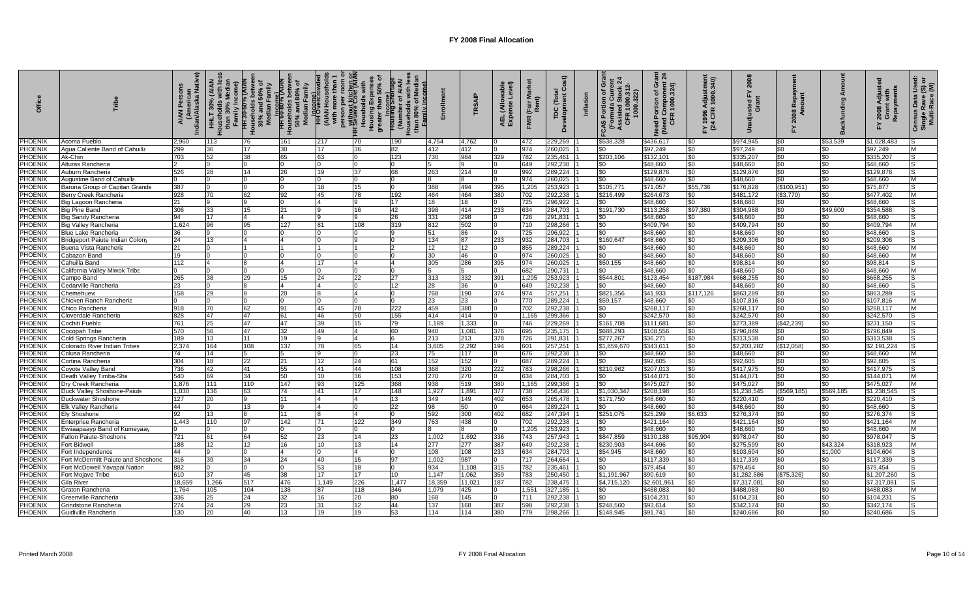| ă                                |                                                    | <sub>an</sub><br>Native)<br>ndian/Ala<br><b>AIAN</b> | 30% (AIAN<br>$\frac{1}{2}$<br>than | <del>HH 30-50% (A</del><br>Aluseholds betwo<br>30% and 50%<br>Median Famil <sub>i</sub> | انہ ہے۔<br>S0% and 80%<br>Median Famil<br>HH 50-80% PH | person per room o<br><del>HI Without Kitchen R</del><br>Housholds with<br>Housing Expenses<br>Housing Expenses<br>greater than 50% of<br>H <sub>Dcome</sub><br>(AIAN Hous<br>with more 1 | nily Income<br>(Numb |                   | TRSAIP     | able<br>svel)<br>AEL (Allo <sup>1</sup><br>Expense | (Fair<br><b>FMR</b> | ō<br>Ĕ<br>Developme<br>TDC. | ō<br>ત્રં<br>Portion of G<br>rmula Currei<br>322<br>CAS Portio<br>(Formula<br>Assisted S<br>CFR 100 | គ្គ $\overline{a}$<br>පි<br>Component<br>1000.324)<br>৳<br>Need Portion<br>(Need Compo)<br>CFR 1000. | Y 1996 Adjustmen<br>(24 CFR 1000.340) | $\overline{8}$<br>걊    | ᄙ<br>80          |            | Repayments<br>Adjus<br>Grant<br>2008 | Census Data Use<br>Single Rave (S) o<br>Multi-Race (M) |
|----------------------------------|----------------------------------------------------|------------------------------------------------------|------------------------------------|-----------------------------------------------------------------------------------------|--------------------------------------------------------|------------------------------------------------------------------------------------------------------------------------------------------------------------------------------------------|----------------------|-------------------|------------|----------------------------------------------------|---------------------|-----------------------------|-----------------------------------------------------------------------------------------------------|------------------------------------------------------------------------------------------------------|---------------------------------------|------------------------|------------------|------------|--------------------------------------|--------------------------------------------------------|
| PHOENIX                          | Acoma Pueblo                                       | 2.960                                                | 113                                | 76                                                                                      | 161                                                    | 217<br>70                                                                                                                                                                                | 190                  | 4,754             | 4,762      |                                                    | 472                 | 229,269                     | \$538,328                                                                                           | \$436,617                                                                                            | \$0                                   | \$974.945              | \$0              | \$53.539   | \$1,028,483                          |                                                        |
| PHOENIX                          | Agua Caliente Band of Cahuilla                     | 299                                                  | 36                                 | 17                                                                                      | 30                                                     | 17                                                                                                                                                                                       | 82                   | 412               | 412        |                                                    | 974                 | 260,025                     | \$0                                                                                                 | \$97,249                                                                                             | \$0                                   | \$97,249               | \$0              | \$0        | \$97,249                             | M                                                      |
| <b>PHOENIX</b>                   | Ak-Chin                                            | 703                                                  | 52                                 | 38                                                                                      | 65                                                     | 63                                                                                                                                                                                       | 123                  | 730               | 984        | 329                                                | 782                 | 235.461                     | \$203,106                                                                                           | \$132,101                                                                                            | \$0                                   | \$335,20               | \$0              |            | \$335,207                            |                                                        |
| PHOENIX                          | Alturas Rancheria                                  |                                                      |                                    |                                                                                         |                                                        |                                                                                                                                                                                          |                      |                   |            |                                                    | 649                 | 292,238                     | \$0                                                                                                 | \$48,660                                                                                             | \$0                                   | \$48,660               | \$0              | \$0        | \$48,660                             |                                                        |
| PHOENIX                          | Auburn Rancheria                                   | 526                                                  | 28                                 | 14                                                                                      | 26                                                     | 19<br>37                                                                                                                                                                                 | 68                   | 263               | 214        |                                                    | 992                 | 289,224                     | \$0                                                                                                 | \$129,876                                                                                            | \$0                                   | \$129,87               | \$0              | \$0        | \$129,876                            | IS                                                     |
| PHOENIX                          | Augustine Band of Cahuilla                         |                                                      |                                    |                                                                                         |                                                        |                                                                                                                                                                                          |                      |                   |            |                                                    | 974                 | 260,025                     | \$0                                                                                                 | \$48,660                                                                                             | \$0                                   | \$48,660               | \$0              | \$0        | \$48,660                             | M                                                      |
| PHOENIX                          | Barona Group of Capitan Grande                     | 387<br>928                                           |                                    | $\Omega$                                                                                | l0                                                     | 18<br>15                                                                                                                                                                                 | 192                  | 388               | 494        | 395<br>380                                         | 1,205               | 253,923                     | \$105,771                                                                                           | \$71,057                                                                                             | \$55,736                              | \$176,828              | (\$100,951)      | \$0        | \$75,877                             | IS<br>M                                                |
| <b>PHOENIX</b><br><b>PHOENIX</b> | Berry Creek Rancheria<br>Big Lagoon Rancheria      | 21                                                   | 70                                 | 62<br>9                                                                                 | 92<br>l0                                               | 45<br>78                                                                                                                                                                                 | 17                   | 464<br>18         | 464<br>18  |                                                    | 702<br>725          | 292,238<br>296,922          | \$216,499<br>\$0                                                                                    | \$264,673<br>\$48,660                                                                                | \$0<br>\$0                            | \$481,172<br>\$48,660  | (\$3,770)<br>\$0 | \$0<br>\$0 | \$477,402<br>\$48,660                | lS                                                     |
| <b>PHOENIX</b>                   | Big Pine Band                                      | 306                                                  | 33                                 | 15                                                                                      | 21                                                     | 16                                                                                                                                                                                       | 42                   | 398               | 414        | 233                                                | 634                 | 284.703                     | \$191,730                                                                                           | \$113.258                                                                                            | \$97.380                              | \$304.988              | \$0              | \$49,600   | \$354.588                            | lS                                                     |
| PHOENIX                          | 3ig Sandy Rancheria                                | 94                                                   | 17                                 | $\overline{4}$                                                                          | $\overline{A}$                                         | 9                                                                                                                                                                                        | 26                   | 331               | 298        |                                                    | 726                 | 291,831                     | \$0                                                                                                 | \$48,660                                                                                             | \$0                                   | \$48,660               | \$0              | \$0        | \$48.660                             | IS                                                     |
| <b>PHOENIX</b>                   | Big Valley Rancheria                               | 1.624                                                | 96                                 | 95                                                                                      | 127                                                    | 81<br>108                                                                                                                                                                                | 319                  | 812               | 502        |                                                    | 710                 | 298,266                     | \$0                                                                                                 | \$409,794                                                                                            | \$0                                   | \$409.794              | \$0              | \$0        | \$409,794                            | M                                                      |
| PHOENIX                          | 3lue Lake Rancheria                                | 36                                                   |                                    | n                                                                                       |                                                        |                                                                                                                                                                                          |                      | 51                | 86         |                                                    | 725                 | 296,922                     | \$0                                                                                                 | \$48,660                                                                                             | \$0                                   | \$48,660               | \$0              | \$0        | \$48,660                             | lS                                                     |
| PHOENIX                          | Bridgeport Paiute Indian Colon                     | 24                                                   | 13                                 |                                                                                         |                                                        |                                                                                                                                                                                          |                      | 134               | 87         | 233                                                | 932                 | 284,703                     | \$160,647                                                                                           | \$48,660                                                                                             | \$0                                   | \$209,306              | \$0              | \$0        | \$209,306                            |                                                        |
| PHOENIX                          | Buena Vista Rancheria                              | 21                                                   |                                    | 11                                                                                      |                                                        |                                                                                                                                                                                          |                      | $12 \overline{ }$ | 12         |                                                    | 855                 | 289,224                     | \$0                                                                                                 | \$48,660                                                                                             | \$0                                   | \$48,660               | \$0              | \$0        | \$48.660                             | M                                                      |
| PHOENIX                          | Cabazon Band                                       | 19                                                   |                                    |                                                                                         |                                                        |                                                                                                                                                                                          |                      | 30                | 46         |                                                    | 974                 | 260,025                     | \$0                                                                                                 | \$48,660                                                                                             | \$0                                   | \$48,660               | \$0              | \$0        | \$48,660                             | M                                                      |
| PHOENIX                          | Cahuilla Banc                                      | 112                                                  |                                    |                                                                                         |                                                        | 17                                                                                                                                                                                       |                      | 305               | 286        | 395                                                | 974                 | 260,025                     | \$50,155                                                                                            | \$48,660                                                                                             | \$0                                   | \$98.814               | \$0              | \$0        | \$98,814                             | lS.                                                    |
| PHOENIX                          | California Valley Miwok Tribe                      |                                                      |                                    |                                                                                         |                                                        |                                                                                                                                                                                          |                      |                   | 15         |                                                    | 682                 | 290,731                     | \$0                                                                                                 | \$48,660                                                                                             | \$0                                   | \$48,660               | \$0              | \$በ        | \$48,660                             | M                                                      |
| <b>PHOENIX</b>                   | Campo Band                                         | 265                                                  | 38                                 | 29                                                                                      | 15                                                     | 24<br>22                                                                                                                                                                                 | 27                   | 313               | 332        | 391                                                | 1.205               | 253.923                     | \$544.801                                                                                           | \$123,454                                                                                            | \$187.984                             | \$668.255              | \$0              | \$0        | \$668.255                            | IS.                                                    |
| PHOENIX                          | Cedarville Rancheria                               | 23                                                   |                                    |                                                                                         |                                                        |                                                                                                                                                                                          | 12                   | 28                | 36         |                                                    | 649                 | 292,238                     | \$0                                                                                                 | \$48,660                                                                                             | \$0                                   | \$48,660               | \$0              | \$0        | \$48,660                             |                                                        |
| PHOENIX                          | Chemehuevi                                         | 158                                                  | 29                                 |                                                                                         | 20                                                     |                                                                                                                                                                                          |                      | 768               | 190        | 374                                                | 974                 | 257,251                     | \$821,356                                                                                           | \$41,933                                                                                             | \$117,126                             | \$863,289              | \$0              | \$0        | \$863,289                            |                                                        |
| <b>PHOENIX</b>                   | Chicken Ranch Rancheria                            |                                                      |                                    |                                                                                         |                                                        |                                                                                                                                                                                          |                      | 23                | 23         |                                                    | 770                 | 289,224                     | \$59,157                                                                                            | \$48,660                                                                                             | \$0                                   | \$107.81               | \$0              | \$0        | \$107,816                            | ΙM                                                     |
| PHOENIX                          | Chico Rancheria                                    | 918                                                  | 70                                 | 62                                                                                      | 91                                                     | 45<br>78                                                                                                                                                                                 | 222                  | 459               | 380        |                                                    | 702                 | 292,238                     | \$0                                                                                                 | \$268,117                                                                                            | \$0                                   | \$268,117              | \$0              | \$0        | \$268,117                            | M                                                      |
| PHOENIX                          | Cloverdale Rancheria                               | 828                                                  | 47                                 | 47                                                                                      | 61                                                     | 46<br>50                                                                                                                                                                                 | 155                  | 414               | 414        |                                                    | 1.165               | 299.366                     | \$0                                                                                                 | \$242,570                                                                                            | \$0                                   | \$242.570              | \$0              | \$0        | \$242.570                            | IS                                                     |
| PHOENIX                          | Cochiti Pueblo                                     | 761                                                  | 25                                 | 47                                                                                      | 47                                                     | 39<br>15                                                                                                                                                                                 | 79                   | 1.189             | 1,333      |                                                    | 746                 | 229,269                     | \$161,708                                                                                           | \$111,68                                                                                             | \$0                                   | \$273,389              | (\$42,239)       | \$0        | \$231,150                            |                                                        |
| <b>PHOENIX</b>                   | Cocopah Tribe                                      | 570                                                  | 56                                 | 47                                                                                      | 32                                                     | 49                                                                                                                                                                                       | 60                   | 940               | 1,081      | 376                                                | 695                 | 235,175                     | \$688,293                                                                                           | \$108,556                                                                                            | \$0                                   | \$796,849              | \$0              | \$0        | \$796,849                            | 'S                                                     |
| <b>PHOENIX</b>                   | Cold Springs Rancheria                             | 189                                                  | 13                                 | 11                                                                                      | 19                                                     | g                                                                                                                                                                                        |                      | 213               | 213        | 378                                                | 726                 | 291,831                     | \$277,267                                                                                           | \$36.271                                                                                             | \$0                                   | \$313.538              | \$0              | \$0        | \$313.538                            | IS                                                     |
| PHOENIX                          | Colorado River Indian Tribes                       | 2,374                                                | 164                                | 108                                                                                     | 137                                                    | 78<br>65                                                                                                                                                                                 | 14                   | 3,605             | 2,292      | 194                                                | 601                 | 257,251                     | \$1,859,670                                                                                         | \$343.61                                                                                             | \$0                                   | \$2,203,282            | (\$12,058)       | \$0        | \$2,191,224                          | IS                                                     |
| <b>PHOENIX</b>                   | ≿olusa Rancheria                                   | 74                                                   | 14                                 | 5                                                                                       |                                                        |                                                                                                                                                                                          | 23                   | 75                | 117        |                                                    | 676                 | 292.238                     | \$0                                                                                                 | \$48,660                                                                                             | \$0                                   | \$48,660               | \$0              | \$0        | \$48,660                             | M                                                      |
| PHOENIX                          | Cortina Rancheria                                  | 304                                                  | 18                                 | 22                                                                                      | 21                                                     | 12<br>24                                                                                                                                                                                 | 61                   | 152               | 152        |                                                    | 687                 | 289,224                     | \$0                                                                                                 | \$92.605                                                                                             | \$0                                   | \$92,605               | \$0              | \$0        | \$92.605                             | IS.                                                    |
| <b>PHOENIX</b>                   | Coyote Valley Banc                                 | 736                                                  | 42                                 | 41                                                                                      | 55                                                     | 41<br>44                                                                                                                                                                                 | 108                  | 368               | 320        | 222                                                | 783                 | 298.266                     | \$210,962                                                                                           | \$207.013                                                                                            | \$0                                   | \$417.975              | \$0              | \$0        | \$417,975                            | ۱S                                                     |
| PHOENIX<br>PHOENIX               | Death Valley Timba-Sha                             | 540<br>1.876                                         | 69<br>111                          | 34<br>110                                                                               | 50<br>147                                              | 10<br>36<br>93<br>125                                                                                                                                                                    | 153<br>368           | 270               | 270<br>519 |                                                    | 634<br>1.165        | 284,703                     | \$0<br>\$0                                                                                          | \$144,071                                                                                            | \$0<br>\$0                            | \$144.07'<br>\$475.027 | \$0<br>\$0       | \$0<br>\$0 | \$144,071                            | M<br>M                                                 |
| PHOENIX                          | Dry Creek Rancheria<br>Duck Valley Shoshone-Paiute | 1,030                                                | 136                                | 63                                                                                      | 74                                                     | 41<br>17                                                                                                                                                                                 | 148                  | 938<br>1,927      | 1,891      | 380<br>377                                         | 738                 | 299,366<br>256,436          | \$1,030,347                                                                                         | \$475,027<br>\$208,198                                                                               | \$0                                   | \$1,238,545            | (\$569, 185)     | \$569,185  | \$475,027<br>\$1,238,545             | 'S                                                     |
| PHOENIX                          | <b>Duckwater Shoshone</b>                          | 127                                                  | 20                                 | 9                                                                                       | 11                                                     |                                                                                                                                                                                          | 13                   | 349               | 149        | 402                                                | 653                 | 265,478                     | \$171,750                                                                                           | \$48,660                                                                                             | \$0                                   | \$220,410              | \$0              | \$0        | \$220,410                            | ۱S                                                     |
| PHOENIX                          | Elk Valley Rancheria                               | 44                                                   |                                    | 13                                                                                      | $\mathbf{Q}$                                           |                                                                                                                                                                                          | 22                   | 98                | 50         |                                                    | 664                 | 289,224                     | \$0                                                                                                 | \$48,660                                                                                             | \$0                                   | \$48,660               | \$0              | \$0        | \$48,660                             | l.S                                                    |
| PHOENIX                          | Ely Shoshone                                       | 92                                                   | 13                                 |                                                                                         | 11                                                     |                                                                                                                                                                                          |                      | 592               | 300        | 402                                                | 682                 | 247,394                     | \$251,075                                                                                           | \$25,299                                                                                             | \$6,633                               | \$276,374              | \$0              | \$0        | \$276,374                            |                                                        |
| <b>PHOENIX</b>                   | Enterprise Rancheria                               | 1.443                                                | 110                                | 97                                                                                      | 142                                                    | 71<br>122                                                                                                                                                                                | 349                  | 763               | 438        |                                                    | 702                 | 292,238                     | \$0                                                                                                 | \$421,164                                                                                            | \$0                                   | \$421,164              | \$0              | \$0        | \$421.164                            | M                                                      |
| PHOENIX                          | Ewiiaapaayp Band of Kumeyaay                       |                                                      |                                    |                                                                                         |                                                        |                                                                                                                                                                                          |                      |                   |            |                                                    | 1,205               | 253,923                     | \$0                                                                                                 | \$48,660                                                                                             | \$0                                   | \$48,660               | \$0              | \$በ        | \$48,660                             | M                                                      |
| <b>PHOENIX</b>                   | allon Paiute-Shoshon                               | 721                                                  | 61                                 | 64                                                                                      | 52                                                     | 23<br>14                                                                                                                                                                                 | 23                   | 1,002             | 1,692      | 336                                                | 743                 | 257,943                     | \$847,859                                                                                           | \$130,188                                                                                            | \$95,904                              | \$978,047              | \$0              | \$0        | \$978,047                            |                                                        |
| <b>PHOENIX</b>                   | Fort Bidwell                                       | 188                                                  | 12                                 | 12                                                                                      | 16                                                     | 13<br>10                                                                                                                                                                                 | 14                   | 277               | 277        | 387                                                | 649                 | 292.238                     | \$230,903                                                                                           | \$44,696                                                                                             | \$0                                   | \$275.599              | \$0              | \$43,324   | \$318,923                            | ΙM                                                     |
| PHOENIX                          | Fort Independence                                  | 44                                                   |                                    |                                                                                         |                                                        |                                                                                                                                                                                          |                      | 108               | 108        | 233                                                | 634                 | 284,703                     | \$54,945                                                                                            | \$48,660                                                                                             | \$0                                   | \$103,604              | \$0              | \$1,000    | \$104,604                            | ls                                                     |
| <b>PHOENIX</b>                   | Fort McDermitt Paiute and Shoshone                 | 316                                                  | 39                                 | 34                                                                                      | 24                                                     | 40<br>15                                                                                                                                                                                 | 97                   | 1,002             | 987        |                                                    | 717                 | 264,664                     | \$0                                                                                                 | \$117,339                                                                                            | \$0                                   | \$117.339              | \$0              | \$0        | \$117,339                            |                                                        |
| PHOENIX                          | Fort McDowell Yavapai Natior                       | 882                                                  |                                    |                                                                                         |                                                        | 53<br>18                                                                                                                                                                                 |                      | 934               | 1,108      | 315                                                | 782                 | 235,461                     | \$0                                                                                                 | \$79,454                                                                                             | \$0                                   | \$79,454               | \$0              | \$0        | \$79,454                             |                                                        |
| <b>PHOENIX</b>                   | ort Mojave Tribe                                   | 610                                                  | 37                                 | 45                                                                                      | 38                                                     | 17<br>17                                                                                                                                                                                 | 10                   | 1.147             | 1,062      | 359                                                | 783                 | 250.450                     | \$1.191.967                                                                                         | \$90.619                                                                                             | \$0                                   | \$1,282,586            | (\$75,326)       | \$0        | \$1.207.260                          | IS.                                                    |
| PHOENIX                          | Gila River                                         | 18.659                                               | 1.266                              | 517                                                                                     | 476                                                    | 1.149<br>226                                                                                                                                                                             | 1.477                | 18,359            | 11.021     | 187                                                | 782                 | 238,475                     | \$4,715,120                                                                                         | \$2,601,96                                                                                           | \$0                                   | \$7,317,08             | \$0              | \$0        | \$7,317,08                           |                                                        |
| PHOENIX                          | Graton Rancheria                                   | 1.764                                                | 105                                | 104                                                                                     | 138                                                    | 87<br>118                                                                                                                                                                                | 346                  | 1,079             | 425        |                                                    | 1,551               | 327,185                     | \$0                                                                                                 | \$488,083                                                                                            | \$0                                   | \$488,083              | \$0              | \$0        | \$488,083                            | M                                                      |
| PHOENIX                          | 3reenville Rancheria                               | 336                                                  | 25                                 | 24                                                                                      | 32                                                     | 16<br>20                                                                                                                                                                                 | 80                   | 168               | 145        |                                                    | 711                 | 292,238                     | \$0                                                                                                 | \$104,231                                                                                            | \$0                                   | \$104.23'              | \$0              | \$0        | \$104,231                            |                                                        |
| PHOENIX                          | <b>Grindstone Rancheria</b>                        | 274                                                  | 24                                 | 29                                                                                      | 23                                                     | 31<br>12                                                                                                                                                                                 | 44                   | 137               | 168        | 387                                                | 598                 | 292,238                     | \$248,560                                                                                           | \$93,614                                                                                             | \$0                                   | \$342,174              | \$0              | \$0        | \$342,174                            | 'S                                                     |
| <b>PHOENIX</b>                   | Guidiville Rancheria                               | 130                                                  | 20                                 | 40                                                                                      | 13                                                     | 19<br>19                                                                                                                                                                                 | 53                   | 114               | 114        | 380                                                | 779                 | 298,266                     | \$148,945                                                                                           | \$91,741                                                                                             | \$0                                   | \$240,686              | \$0              | \$0        | \$240,686                            |                                                        |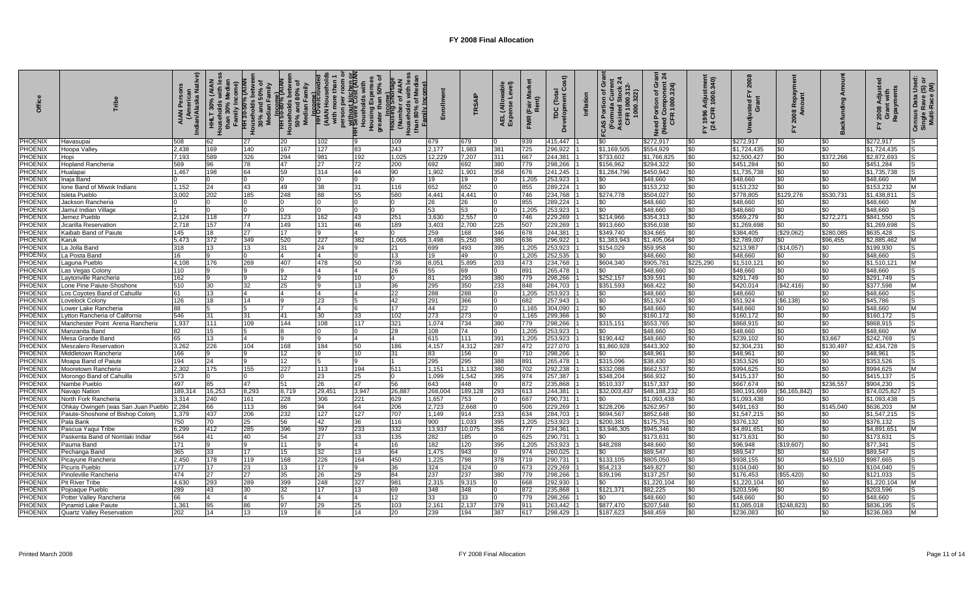| Offic                            |                                    | erican<br>Iska Native)<br>ndian/Ala | HHLT      | ৳<br>n Family<br>HH 30-50% (AIAN<br>ouseholds betwe<br>30% and 50% of<br>Median Family<br>呈 | -<br>HH 50-80% (AIA)<br>≧<br>انه: ۱۰۰۰۰ راسیا<br>S0% and 80%<br>Median Family | person per room o<br><del>H Yuthout kitchen or</del><br>H Yevere Cost (AIAN<br><b>HH</b> Overcro<br>(AIAN Hous<br>with more | Housholds<br>Housing Expe<br>greater than 5 | nily Income<br>Housing Shor<br>Number of | ollmen       | TRSAIP       | $\widehat{e}$<br>(Allo<br>AEL (Allo<br>Expense | (Fair<br><b>FMR</b> | ŏ<br>Development<br>$\ddot{\mathsf{c}}$<br>TDC | Inflation | Gra<br>Ń<br>Portion of G<br>rmula Currei<br>(Formula)<br>Assisted<br>CFR 10<br><b>CAS</b> | <u>គ្គ ង</u><br>Gra<br>Need Portion of Gra<br>(Need Component 2)<br>CFR 1000.324) | FY 1996 Adjustmen<br>(24 CFR 1000.340) | $\overline{8}$<br>ú    | $R_{\rm e}$<br>కి శ్ |                  | Repayments<br>Adjus<br>Grant<br>2008 | Census Data Usec<br>Single Rave (S) o<br>Multi-Race (M) |
|----------------------------------|------------------------------------|-------------------------------------|-----------|---------------------------------------------------------------------------------------------|-------------------------------------------------------------------------------|-----------------------------------------------------------------------------------------------------------------------------|---------------------------------------------|------------------------------------------|--------------|--------------|------------------------------------------------|---------------------|------------------------------------------------|-----------|-------------------------------------------------------------------------------------------|-----------------------------------------------------------------------------------|----------------------------------------|------------------------|----------------------|------------------|--------------------------------------|---------------------------------------------------------|
| <b>PHOENIX</b>                   | Havasupai                          | 508                                 | 62        | 27                                                                                          | 20                                                                            | 102                                                                                                                         |                                             | 109                                      | 679          | 679          |                                                | 939                 | 415,447                                        |           | \$0                                                                                       | \$272,917                                                                         | \$0                                    | \$272.917              | \$0                  | \$0              | \$272.917                            |                                                         |
| PHOENIX                          | Hoopa Valley                       | 2,438                               | 169       | 140                                                                                         | 167                                                                           | 127                                                                                                                         | 83                                          | 243                                      | 2,177        | 1,983        | 381                                            | 725                 | 296,922                                        |           | \$1,169,505                                                                               | \$554,929                                                                         | \$0                                    | \$1,724,435            | \$0                  | \$0              | \$1,724,435                          |                                                         |
| <b>PHOENIX</b>                   | Hopi                               | 7.193                               | 589       | 326                                                                                         | 294                                                                           | 981                                                                                                                         | 192                                         | 1,025                                    | 12,229       | 7,207        | 311                                            | 667                 | 244.381                                        |           | \$733,602                                                                                 | \$1,766,82                                                                        | \$0                                    | \$2,500,427            | \$0                  | \$372,266        | \$2,872,693                          |                                                         |
| <b>PHOENIX</b>                   | <b>Hopland Rancheria</b>           | 569                                 | 96        | 78                                                                                          | 47                                                                            | 27                                                                                                                          | 72                                          | 200                                      | 692          | 692          | 380                                            | 779                 | 298,266                                        |           | \$156,962                                                                                 | \$294,322                                                                         | \$0                                    | \$451,284              | \$0                  | \$0              | \$451,284                            |                                                         |
| PHOENIX                          | Hualapai                           | 1.467                               | 198       | 64                                                                                          | 59                                                                            | 314                                                                                                                         | 44                                          | 90                                       | 1,902        | 1,901        | 358                                            | 676                 | 241,245                                        |           | \$1,284,796                                                                               | \$450,942                                                                         | \$0                                    | \$1,735,738            | \$0                  | \$0              | \$1.735.738                          |                                                         |
| PHOENIX                          | Inaja Band                         |                                     |           |                                                                                             |                                                                               |                                                                                                                             |                                             |                                          | 19           | 19           |                                                | 1,205               | 253,923                                        |           | \$0                                                                                       | \$48,660                                                                          | \$0                                    | \$48,660               | \$0                  | \$0              | \$48,660                             | M                                                       |
| <b>PHOENIX</b>                   | Ione Band of Miwok Indians         | 1,152<br>3.002                      | 24<br>202 | 43<br>185                                                                                   | 49                                                                            | 38                                                                                                                          | 31                                          | 116                                      | 652<br>4.441 | 652          |                                                | 855                 | 289,224                                        |           | \$0                                                                                       | \$153,232                                                                         | \$0                                    | \$153,232              | \$0                  | \$0              | \$153,232                            | M<br>lS                                                 |
| <b>PHOENIX</b><br><b>PHOENIX</b> | Isleta Pueblo<br>Jackson Rancheria |                                     |           | $\Omega$                                                                                    | 248                                                                           | 88<br>$\Omega$                                                                                                              | 55                                          | 580                                      | 26           | 4,441<br>26  |                                                | 746<br>855          | 234,768<br>289,224                             |           | \$274,778<br>\$0                                                                          | \$504,027<br>\$48,660                                                             | \$0<br>\$0                             | \$778,805<br>\$48,660  | \$129,276<br>\$0     | \$530,731<br>\$0 | \$1,438,81<br>\$48,660               | M                                                       |
| <b>PHOENIX</b>                   | Jamul Indian Village               |                                     |           |                                                                                             |                                                                               | $\Omega$                                                                                                                    |                                             |                                          | 53           | 53           |                                                | 1.205               | 253.923                                        |           | \$0                                                                                       | \$48.660                                                                          | \$0                                    | \$48,660               | $\frac{1}{2}$        | \$0              | \$48.660                             |                                                         |
| <b>PHOENIX</b>                   | Jemez Pueblo                       | 2,124                               | 118       | 77                                                                                          | 123                                                                           | 162                                                                                                                         | 43                                          | 251                                      | 3.630        | 2,557        | n.                                             | 746                 | 229,269                                        |           | \$214,966                                                                                 | \$354,313                                                                         | \$0                                    | \$569.279              | $\frac{1}{2}$        | \$272,271        | \$841,550                            | 'S                                                      |
| PHOENIX                          | Jicarilla Reservation              | 2.718                               | 157       | 74                                                                                          | 149                                                                           | 131                                                                                                                         | 46                                          | 189                                      | 3,403        | 2,700        | 225                                            | 507                 | 229,269                                        |           | \$913,660                                                                                 | \$356,038                                                                         | \$0                                    | \$1,269,698            | \$0                  | \$0              | \$1,269,698                          | lS                                                      |
| <b>PHOENIX</b>                   | Kaibab Band of Paiute              | 145                                 | 18        | 27                                                                                          | 17                                                                            | 9                                                                                                                           | 4                                           | n.                                       | 259          | 168          | 346                                            | 678                 | 244,381                                        |           | \$349,740                                                                                 | \$34,665                                                                          | \$0                                    | \$384,405              | (\$29,062)           | \$280,085        | \$635,428                            | IS                                                      |
| <b>PHOENIX</b>                   | Karuk                              | 5.473                               | 372       | 349                                                                                         | 520                                                                           | 227                                                                                                                         | 382                                         | 1,065                                    | 3,498        | 5,250        | 380                                            | 636                 | 296,922                                        |           | \$1,383,943                                                                               | \$1,405,064                                                                       | \$0                                    | \$2,789,007            | \$0                  | \$96,455         | \$2,885,462                          | M                                                       |
| PHOENIX                          | La Jolla Band                      | 318                                 | 13        | 13                                                                                          | 31                                                                            | 24                                                                                                                          | $\mathbf{Q}$                                | 21                                       | 699          | 493          | 395                                            | 1,205               | 253,923                                        |           | \$154,029                                                                                 | \$59,958                                                                          | \$0                                    | \$213,987              | (\$14,057)           | \$0              | \$199,930                            | 'S                                                      |
| PHOENIX                          | La Posta Band                      | 16                                  |           | $\Omega$                                                                                    |                                                                               | $\overline{4}$                                                                                                              |                                             | 13                                       | 19           | 49           |                                                | 1,205               | 252,535                                        |           | \$0                                                                                       | \$48,660                                                                          | \$0                                    | \$48,660               | \$0                  | \$0              | \$48,660                             | lS                                                      |
| <b>PHOENIX</b>                   | Laguna Pueblo                      | 4.108                               | 176       | 269                                                                                         | 407                                                                           | 478                                                                                                                         | 50                                          | 736                                      | 8,051        | 5,895        | 203                                            | 473                 | 234.768                                        |           | \$604,340                                                                                 | \$905,781                                                                         | \$225,290                              | \$1,510,12             | \$0                  | \$0              | \$1,510,12                           | <b>M</b>                                                |
| <b>PHOENIX</b>                   | Las Vegas Colony                   | 110                                 |           |                                                                                             |                                                                               |                                                                                                                             |                                             | 26                                       | 55           | 69           |                                                | 891                 | 265,478                                        |           | \$0                                                                                       | \$48,660                                                                          | \$0                                    | \$48,660               | \$0                  | \$በ              | \$48,660                             | IS                                                      |
| PHOENIX                          | Laytonville Rancheria              | 162                                 |           | a                                                                                           | 12                                                                            |                                                                                                                             | 10                                          | $\Omega$                                 | 81           | 293          | 380                                            | 779                 | 298,266                                        |           | \$252,157                                                                                 | \$39.591                                                                          | \$0                                    | \$291.749              | \$0                  | \$0              | \$291.749                            | IS.                                                     |
| <b>PHOENIX</b>                   | Lone Pine Paiute-Shoshone          | 510                                 | 30        | 32                                                                                          | 25                                                                            |                                                                                                                             | 13                                          | 36                                       | 295          | 350          | 233                                            | 848                 | 284,703                                        |           | \$351,593                                                                                 | \$68,422                                                                          | \$0                                    | \$420,014              | (\$42,416)           | \$0              | \$377,598                            | ΙM                                                      |
| PHOENIX                          | Los Coyotes Band of Cahuill        | 61                                  | 13        |                                                                                             |                                                                               |                                                                                                                             |                                             | 22                                       | 288          | 288          |                                                | 1,205               | 253,923                                        |           | \$0                                                                                       | \$48,660                                                                          | \$0                                    | \$48,660               | \$0                  | \$0              | \$48,660                             |                                                         |
| PHOENIX                          | ovelock Colony                     | 126                                 | 18        | 14                                                                                          |                                                                               | 23                                                                                                                          |                                             | 42                                       | 291          | 366          |                                                | 682                 | 257.943                                        |           | \$0                                                                                       | \$51,924                                                                          | \$0                                    | \$51,924               | (\$6,138)            | \$0              | \$45.786                             | 'S                                                      |
| <b>PHOENIX</b>                   | Lower Lake Rancheria               | 88                                  |           |                                                                                             |                                                                               | 4                                                                                                                           |                                             | 17                                       | 44           | 22           |                                                | 1,165               | 304,090                                        |           | \$0                                                                                       | \$48,660                                                                          | \$0                                    | \$48,660               | \$0                  | \$0              | \$48,660                             | M                                                       |
| PHOENIX                          | vtton Rancheria of California.     | 546                                 | 31        | 31                                                                                          | 41                                                                            | 30                                                                                                                          | 33                                          | 102                                      | 273          | 273          |                                                | 1.165               | 299.366                                        |           | \$0                                                                                       | \$160,172                                                                         | \$0                                    | \$160,172              | \$0                  | \$0              | \$160,172                            | 'S                                                      |
| PHOENIX                          | Manchester Point Arena Rancheria   | 1.937                               | 111       | 109                                                                                         | 144                                                                           | 108                                                                                                                         | 117                                         | 321                                      | 1,074        | 734          | 380                                            | 779                 | 298,266                                        |           | \$315,151                                                                                 | \$553,765                                                                         | \$0                                    | \$868,915              | \$0                  | \$0              | \$868,915                            | lS                                                      |
| <b>PHOENIX</b>                   | Manzanita Banc                     | 82                                  | 15        | 5                                                                                           |                                                                               | <sup>0</sup>                                                                                                                |                                             | 28                                       | 108          | 74           |                                                | 1,205               | 253,923                                        |           | \$0                                                                                       | \$48,660                                                                          | \$0                                    | \$48,660               | \$0                  | \$0              | \$48,660                             | M                                                       |
| PHOENIX                          | Mesa Grande Band                   | 65                                  | 13        |                                                                                             | a                                                                             | 9                                                                                                                           |                                             |                                          | 615          | 111          | 391                                            | 1.205               | 253,923                                        |           | \$190,442                                                                                 | \$48,660                                                                          | \$0                                    | \$239,102              | \$0                  | \$3.667          | \$242,769                            | lS                                                      |
| PHOENIX                          | Mescalero Reservatior              | 3,262                               | 226       | 104                                                                                         | 168                                                                           | 184                                                                                                                         | 50                                          | 186                                      | 4,157        | 4,312        | 287                                            | 472                 | 227,070                                        |           | \$1,860,928                                                                               | \$443,302                                                                         | \$0                                    | \$2,304,23             | \$0                  | \$130,497        | \$2,434,728                          | IS                                                      |
| <b>PHOENIX</b>                   | Middletown Rancheria               | 166                                 |           |                                                                                             | 12                                                                            |                                                                                                                             | 10                                          | 31                                       | 83           | 156          |                                                | 710                 | 298,266                                        |           | \$0                                                                                       | \$48,961                                                                          | \$0                                    | \$48,961               | \$0                  | \$0              | \$48,961                             |                                                         |
| <b>PHOENIX</b>                   | Moapa Band of Paiute               | 194                                 | 24        | g                                                                                           | 12                                                                            | 5                                                                                                                           | g                                           |                                          | 295          | 295          | 388                                            | 891                 | 265,478                                        |           | \$315,096                                                                                 | \$38,430                                                                          | \$0                                    | \$353,526              | \$0                  | \$0              | \$353,526                            | IS                                                      |
| <b>PHOENIX</b>                   | Mooretown Rancheria                | 2.302                               | 175       | 155                                                                                         | 227                                                                           | 113                                                                                                                         | 194                                         | 511                                      | 1.151        | 1,132        | 380                                            | 702                 | 292,238                                        |           | \$332,088                                                                                 | \$662,537                                                                         | \$0                                    | \$994.625              | $\frac{1}{2}$        | \$0              | \$994.625                            | M                                                       |
| PHOENIX<br>PHOENIX               | Morongo Band of Cahuilla           | 573<br>497                          | 85        | $\Omega$<br>47                                                                              | <sup>n</sup><br>51                                                            | 23<br>26                                                                                                                    | 25<br>47                                    | <sup>o</sup><br>56                       | 1,099<br>643 | 1,542<br>448 | 395                                            | 974<br>872          | 257,387<br>235,868                             |           | \$348,204<br>\$510,337                                                                    | \$66,932<br>\$157,337                                                             | \$0<br>\$0                             | \$415,137<br>\$667.674 | $\frac{1}{2}$<br>\$0 | \$0<br>\$236,557 | \$415,137<br>\$904,230               | IS.                                                     |
| PHOENIX                          | Nambe Pueblo<br>Navajo Nation      | 189.31                              | 16,253    | 8,293                                                                                       | 8,719                                                                         | 29,451                                                                                                                      | 3,947                                       | 26,887                                   | 268,004      | 189,128      | 293                                            | 613                 | 244,381                                        |           | \$32,003,437                                                                              | \$48,188,232                                                                      | \$0                                    | \$80,191,669           | (\$6,165,842)        | \$0              | \$74,025,827                         | IS                                                      |
| PHOENIX                          | North Fork Rancheria               | 3.314                               | 240       | 161                                                                                         | 228                                                                           | 306                                                                                                                         | 221                                         | 629                                      | 1,657        | 753          |                                                | 687                 | 290,731                                        |           | \$0                                                                                       | \$1,093,438                                                                       | \$0                                    | \$1,093,438            | \$0                  | \$0              | \$1,093,438                          | lS                                                      |
| <b>PHOENIX</b>                   | Ohkay Owingeh (was San Juan Pueblo | 2.284                               | 66        | 113                                                                                         | 86                                                                            | 94                                                                                                                          | 64                                          | 206                                      | 2,723        | 2,668        |                                                | 506                 | 229,269                                        |           | \$228,206                                                                                 | \$262,957                                                                         | \$0                                    | \$491,163              | \$0                  | \$145.040        | \$636,203                            | M                                                       |
| <b>PHOENIX</b>                   | Paiute-Shoshone of Bishop Colon    | 1,379                               | 437       | 206                                                                                         | 232                                                                           | 127                                                                                                                         | 127                                         | 707                                      | 1,149        | 914          | 233                                            | 634                 | 284,703                                        |           | \$694,567                                                                                 | \$852,648                                                                         | \$0                                    | \$1,547,215            | \$0                  | \$0              | \$1,547,215                          |                                                         |
| <b>PHOENIX</b>                   | Pala Bank                          | 750                                 | 70        | 25                                                                                          | 56                                                                            | 42                                                                                                                          | 36                                          | 116                                      | 900          | 1,033        | 395                                            | 1,205               | 253,923                                        |           | \$200,381                                                                                 | \$175,751                                                                         | \$0                                    | \$376,132              | \$0                  | \$በ              | \$376,132                            |                                                         |
| <b>PHOENIX</b>                   | Pascua Yaqui Tribe                 | 6,299                               | 412       | 285                                                                                         | 396                                                                           | 397                                                                                                                         | 233                                         | 332                                      | 13,937       | 10,075       | 356                                            | 777                 | 234,361                                        |           | \$3,946,305                                                                               | \$945,346                                                                         | \$0                                    | \$4,891,65             | \$0                  | ፍበ               | \$4,891,65                           | M                                                       |
| <b>PHOENIX</b>                   | Paskenta Band of Nomlaki Indiar    | 564                                 | 41        | 40                                                                                          | 54                                                                            | 27                                                                                                                          | 33                                          | 135                                      | 282          | 185          |                                                | 625                 | 290,731                                        |           | \$0                                                                                       | \$173,63                                                                          | \$0                                    | \$173,631              | \$0                  | \$0              | \$173,63                             |                                                         |
| <b>PHOENIX</b>                   | Pauma Band                         | 171                                 |           | 9                                                                                           | 11                                                                            | 9                                                                                                                           |                                             | 16                                       | 182          | 120          | 395                                            | 1,205               | 253,923                                        |           | \$48,288                                                                                  | \$48,660                                                                          | \$0                                    | \$96,948               | (\$19,607)           | \$0              | \$77,341                             | ıs                                                      |
| <b>PHOENIX</b>                   | Pechanga Band                      | 365                                 | 33        | 17                                                                                          | 15                                                                            | 32                                                                                                                          | 13                                          | 64                                       | 1,475        | 943          |                                                | 974                 | 260,025                                        |           | \$0                                                                                       | \$89,547                                                                          | \$0                                    | \$89,547               | $\frac{1}{20}$       | $\$0$            | \$89,547                             |                                                         |
| <b>PHOENIX</b>                   | Picayune Rancheri                  | 2.450                               | 178       | 119                                                                                         | 168                                                                           | 226                                                                                                                         | 164                                         | 450                                      | 1,225        | 798          | 378                                            | 719                 | 290.731                                        |           | \$133,105                                                                                 | \$805,050                                                                         | \$0                                    | \$938,155              | \$0                  | \$49,510         | \$987.665                            | IS                                                      |
| <b>PHOENIX</b>                   | Picuris Pueblo                     | 177                                 | 17        | 23                                                                                          | 13                                                                            | 17                                                                                                                          |                                             | 36                                       | 324          | 324          |                                                | 673                 | 229,269                                        |           | \$54,213                                                                                  | \$49,827                                                                          | \$0                                    | \$104,040              | \$0                  | \$0              | \$104,040                            | ls                                                      |
| <b>PHOENIX</b>                   | Pinoleville Rancheria              | 474                                 | 27        | 27                                                                                          | 35                                                                            | 26                                                                                                                          | 29                                          | 84                                       | 237          | 237          | 380                                            | 779                 | 298.266                                        |           | \$39.196                                                                                  | \$137,257                                                                         | \$0                                    | \$176.453              | (\$55,420)           | \$0              | \$121.033                            | IS.                                                     |
| PHOENIX                          | Pit River Tribe                    | 4.630                               | 293       | 289                                                                                         | 399                                                                           | 248                                                                                                                         | 327                                         | 981                                      | 2,315        | 9,315        |                                                | 668                 | 292,930                                        |           | \$0                                                                                       | \$1,220,10                                                                        | \$0                                    | \$1,220,104            | \$0                  | \$0              | \$1,220,104                          | M                                                       |
| <b>PHOENIX</b>                   | Pojoaque Pueblo                    | 289                                 | 43        | 30                                                                                          | 32                                                                            | 17                                                                                                                          | 13                                          | 69                                       | 348          | 348          |                                                | 872                 | 235,868                                        |           | \$121,371                                                                                 | \$82,225                                                                          | \$0                                    | \$203,596              | \$0                  | \$0              | \$203,596                            | IS.                                                     |
| <b>PHOENIX</b>                   | Potter Valley Rancheria            | 66                                  |           | 4                                                                                           |                                                                               | 4                                                                                                                           |                                             | 12                                       | 33           | 33           |                                                | 779                 | 298,266                                        |           | \$0                                                                                       | \$48,660                                                                          | \$0                                    | \$48,660               | \$0                  | \$0              | \$48,660                             |                                                         |
| <b>PHOENIX</b>                   | Pyramid Lake Paiute                | 1,361                               | 95        | 86                                                                                          | 97                                                                            | 29                                                                                                                          | 25                                          | 103                                      | 2,161        | 2,137        | 379                                            | 911                 | 263,442                                        |           | \$877,470                                                                                 | \$207,548                                                                         | \$0                                    | \$1,085,018            | (\$248,823)          | \$0              | \$836,195                            | IS                                                      |
| <b>PHOENIX</b>                   | <b>Quartz Valley Reservation</b>   | 202                                 | 14        | 13                                                                                          | 19                                                                            |                                                                                                                             | 14                                          | 20                                       | 239          | 194          | 387                                            | 617                 | 298,429                                        |           | \$187,623                                                                                 | \$48,459                                                                          | \$0                                    | \$236,083              | \$0                  | \$0              | \$236,083                            | M                                                       |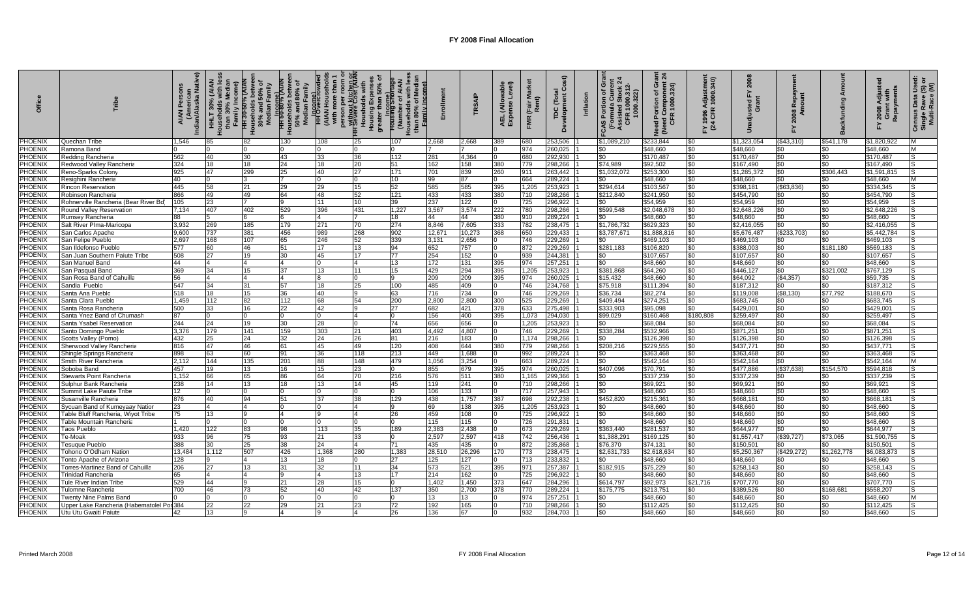| <b>Offic</b>              |                                                                       | ska N<br>ndian/Ala | Family Income)<br>기<br>THLT<br>Mseho | ৽<br>HH 30-50% (AIAN<br>louseholds betwee<br>30% and 50% of<br>Median Family | ouseholds betwee<br>50% and 80% of<br>Median Family<br><b>Income)</b><br>TH 50-80% (AIAN<br>운 | person per room on<br>Without kitchen or<br>IH Severe Cost (AIAN<br><b>HH Overcro</b><br>AIAN House)<br>With more th | Housholds<br>Housing Expe<br>greater than 5 | الا است<br>Housing Short<br>Number<br>nily Inc |           | <b>RSAIP</b> | le<br>vel)<br>ja<br>Allo<br>AEL<br>Expe | (Fair<br>Rent<br>FMR | Õ<br>Total<br>TDC (Tota<br>Development ( | Inflation | ō<br>Ń<br>Portion of G<br>rmula Currei<br><b>CFR 10<br/>Pormula</b><br>Assisted<br>CFR 10 | ្ត ភ្ល<br>Component<br>2000.324)<br>ö<br>৳<br>Need Porti<br>(Need Cor<br>CFR 10 | Y 1996 Adjustmen<br>(24 CFR 1000.340) | ន                    | 호 은<br>కి శ్              |             | Grant with<br>Repayments<br>Adjus<br>2008<br>놊 | Census Data Usec<br>Single Rave (S) o<br>Multi-Race (M) |
|---------------------------|-----------------------------------------------------------------------|--------------------|--------------------------------------|------------------------------------------------------------------------------|-----------------------------------------------------------------------------------------------|----------------------------------------------------------------------------------------------------------------------|---------------------------------------------|------------------------------------------------|-----------|--------------|-----------------------------------------|----------------------|------------------------------------------|-----------|-------------------------------------------------------------------------------------------|---------------------------------------------------------------------------------|---------------------------------------|----------------------|---------------------------|-------------|------------------------------------------------|---------------------------------------------------------|
| <b>PHOENIX</b>            | Quechan Tribe                                                         | 1.546              | 85                                   | 82                                                                           | 130                                                                                           | 108                                                                                                                  | 25                                          | 107                                            | 2,668     | 868.         | 389                                     | 680                  | 253,506                                  |           | \$1.089.210                                                                               | \$233,844                                                                       | \$0                                   | \$1,323,054          | (\$43,310)                | \$541,178   | \$1,820,922                                    | M                                                       |
| PHOENIX                   | Ramona Band                                                           |                    |                                      |                                                                              |                                                                                               |                                                                                                                      |                                             | $\Omega$                                       |           |              |                                         | 974                  | 260,025                                  |           | \$0                                                                                       | \$48,660                                                                        | \$0                                   | \$48,660             | \$0                       | \$0         | \$48,660                                       | M                                                       |
| <b>PHOENIX</b>            | Redding Rancheria                                                     | 562                | 40                                   | 30                                                                           | 43                                                                                            | 33                                                                                                                   | 36                                          | 112                                            | 281       | 4,364        |                                         | 680                  | 292.930                                  |           |                                                                                           | \$170,487                                                                       | \$0                                   | \$170.487            | \$0                       |             | \$170,487                                      |                                                         |
| <b>PHOENIX</b>            | Redwood Valley Rancheria                                              | 324                | 18                                   | 18                                                                           | 24                                                                                            | 18                                                                                                                   | 20                                          | 51                                             | 162       | 158          | 380                                     | 779                  | 298,266                                  |           | \$74,989                                                                                  | \$92,502                                                                        | \$0                                   | \$167,490            | \$0                       | \$0         | \$167,490                                      |                                                         |
| PHOENIX                   | Reno-Sparks Colon <sup>,</sup>                                        | 925                | 47                                   | 299                                                                          | 25                                                                                            | 40                                                                                                                   | 27                                          | 171                                            | 701       | 839          | 260                                     | 911                  | 263,442                                  |           | \$1.032.072                                                                               | \$253,300                                                                       | \$0                                   | \$1,285,372          | \$0                       | \$306.443   | \$1,591,815                                    |                                                         |
| PHOENIX                   | Resighini Rancheria                                                   | 40                 |                                      |                                                                              |                                                                                               |                                                                                                                      |                                             | 10                                             | 99        |              |                                         | 664                  | 289,224                                  |           | \$0                                                                                       | \$48,660                                                                        | \$0                                   | \$48,660             | \$0                       | \$0         | \$48,660                                       | M                                                       |
| PHOENIX                   | <b>Rincon Reservation</b>                                             | 445                | 58                                   | 21                                                                           | 29                                                                                            | 29                                                                                                                   | 15                                          | 52                                             | 585       | 585          | 395                                     | 1,205                | 253,923                                  |           | \$294,614                                                                                 | \$103,567                                                                       | \$0                                   | \$398.18             | (\$63,836)                | \$0         | \$334,345                                      | IS                                                      |
| <b>PHOENIX</b>            | Robinson Rancheria                                                    | 866                | 49                                   | 49                                                                           | 64                                                                                            | 48                                                                                                                   | 52                                          | 121                                            | 433       | 433          | 380                                     | 710                  | 298,266                                  |           | \$212,840                                                                                 | \$241,950                                                                       | \$0                                   | \$454,790            | \$0                       | \$0         | \$454,790                                      |                                                         |
| <b>PHOENIX</b>            | Rohnerville Rancheria (Bear River Bd)                                 | 105                | 23                                   |                                                                              |                                                                                               | 11                                                                                                                   | 10                                          | 39                                             | 237       | 122          |                                         | 725                  | 296,922                                  |           | \$0                                                                                       | \$54,959                                                                        | \$0                                   | \$54,959             | \$0                       | \$0         | \$54,959                                       | 'S                                                      |
| <b>PHOENIX</b>            | Round Valley Reservatior                                              | 7.134              | 407                                  | 402                                                                          | 529                                                                                           | 396                                                                                                                  | 431                                         | 1.227                                          | 3.567     | 3,574        | 222                                     | 780                  | 298.266                                  |           | \$599,548                                                                                 | \$2.048.67                                                                      | \$0                                   | \$2.648.226          | \$0                       | \$0         | \$2.648.226                                    | l.S                                                     |
| PHOENIX                   | Rumsey Rancheria                                                      | 88                 | 5                                    |                                                                              |                                                                                               |                                                                                                                      | 7                                           | 18                                             | 44        | 44           | 380                                     | 910                  | 289,224                                  |           | \$0                                                                                       | $\overline{$}48,660$                                                            | \$0                                   | \$48,660             | \$0                       | \$0         | \$48,660                                       | 'S                                                      |
| PHOENIX                   | Salt River Plma-Maricopa                                              | 3.932              | 269                                  | 185                                                                          | 179                                                                                           | 271                                                                                                                  | 70                                          | 274                                            | 8.846     | 7,605        | 333                                     | 782                  | 238,475                                  |           | \$1,786,732                                                                               | \$629,323                                                                       | \$0                                   | \$2.416.055          | \$0                       | \$0         | \$2,416,055                                    | IS.                                                     |
| <b>PHOENIX</b>            | San Carlos Apache                                                     | 9.600              | 737                                  | 381                                                                          | 456                                                                                           | 989                                                                                                                  | 268                                         | 902                                            | 12,671    | 10,273       | 368                                     | 650                  | 229,433                                  |           | \$3,787,671                                                                               | \$1,888,81                                                                      | \$0                                   | \$5,676,487          | (\$233,703)               | \$0         | \$5,442,784                                    | IS                                                      |
| <b>PHOENIX</b>            | San Felipe Pueblo                                                     | 2.697              | 168                                  | 107                                                                          | 65                                                                                            | 246                                                                                                                  | 52                                          | 339                                            | 3,131     | 2,656        |                                         | 746                  | 229,269                                  |           |                                                                                           | \$469,103                                                                       | \$0                                   | \$469,103            | \$0                       | \$0         | \$469,103                                      |                                                         |
| <b>PHOENIX</b>            | San Ildefonso Pueblo                                                  | 577                | 60                                   | 46                                                                           | 51                                                                                            | 17                                                                                                                   | 13                                          | 94                                             | 652       | 757          |                                         | 872                  | 229,269                                  |           | \$281,183                                                                                 | \$106,820                                                                       | \$0                                   | \$388.003            | \$0                       | \$181,180   | \$569,183                                      | 'S                                                      |
| PHOENIX                   | San Juan Southern Paiute Tribe                                        | 508                | 27                                   | 19                                                                           | 30                                                                                            | 45                                                                                                                   | 17                                          | 77                                             | 254       | 152          |                                         | 939                  | 244,381                                  |           | \$0                                                                                       | \$107,657                                                                       | \$0                                   | \$107,657            | $\boldsymbol{\mathsf{S}}$ | \$0         | \$107,657                                      | lS                                                      |
| PHOENIX                   | San Manuel Bano                                                       | 44                 |                                      |                                                                              |                                                                                               | $\Omega$                                                                                                             | $\Delta$                                    | 13                                             | 172       | 131          | 395                                     | 974                  | 257,251                                  |           | \$0                                                                                       | \$48,660                                                                        | \$0                                   | \$48,660             | \$0                       | \$0         | \$48,660                                       | IS.                                                     |
| <b>PHOENIX</b>            | San Pasqual Band                                                      | 369                | 34                                   | 15                                                                           | 37                                                                                            | 13                                                                                                                   | 11                                          | 15                                             | 429       | 294          | 395                                     | 1,205                | 253,923                                  |           | \$381,868                                                                                 | \$64,260                                                                        | \$0                                   | \$446,127            | \$0                       | \$321,002   | \$767,129                                      |                                                         |
| PHOENIX                   | San Rosa Band of Cahuilla                                             | 56                 |                                      |                                                                              |                                                                                               |                                                                                                                      |                                             | <b>Q</b>                                       | 209       | 209          | 395                                     | 974                  | 260,025                                  |           | \$15,432                                                                                  | \$48.660                                                                        | \$0                                   | \$64,092             | (\$4,357)                 | \$0         | \$59,735                                       | IS.                                                     |
| <b>PHOENIX</b>            | Sandia Pueblo                                                         | 547                | 34                                   | 31                                                                           | 57                                                                                            | 18                                                                                                                   | 25                                          | 100                                            | 485       | 409          |                                         | 746                  | 234,768                                  |           | \$75,918                                                                                  | \$111,394                                                                       | \$0                                   | \$187,312            | \$0                       | \$0         | \$187,312                                      |                                                         |
| <b>PHOENIX</b>            | Santa Ana Pueblo                                                      | 518                | 18                                   | 15                                                                           | 36                                                                                            | 40                                                                                                                   |                                             | 63                                             | 716       | 734          |                                         | 746                  | 229,269                                  |           | \$36,734                                                                                  | \$82,274                                                                        | \$0                                   | \$119,008            | (\$8,130)                 | \$77,792    | \$188,670                                      |                                                         |
| PHOENIX                   | Santa Clara Pueblo                                                    | 1.459              | 112                                  | 82                                                                           | 112                                                                                           | 68                                                                                                                   | 54                                          | 200                                            | 2.800     | 2,800        | 300                                     | 525                  | 229,269                                  |           | \$409,494                                                                                 | \$274.251                                                                       | \$0                                   | \$683.745            | \$0                       | \$0         | \$683,745                                      |                                                         |
| <b>PHOENIX</b>            | Santa Rosa Rancheria                                                  | 500                | 33                                   | 16                                                                           | 22                                                                                            | 42                                                                                                                   |                                             | 27                                             | 682       | 421          | 378                                     | 633                  | 275,498                                  |           | \$333,903                                                                                 | \$95,098                                                                        | \$0                                   | \$429,001            | \$0                       | \$0         | \$429,001                                      |                                                         |
| PHOENIX                   | Santa Ynez Band of Chumash                                            | 87                 |                                      |                                                                              |                                                                                               |                                                                                                                      |                                             |                                                | 156       | 400          | 395                                     | 1,073                | 294,030                                  |           | \$99.029                                                                                  | \$160,468                                                                       | \$180,808                             | \$259.497            | \$0                       | \$0         | \$259.497                                      |                                                         |
| PHOENIX                   | Santa Ysabel Reservatior                                              | 244                | 24                                   | 19                                                                           | 30                                                                                            | 28                                                                                                                   |                                             | 74                                             | 656       | 656          |                                         | 1,205                | 253,923                                  |           |                                                                                           | \$68,084                                                                        | \$0                                   | \$68,084             | \$0                       | \$0         | \$68.084                                       |                                                         |
| <b>PHOENIX</b>            | Santo Domingo Pueblo                                                  | 3,376              | 179                                  | 141                                                                          | 159                                                                                           | 303                                                                                                                  | 21                                          | 403                                            | 4,492     | 4,807        |                                         | 746                  | 229,269                                  |           | \$338,284                                                                                 | \$532,966                                                                       | \$0                                   | \$871,25             | \$0                       | \$0         | \$871,251                                      | lS.                                                     |
| <b>PHOENIX</b>            | Scotts Valley (Pomo)                                                  | 432                | 25                                   | 24                                                                           | 32                                                                                            | 24                                                                                                                   | 26                                          | 81                                             | 216       | 183          | n                                       | 1.174                | 298.266                                  |           | \$0                                                                                       | \$126,398                                                                       | \$0                                   | \$126,398            | \$0                       | \$0         | \$126.398                                      | lS                                                      |
| <b>PHOENIX</b>            | Sherwood Valley Rancheria                                             | 816                | 47                                   | 46                                                                           | 61                                                                                            | 45                                                                                                                   | 49                                          | 120                                            | 408       | 644          | 380                                     | 779                  | 298,266                                  |           | \$208,216                                                                                 | \$229,555                                                                       | \$0                                   | \$437,77'            | \$0                       | \$0         | \$437,771                                      | IS                                                      |
| <b>PHOENIX</b>            | Shingle Springs Rancheria                                             | 898                | 63                                   | 60                                                                           | 91                                                                                            | 36                                                                                                                   | 118                                         | 213                                            | 449       | 1,688        |                                         | 992                  | 289,224                                  |           | \$0                                                                                       | \$363,468                                                                       | \$0                                   | \$363,468            | \$0                       | \$0         | \$363.468                                      |                                                         |
| PHOENIX                   | Smith River Rancheria                                                 | 2,112              | 144                                  | 135                                                                          | 201                                                                                           | 88                                                                                                                   | 148                                         | 479                                            | 1.056     | 3,254        |                                         | 663                  | 289,224                                  |           | \$0                                                                                       | \$542.164                                                                       | \$0                                   | \$542,164            | \$0                       | \$0         | \$542,164                                      | M                                                       |
| PHOENIX                   | Soboba Band                                                           | 457                | 19                                   | 13                                                                           | 16                                                                                            | 15                                                                                                                   | 23                                          | $\Omega$                                       | 855       | 679          | 395                                     | 974                  | 260.025                                  |           | \$407,096                                                                                 | \$70,791                                                                        | \$0                                   | \$477,886            | (\$37,638)                | \$154,570   | \$594,818                                      | lS                                                      |
| PHOENIX                   | Stewarts Point Rancheria                                              | 1.152              | 66                                   | 65                                                                           | 86                                                                                            | 64                                                                                                                   | 70                                          | 216                                            | 576       | 511          | 380                                     | 1,165                | 299,366                                  |           | \$0                                                                                       | \$337,239                                                                       | \$0                                   | \$337,239            | \$0                       | \$0         | \$337,239                                      | lS                                                      |
| <b>PHOENI</b>             | Sulphur Bank Rancheria                                                | 238                | 14                                   | 13                                                                           | 18                                                                                            | 13                                                                                                                   | 14                                          | 45                                             | 119       | 241          |                                         | 710                  | 298,266                                  |           | \$0                                                                                       | \$69.921                                                                        | \$0                                   | \$69,921             | \$0                       | \$0         | \$69,921                                       |                                                         |
| <b>PHOENIX</b>            | Summit Lake Paiute Tribe                                              | 12                 |                                      |                                                                              | 51                                                                                            | U<br>37                                                                                                              |                                             | In.                                            | 106       | 133          | In                                      | 717                  | 257,943                                  |           | \$0                                                                                       | \$48.660                                                                        | \$0                                   | \$48,660             | \$0                       | \$0         | \$48,660                                       | lS                                                      |
| PHOENIX                   | Susanville Rancheria                                                  | 876                | 40                                   | 94                                                                           |                                                                                               |                                                                                                                      | 38                                          | 129<br>$\alpha$                                | 438<br>69 | 1,757        | 387                                     | 698                  | 292,238                                  |           | \$452,820                                                                                 | \$215,36'                                                                       | \$0                                   | \$668.18             | \$0                       | \$0<br>\$በ  | \$668,181                                      | lS<br>l.S                                               |
| <b>PHOENIX</b><br>PHOENI) | Sycuan Band of Kumeyaay Natio                                         | 23                 |                                      |                                                                              |                                                                                               |                                                                                                                      |                                             |                                                | 459       | 138          | 395                                     | 1,205                | 253,923                                  |           | \$0                                                                                       | \$48,660                                                                        | \$0                                   | \$48,660             | \$0                       | \$0         | \$48,660                                       |                                                         |
| <b>PHOENIX</b>            | Fable Bluff Rancheria, Wiyot Tribe<br><b>Fable Mountain Rancheria</b> | 75                 |                                      |                                                                              |                                                                                               |                                                                                                                      |                                             | 26<br>$\Omega$                                 | 115       | 108<br>115   |                                         | 725<br>726           | 296,922<br>291,831                       |           | \$0<br>\$0                                                                                | \$48,660<br>\$48,660                                                            | \$0<br>\$0                            | \$48,660<br>\$48,660 | \$0<br>\$0                | \$0         | \$48,660<br>\$48,660                           |                                                         |
| <b>PHOENIX</b>            | <sup>r</sup> aos Pueblo                                               | 1,420              | 122                                  | 83                                                                           | 98                                                                                            | 113                                                                                                                  | 35                                          | 189                                            | 2,383     | 2,438        |                                         | 673                  | 229,269                                  |           | \$363,440                                                                                 | \$281,537                                                                       | \$0                                   | 6644.977             | \$0                       | ፍበ          | \$644,977                                      |                                                         |
| <b>PHOENIX</b>            | Fe-Moal                                                               | 933                | 96                                   | 75                                                                           | 93                                                                                            | 21                                                                                                                   | 33                                          |                                                | 2,597     | 2,597        | 418                                     | 742                  | 256,436                                  |           | \$1,388,29                                                                                | \$169,125                                                                       | \$0                                   | \$1,557,41           | (\$39,727)                | \$73,065    | \$1,590,755                                    |                                                         |
| PHOENIX                   | Fesuque Pueblo                                                        | 388                | 30                                   | 25                                                                           | 38                                                                                            | 24                                                                                                                   | 4                                           | 71                                             | 435       | 435          |                                         | 872                  | 235,868                                  |           | \$76,370                                                                                  | \$74,131                                                                        | \$0                                   | \$150,501            | \$0                       | \$0         | \$150,501                                      |                                                         |
| <b>PHOENIX</b>            | <b>Tohono O'Odham Nation</b>                                          | 13.484             | 1,112                                | 507                                                                          | 426                                                                                           | 1,368                                                                                                                | 280                                         | 1,383                                          | 28,510    | 26,296       | 170                                     | 773                  | 238,475                                  |           | \$2,631,733                                                                               | \$2,618,63                                                                      | \$0                                   | \$5,250,367          | (\$429,272)               | \$1,262,778 | \$6,083,873                                    | ls                                                      |
| <b>PHOENI</b>             | Fonto Apache of Arizona                                               | 128                |                                      |                                                                              | 13                                                                                            | 18                                                                                                                   |                                             | 27                                             | 125       | 127          |                                         | 713                  | 233,832                                  |           | \$0                                                                                       | \$48,660                                                                        | \$0                                   | \$48,660             | \$0                       | 50          | \$48,660                                       |                                                         |
| <b>PHOENIX</b>            | <b>Torres-Martinez Band of Cahuilla</b>                               | 206                | 27                                   | 13                                                                           | 31                                                                                            | 32                                                                                                                   | 11                                          | 34                                             | 573       | 521          | 395                                     | 971                  | 257,387                                  |           | \$182,915                                                                                 | \$75,229                                                                        | \$0                                   | \$258,143            | \$0                       | $\$0$       | \$258,143                                      |                                                         |
| <b>PHOENIX</b>            | Trinidad Rancheria                                                    | 65                 | $\overline{4}$                       | $\overline{A}$                                                               |                                                                                               | 4                                                                                                                    | 13                                          | 17                                             | 214       | 162          |                                         | 725                  | 296.922                                  |           | \$0                                                                                       | \$48.660                                                                        | \$0                                   | \$48.660             | \$0                       | \$0         | \$48.660                                       | 'S                                                      |
| PHOENIX                   | <sup>r</sup> ule River Indian Tribe                                   | 529                | 44                                   |                                                                              | 21                                                                                            | 28                                                                                                                   | 15                                          | $\Omega$                                       | 1.402     | 1,450        | 373                                     | 647                  | 284,296                                  |           | \$614,797                                                                                 | \$92,973                                                                        | \$21,716                              | \$707.770            | $\boldsymbol{\mathsf{S}}$ | \$0         | \$707.770                                      | lS                                                      |
| <b>PHOENI</b>             | <b>Tulomne Rancheria</b>                                              | 700                | 46                                   | 73                                                                           | 52                                                                                            | 40                                                                                                                   | 42                                          | 137                                            | 350       | 2,700        | 378                                     | 770                  | 289,224                                  |           | \$175,775                                                                                 | \$213,751                                                                       | \$0                                   | \$389,526            | \$0                       | \$168,681   | \$558,207                                      | lS                                                      |
| <b>PHOENIX</b>            | Twenty Nine Palms Band                                                |                    |                                      |                                                                              |                                                                                               |                                                                                                                      |                                             | <sup>0</sup>                                   | 13        | 13           |                                         | 974                  | 257,251                                  |           | \$0                                                                                       | \$48,660                                                                        | \$0                                   | \$48,660             | \$0                       | \$0.        | \$48,660                                       | M                                                       |
| <b>PHOENIX</b>            | Jpper Lake Rancheria (Habematolel Por 384                             |                    | 22                                   | 22                                                                           | 29                                                                                            | 21                                                                                                                   | 23                                          | 72                                             | 192       | 165          |                                         | 710                  | 298,266                                  |           | \$0                                                                                       | \$112,425                                                                       | \$0                                   | \$112,425            | \$0                       | \$0         | \$112,425                                      | lS                                                      |
| PHOENIX                   | Utu Utu Gwaiti Paiute                                                 | 42                 | 13                                   |                                                                              |                                                                                               |                                                                                                                      |                                             | 26                                             | 136       |              |                                         | 932                  | 284.703                                  |           | \$0                                                                                       | \$48,660                                                                        | \$0                                   | \$48,660             | \$0                       | \$0         | \$48,660                                       |                                                         |
|                           |                                                                       |                    |                                      |                                                                              |                                                                                               |                                                                                                                      |                                             |                                                |           |              |                                         |                      |                                          |           |                                                                                           |                                                                                 |                                       |                      |                           |             |                                                |                                                         |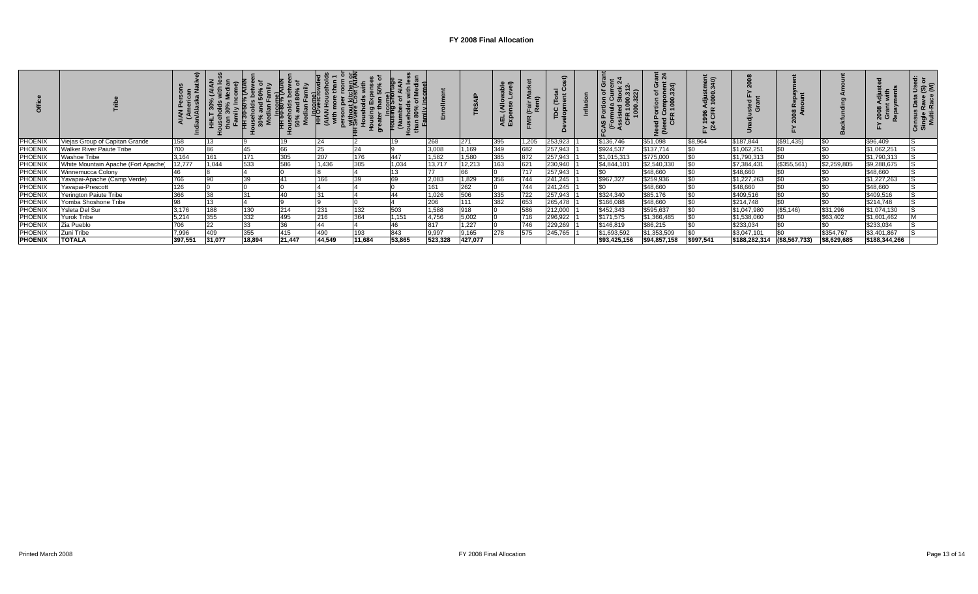|                |                                     |         |        | ° 5    | ន ≅            | \≣ डे  | 忎<br>with<br>운 က |        |            |         | ≘<br>$\check{ }$<br>¥ Maria<br>Exi | ー     | ۵       | ဟ            | : শ্ল<br>ចិ ឪ ទ<br>$\frac{8}{5}$<br>$\bar{0}$ $\bar{0}$<br>ی ن و<br>8 O<br>운혼 | : ຣ<br>$\circ$<br>≗ š | ដូ ឌួ<br>Gra                        |            |             | ឌ ສ<br>នី ចំ ខ្លី | ທ ຫໍ |
|----------------|-------------------------------------|---------|--------|--------|----------------|--------|------------------|--------|------------|---------|------------------------------------|-------|---------|--------------|-------------------------------------------------------------------------------|-----------------------|-------------------------------------|------------|-------------|-------------------|------|
| <b>PHOENIX</b> | Viejas Group of Capitan Grande      | 158     |        |        | 1 <sup>c</sup> | 24     |                  | 19     | 268        | 271     | 395                                | 1,205 | 253,923 | \$136,746    | \$51,098                                                                      | \$8,964               | \$187,844                           | (\$91,435) |             | \$96,409          |      |
| <b>PHOENIX</b> | <b>Walker River Paiute Tribe</b>    | 700     | 86     | 45     | 66             | 25     | 24               |        | 3,008      | 1,169   | 349                                | 682   | 257,943 | \$924,537    | \$137,714                                                                     | <b>SO</b>             | \$1,062,251                         |            |             | \$1,062,251       |      |
| <b>PHOENIX</b> | Washoe Tribe                        | 3,164   | 161    | 171    | 305            | 207    | 176              | 447    | 1,582      | 1,580   | 385                                | 872   | 257,943 | \$1,015,313  | \$775,000                                                                     |                       | \$1,790,313                         |            |             | \$1,790,313       |      |
| <b>PHOENIX</b> | White Mountain Apache (Fort Apache) | 12,777  | 1,044  | 533    | 586            | 1,436  | 305              | 1,034  | 13,717     | 12,213  | 163                                | 621   | 230,940 | \$4,844,101  | \$2,540,330                                                                   |                       | \$7,384,431                         | (\$355,561 | \$2,259,805 | \$9,288,675       |      |
| PHOENIX        | Winnemucca Colony                   | 46      |        |        |                |        |                  | 13     | 77         |         |                                    | 717   | 257,943 | \$0          | \$48,660                                                                      |                       | \$48,660                            |            |             | \$48,660          |      |
| <b>PHOENIX</b> | Yavapai-Apache (Camp Verde)         | 766     |        | 39     |                | 166    |                  |        | 2,083      | 1,829   | 356                                | 744   | 241,245 | \$967,327    | \$259,936                                                                     |                       | \$1,227,263                         |            |             | \$1,227,263       |      |
| <b>PHOENIX</b> | Yavapai-Prescott                    | 126     |        |        |                |        |                  |        | 161        | 262     |                                    | 744   | 241,245 | \$0          | \$48,660                                                                      |                       | \$48,660                            |            |             | \$48,660          |      |
| <b>PHOENIX</b> | Yerington Paiute Tribe              | 366     |        | 31     |                | 31     |                  | 44     | 1,026      | 506     | 335                                | 722   | 257,943 | \$324,340    | \$85,176                                                                      |                       | \$409,516                           |            |             | \$409,516         |      |
| <b>PHOENIX</b> | Yomba Shoshone Tribe                | 98      |        |        |                |        |                  |        | 200<br>∠∪o |         | 382                                | 653   | 265,478 | \$166,088    | \$48,660                                                                      |                       | \$214,748                           |            |             | \$214,748         |      |
| PHOENIX        | Ysleta Del Sur                      | 3,176   | 188    | 130    | 214            | 231    | 132              | 503    | 1,588      | 918     |                                    | 586   | 212,000 | \$452,343    | \$595,637                                                                     |                       | \$1,047,980                         | (\$5,146)  | \$31,296    | \$1,074,130       |      |
| <b>PHOENIX</b> | Yurok Tribe                         | 5,214   | 355    | 332    | 495            | 216    | 364              | 1,151  | 4,756      | 5,002   |                                    | 716   | 296,922 | \$171,575    | \$1,366,485                                                                   |                       | \$1,538,060                         |            | \$63,402    | \$1,601,462       |      |
| <b>PHOENIX</b> | Zia Pueblo                          | 706     | 22     | 33     | $\sim$         | 44     |                  | 46     | 817        | ,227    |                                    | 746   | 229,269 | \$146,819    | \$86,215                                                                      |                       | \$233,034                           |            |             | \$233,034         |      |
| <b>PHOENIX</b> | Zuni Tribe                          | 7,996   | 409    | 355    | 415            | 490    | 193              | 843    | 9,997      | 9,165   | 278                                | 575   | 245,765 | \$1,693,592  | \$1,353,509                                                                   |                       | \$3,047,101                         |            | \$354,767   | \$3,401,867       |      |
| <b>PHOENIX</b> | <b>TOTALA</b>                       | 397,551 | 31,077 | 18,894 | 21,447         | 44,549 | 11,684           | 53,865 | 523,328    | 427,077 |                                    |       |         | \$93,425,156 | \$94,857,158                                                                  | \$997,541             | $\frac{15188,282,314}{156,567,733}$ |            | \$8,629,685 | \$188,344,266     |      |